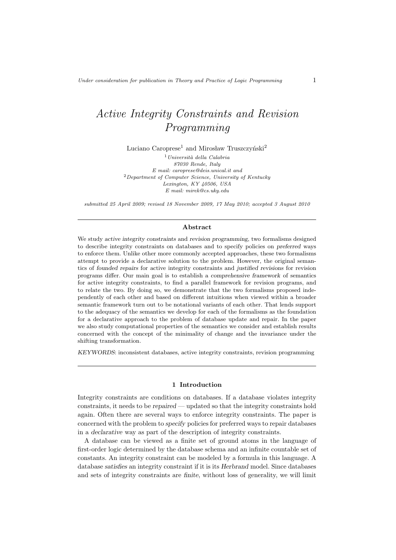# Active Integrity Constraints and Revision Programming

Luciano Caroprese<sup>1</sup> and Mirosław Truszczyński<sup>2</sup>

 $1$ Università della Calabria 87030 Rende, Italy E mail: caroprese@deis.unical.it and <sup>2</sup>Department of Computer Science, University of Kentucky Lexington, KY 40506, USA E mail: mirek@cs.uky.edu

submitted 25 April 2009; revised 18 November 2009, 17 May 2010; accepted 3 August 2010

#### Abstract

We study active integrity constraints and revision programming, two formalisms designed to describe integrity constraints on databases and to specify policies on preferred ways to enforce them. Unlike other more commonly accepted approaches, these two formalisms attempt to provide a declarative solution to the problem. However, the original semantics of founded repairs for active integrity constraints and justified revisions for revision programs differ. Our main goal is to establish a comprehensive framework of semantics for active integrity constraints, to find a parallel framework for revision programs, and to relate the two. By doing so, we demonstrate that the two formalisms proposed independently of each other and based on different intuitions when viewed within a broader semantic framework turn out to be notational variants of each other. That lends support to the adequacy of the semantics we develop for each of the formalisms as the foundation for a declarative approach to the problem of database update and repair. In the paper we also study computational properties of the semantics we consider and establish results concerned with the concept of the minimality of change and the invariance under the shifting transformation.

KEYWORDS: inconsistent databases, active integrity constraints, revision programming

# 1 Introduction

Integrity constraints are conditions on databases. If a database violates integrity constraints, it needs to be repaired — updated so that the integrity constraints hold again. Often there are several ways to enforce integrity constraints. The paper is concerned with the problem to specify policies for preferred ways to repair databases in a declarative way as part of the description of integrity constraints.

A database can be viewed as a finite set of ground atoms in the language of first-order logic determined by the database schema and an infinite countable set of constants. An integrity constraint can be modeled by a formula in this language. A database satisfies an integrity constraint if it is its Herbrand model. Since databases and sets of integrity constraints are finite, without loss of generality, we will limit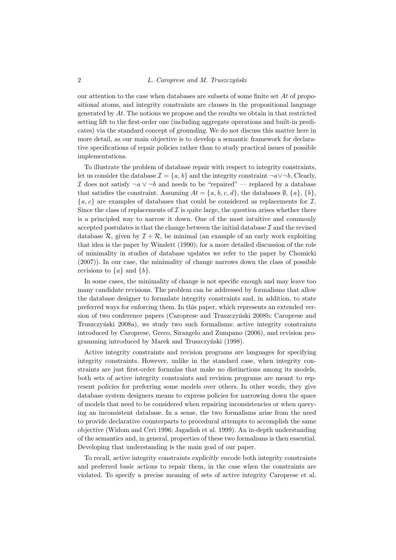our attention to the case when databases are subsets of some finite set At of propositional atoms, and integrity constraints are clauses in the propositional language generated by At. The notions we propose and the results we obtain in that restricted setting lift to the first-order one (including aggregate operations and built-in predicates) via the standard concept of grounding. We do not discuss this matter here in more detail, as our main objective is to develop a semantic framework for declarative specifications of repair policies rather than to study practical issues of possible implementations.

To illustrate the problem of database repair with respect to integrity constraints, let us consider the database  $\mathcal{I} = \{a, b\}$  and the integrity constraint  $\neg a \vee \neg b$ . Clearly,  $\mathcal I$  does not satisfy  $\neg a \vee \neg b$  and needs to be "repaired" — replaced by a database that satisfies the constraint. Assuming  $At = \{a, b, c, d\}$ , the databases  $\emptyset$ ,  $\{a\}$ ,  $\{b\}$ ,  ${a, c}$  are examples of databases that could be considered as replacements for  $\mathcal{I}$ . Since the class of replacements of  $\mathcal I$  is quite large, the question arises whether there is a principled way to narrow it down. One of the most intuitive and commonly accepted postulates is that the change between the initial database  $\mathcal I$  and the revised database R, given by  $\mathcal{I} \div \mathcal{R}$ , be minimal (an example of an early work exploiting that idea is the paper by Winslett (1990); for a more detailed discussion of the role of minimality in studies of database updates we refer to the paper by Chomicki (2007)). In our case, the minimality of change narrows down the class of possible revisions to  $\{a\}$  and  $\{b\}$ .

In some cases, the minimality of change is not specific enough and may leave too many candidate revisions. The problem can be addressed by formalisms that allow the database designer to formulate integrity constraints and, in addition, to state preferred ways for enforcing them. In this paper, which represents an extended version of two conference papers (Caroprese and Truszczyński 2008b; Caroprese and Truszczynski 2008a), we study two such formalisms: active integrity constraints introduced by Caroprese, Greco, Sirangelo and Zumpano (2006), and revision programming introduced by Marek and Truszczyński (1998).

Active integrity constraints and revision programs are languages for specifying integrity constraints. However, unlike in the standard case, when integrity constraints are just first-order formulas that make no distinctions among its models, both sets of active integrity constraints and revision programs are meant to represent policies for preferring some models over others. In other words, they give database system designers means to express policies for narrowing down the space of models that need to be considered when repairing inconsistencies or when querying an inconsistent database. In a sense, the two formalisms arise from the need to provide declarative counterparts to procedural attempts to accomplish the same objective (Widom and Ceri 1996; Jagadish et al. 1999). An in-depth understanding of the semantics and, in general, properties of these two formalisms is then essential. Developing that understanding is the main goal of our paper.

To recall, active integrity constraints explicitly encode both integrity constraints and preferred basic actions to repair them, in the case when the constraints are violated. To specify a precise meaning of sets of active integrity Caroprese et al.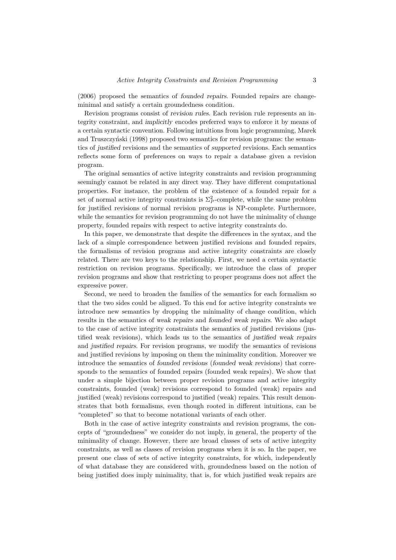(2006) proposed the semantics of founded repairs. Founded repairs are changeminimal and satisfy a certain groundedness condition.

Revision programs consist of revision rules. Each revision rule represents an integrity constraint, and implicitly encodes preferred ways to enforce it by means of a certain syntactic convention. Following intuitions from logic programming, Marek and Truszczyński (1998) proposed two semantics for revision programs: the semantics of justified revisions and the semantics of supported revisions. Each semantics reflects some form of preferences on ways to repair a database given a revision program.

The original semantics of active integrity constraints and revision programming seemingly cannot be related in any direct way. They have different computational properties. For instance, the problem of the existence of a founded repair for a set of normal active integrity constraints is  $\Sigma_P^2$ -complete, while the same problem for justified revisions of normal revision programs is NP-complete. Furthermore, while the semantics for revision programming do not have the minimality of change property, founded repairs with respect to active integrity constraints do.

In this paper, we demonstrate that despite the differences in the syntax, and the lack of a simple correspondence between justified revisions and founded repairs, the formalisms of revision programs and active integrity constraints are closely related. There are two keys to the relationship. First, we need a certain syntactic restriction on revision programs. Specifically, we introduce the class of proper revision programs and show that restricting to proper programs does not affect the expressive power.

Second, we need to broaden the families of the semantics for each formalism so that the two sides could be aligned. To this end for active integrity constraints we introduce new semantics by dropping the minimality of change condition, which results in the semantics of weak repairs and founded weak repairs. We also adapt to the case of active integrity constraints the semantics of justified revisions (justified weak revisions), which leads us to the semantics of justified weak repairs and justified repairs. For revision programs, we modify the semantics of revisions and justified revisions by imposing on them the minimality condition. Moreover we introduce the semantics of founded revisions (founded weak revisions) that corresponds to the semantics of founded repairs (founded weak repairs). We show that under a simple bijection between proper revision programs and active integrity constraints, founded (weak) revisions correspond to founded (weak) repairs and justified (weak) revisions correspond to justified (weak) repairs. This result demonstrates that both formalisms, even though rooted in different intuitions, can be "completed" so that to become notational variants of each other.

Both in the case of active integrity constraints and revision programs, the concepts of "groundedness" we consider do not imply, in general, the property of the minimality of change. However, there are broad classes of sets of active integrity constraints, as well as classes of revision programs when it is so. In the paper, we present one class of sets of active integrity constraints, for which, independently of what database they are considered with, groundedness based on the notion of being justified does imply minimality, that is, for which justified weak repairs are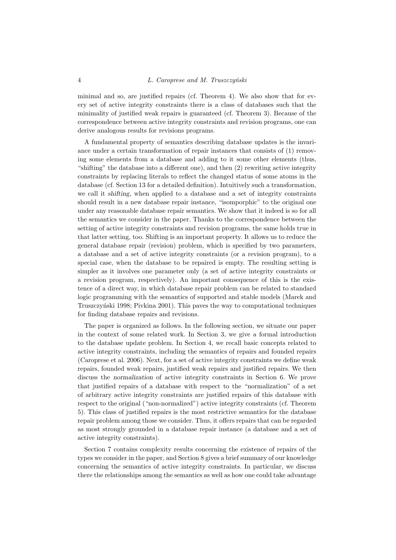minimal and so, are justified repairs (cf. Theorem 4). We also show that for every set of active integrity constraints there is a class of databases such that the minimality of justified weak repairs is guaranteed (cf. Theorem 3). Because of the correspondence between active integrity constraints and revision programs, one can derive analogous results for revisions programs.

A fundamental property of semantics describing database updates is the invariance under a certain transformation of repair instances that consists of (1) removing some elements from a database and adding to it some other elements (thus, "shifting" the database into a different one), and then (2) rewriting active integrity constraints by replacing literals to reflect the changed status of some atoms in the database (cf. Section 13 for a detailed definition). Intuitively such a transformation, we call it shifting, when applied to a database and a set of integrity constraints should result in a new database repair instance, "isomporphic" to the original one under any reasonable database repair semantics. We show that it indeed is so for all the semantics we consider in the paper. Thanks to the correspondence between the setting of active integrity constraints and revision programs, the same holds true in that latter setting, too. Shifting is an important property. It allows us to reduce the general database repair (revision) problem, which is specified by two parameters, a database and a set of active integrity constraints (or a revision program), to a special case, when the database to be repaired is empty. The resulting setting is simpler as it involves one parameter only (a set of active integrity constraints or a revision program, respectively). An important consequence of this is the existence of a direct way, in which database repair problem can be related to standard logic programming with the semantics of supported and stable models (Marek and Truszczyński 1998; Pivkina 2001). This paves the way to computational techniques for finding database repairs and revisions.

The paper is organized as follows. In the following section, we situate our paper in the context of some related work. In Section 3, we give a formal introduction to the database update problem. In Section 4, we recall basic concepts related to active integrity constraints, including the semantics of repairs and founded repairs (Caroprese et al. 2006). Next, for a set of active integrity constraints we define weak repairs, founded weak repairs, justified weak repairs and justified repairs. We then discuss the normalization of active integrity constraints in Section 6. We prove that justified repairs of a database with respect to the "normalization" of a set of arbitrary active integrity constraints are justified repairs of this database with respect to the original ("non-normalized") active integrity constraints (cf. Theorem 5). This class of justified repairs is the most restrictive semantics for the database repair problem among those we consider. Thus, it offers repairs that can be regarded as most strongly grounded in a database repair instance (a database and a set of active integrity constraints).

Section 7 contains complexity results concerning the existence of repairs of the types we consider in the paper, and Section 8 gives a brief summary of our knowledge concerning the semantics of active integrity constraints. In particular, we discuss there the relationships among the semantics as well as how one could take advantage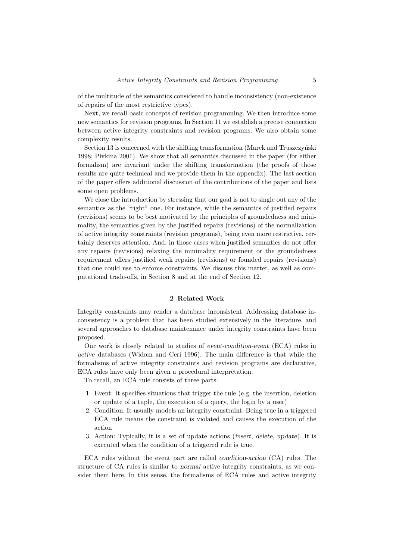of the multitude of the semantics considered to handle inconsistency (non-existence of repairs of the most restrictive types).

Next, we recall basic concepts of revision programming. We then introduce some new semantics for revision programs. In Section 11 we establish a precise connection between active integrity constraints and revision programs. We also obtain some complexity results.

Section 13 is concerned with the shifting transformation (Marek and Truszczyński 1998; Pivkina 2001). We show that all semantics discussed in the paper (for either formalism) are invariant under the shifting transformation (the proofs of those results are quite technical and we provide them in the appendix). The last section of the paper offers additional discussion of the contributions of the paper and lists some open problems.

We close the introduction by stressing that our goal is not to single out any of the semantics as the "right" one. For instance, while the semantics of justified repairs (revisions) seems to be best motivated by the principles of groundedness and minimality, the semantics given by the justified repairs (revisions) of the normalization of active integrity constraints (revision programs), being even more restrictive, certainly deserves attention. And, in those cases when justified semantics do not offer any repairs (revisions) relaxing the minimality requirement or the groundedness requirement offers justified weak repairs (revisions) or founded repairs (revisions) that one could use to enforce constraints. We discuss this matter, as well as computational trade-offs, in Section 8 and at the end of Section 12.

#### 2 Related Work

Integrity constraints may render a database inconsistent. Addressing database inconsistency is a problem that has been studied extensively in the literature, and several approaches to database maintenance under integrity constraints have been proposed.

Our work is closely related to studies of event-condition-event (ECA) rules in active databases (Widom and Ceri 1996). The main difference is that while the formalisms of active integrity constraints and revision programs are declarative, ECA rules have only been given a procedural interpretation.

To recall, an ECA rule consists of three parts:

- 1. Event: It specifies situations that trigger the rule (e.g. the insertion, deletion or update of a tuple, the execution of a query, the login by a user)
- 2. Condition: It usually models an integrity constraint. Being true in a triggered ECA rule means the constraint is violated and causes the execution of the action
- 3. Action: Typically, it is a set of update actions (insert, delete, update). It is executed when the condition of a triggered rule is true.

ECA rules without the event part are called condition-action (CA) rules. The structure of CA rules is similar to normal active integrity constraints, as we consider them here. In this sense, the formalisms of ECA rules and active integrity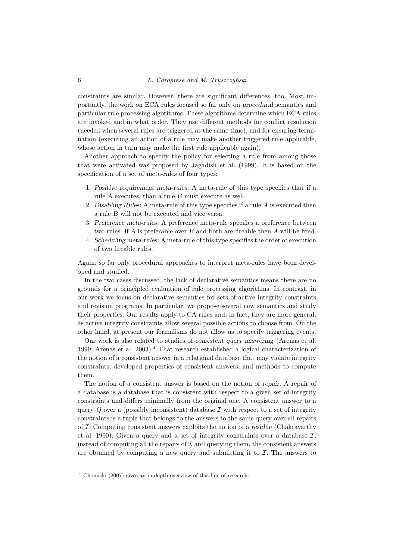## 6 L. Caroprese and M. Truszczyński

constraints are similar. However, there are significant differences, too. Most importantly, the work on ECA rules focused so far only on procedural semantics and particular rule processing algorithms. These algorithms determine which ECA rules are invoked and in what order. They use different methods for conflict resolution (needed when several rules are triggered at the same time), and for ensuring termination (executing an action of a rule may make another triggered rule applicable, whose action in turn may make the first rule applicable again).

Another approach to specify the policy for selecting a rule from among those that were activated was proposed by Jagadish et al. (1999). It is based on the specification of a set of meta-rules of four types:

- 1. Positive requirement meta-rules: A meta-rule of this type specifies that if a rule A executes, than a rule B must execute as well.
- 2. Disabling Rules: A meta-rule of this type specifies if a rule A is executed then a rule B will not be executed and vice versa.
- 3. Preference meta-rules: A preference meta-rule specifies a preference between two rules. If A is preferable over B and both are fireable then A will be fired.
- 4. Scheduling meta-rules: A meta-rule of this type specifies the order of execution of two fireable rules.

Again, so far only procedural approaches to interpret meta-rules have been developed and studied.

In the two cases discussed, the lack of declarative semantics means there are no grounds for a principled evaluation of rule processing algorithms. In contrast, in our work we focus on declarative semantics for sets of active integrity constraints and revision programs. In particular, we propose several new semantics and study their properties. Our results apply to CA rules and, in fact, they are more general, as active integrity constraints allow several possible actions to choose from. On the other hand, at present our formalisms do not allow us to specify triggering events.

Our work is also related to studies of consistent query answering (Arenas et al. 1999; Arenas et al. 2003).<sup>1</sup> That research established a logical characterization of the notion of a consistent answer in a relational database that may violate integrity constraints, developed properties of consistent answers, and methods to compute them.

The notion of a consistent answer is based on the notion of repair. A repair of a database is a database that is consistent with respect to a given set of integrity constraints and differs minimally from the original one. A consistent answer to a query  $Q$  over a (possibly inconsistent) database  $\mathcal I$  with respect to a set of integrity constraints is a tuple that belongs to the answers to the same query over all repairs of  $I$ . Computing consistent answers exploits the notion of a residue (Chakravarthy et al. 1990). Given a query and a set of integrity constraints over a database  $\mathcal{I},$ instead of computing all the repairs of  $\mathcal I$  and querying them, the consistent answers are obtained by computing a new query and submitting it to  $\mathcal I$ . The answers to

<sup>1</sup> Chomicki (2007) gives an in-depth overview of this line of research.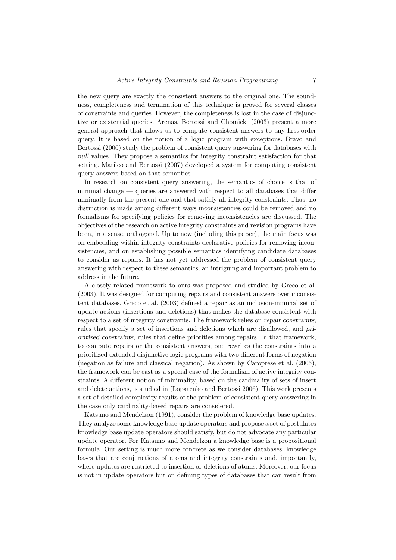the new query are exactly the consistent answers to the original one. The soundness, completeness and termination of this technique is proved for several classes of constraints and queries. However, the completeness is lost in the case of disjunctive or existential queries. Arenas, Bertossi and Chomicki (2003) present a more general approach that allows us to compute consistent answers to any first-order query. It is based on the notion of a logic program with exceptions. Bravo and Bertossi (2006) study the problem of consistent query answering for databases with null values. They propose a semantics for integrity constraint satisfaction for that setting. Marileo and Bertossi (2007) developed a system for computing consistent query answers based on that semantics.

In research on consistent query answering, the semantics of choice is that of minimal change — queries are answered with respect to all databases that differ minimally from the present one and that satisfy all integrity constraints. Thus, no distinction is made among different ways inconsistencies could be removed and no formalisms for specifying policies for removing inconsistencies are discussed. The objectives of the research on active integrity constraints and revision programs have been, in a sense, orthogonal. Up to now (including this paper), the main focus was on embedding within integrity constraints declarative policies for removing inconsistencies, and on establishing possible semantics identifying candidate databases to consider as repairs. It has not yet addressed the problem of consistent query answering with respect to these semantics, an intriguing and important problem to address in the future.

A closely related framework to ours was proposed and studied by Greco et al. (2003). It was designed for computing repairs and consistent answers over inconsistent databases. Greco et al. (2003) defined a repair as an inclusion-minimal set of update actions (insertions and deletions) that makes the database consistent with respect to a set of integrity constraints. The framework relies on repair constraints, rules that specify a set of insertions and deletions which are disallowed, and prioritized constraints, rules that define priorities among repairs. In that framework, to compute repairs or the consistent answers, one rewrites the constraints into a prioritized extended disjunctive logic programs with two different forms of negation (negation as failure and classical negation). As shown by Caroprese et al. (2006), the framework can be cast as a special case of the formalism of active integrity constraints. A different notion of minimality, based on the cardinality of sets of insert and delete actions, is studied in (Lopatenko and Bertossi 2006). This work presents a set of detailed complexity results of the problem of consistent query answering in the case only cardinality-based repairs are considered.

Katsuno and Mendelzon (1991), consider the problem of knowledge base updates. They analyze some knowledge base update operators and propose a set of postulates knowledge base update operators should satisfy, but do not advocate any particular update operator. For Katsuno and Mendelzon a knowledge base is a propositional formula. Our setting is much more concrete as we consider databases, knowledge bases that are conjunctions of atoms and integrity constraints and, importantly, where updates are restricted to insertion or deletions of atoms. Moreover, our focus is not in update operators but on defining types of databases that can result from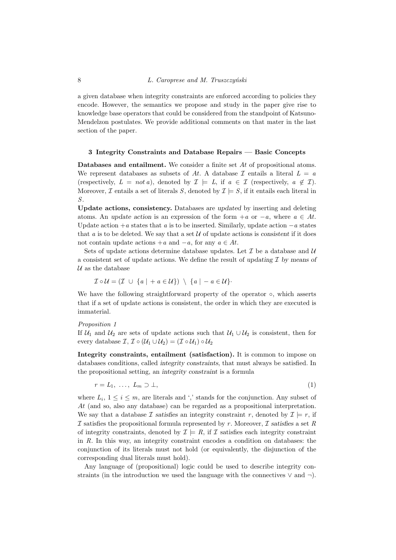a given database when integrity constraints are enforced according to policies they encode. However, the semantics we propose and study in the paper give rise to knowledge base operators that could be considered from the standpoint of Katsuno-Mendelzon postulates. We provide additional comments on that mater in the last section of the paper.

#### 3 Integrity Constraints and Database Repairs — Basic Concepts

Databases and entailment. We consider a finite set At of propositional atoms. We represent databases as subsets of At. A database  $\mathcal I$  entails a literal  $L = a$ (respectively,  $L = not a$ ), denoted by  $\mathcal{I} \models L$ , if  $a \in \mathcal{I}$  (respectively,  $a \notin \mathcal{I}$ ). Moreover, I entails a set of literals S, denoted by  $\mathcal{I} \models S$ , if it entails each literal in S.

Update actions, consistency. Databases are updated by inserting and deleting atoms. An update action is an expression of the form  $+a$  or  $-a$ , where  $a \in At$ . Update action  $+a$  states that a is to be inserted. Similarly, update action  $-a$  states that a is to be deleted. We say that a set  $U$  of update actions is consistent if it does not contain update actions  $+a$  and  $-a$ , for any  $a \in At$ .

Sets of update actions determine database updates. Let  $\mathcal I$  be a database and  $\mathcal U$ a consistent set of update actions. We define the result of updating  $\mathcal I$  by means of  $U$  as the database

$$
\mathcal{I} \circ \mathcal{U} = (\mathcal{I} \cup \{a \mid + a \in \mathcal{U}\}) \setminus \{a \mid - a \in \mathcal{U}\}.
$$

We have the following straightforward property of the operator  $\circ$ , which asserts that if a set of update actions is consistent, the order in which they are executed is immaterial.

#### Proposition 1

If  $U_1$  and  $U_2$  are sets of update actions such that  $U_1 \cup U_2$  is consistent, then for every database  $\mathcal{I}, \mathcal{I} \circ (\mathcal{U}_1 \cup \mathcal{U}_2) = (\mathcal{I} \circ \mathcal{U}_1) \circ \mathcal{U}_2$ 

Integrity constraints, entailment (satisfaction). It is common to impose on databases conditions, called integrity constraints, that must always be satisfied. In the propositional setting, an integrity constraint is a formula

$$
r = L_1, \ \ldots, \ L_m \supset \bot,\tag{1}
$$

where  $L_i$ ,  $1 \leq i \leq m$ , are literals and ',' stands for the conjunction. Any subset of At (and so, also any database) can be regarded as a propositional interpretation. We say that a database I satisfies an integrity constraint r, denoted by  $\mathcal{I} \models r$ , if If satisfies the propositional formula represented by r. Moreover, I satisfies a set R of integrity constraints, denoted by  $\mathcal{I} \models R$ , if  $\mathcal{I}$  satisfies each integrity constraint in R. In this way, an integrity constraint encodes a condition on databases: the conjunction of its literals must not hold (or equivalently, the disjunction of the corresponding dual literals must hold).

Any language of (propositional) logic could be used to describe integrity constraints (in the introduction we used the language with the connectives  $\vee$  and  $\neg$ ).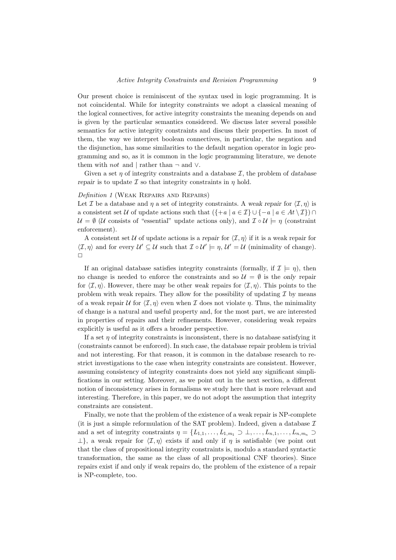Our present choice is reminiscent of the syntax used in logic programming. It is not coincidental. While for integrity constraints we adopt a classical meaning of the logical connectives, for active integrity constraints the meaning depends on and is given by the particular semantics considered. We discuss later several possible semantics for active integrity constraints and discuss their properties. In most of them, the way we interpret boolean connectives, in particular, the negation and the disjunction, has some similarities to the default negation operator in logic programming and so, as it is common in the logic programming literature, we denote them with *not* and | rather than  $\neg$  and  $\vee$ .

Given a set  $\eta$  of integrity constraints and a database  $\mathcal{I}$ , the problem of database repair is to update  $\mathcal I$  so that integrity constraints in  $\eta$  hold.

# Definition 1 (Weak Repairs and Repairs)

Let *I* be a database and  $\eta$  a set of integrity constraints. A weak repair for  $\langle I, \eta \rangle$  is a consistent set U of update actions such that  $({+a \mid a \in \mathcal{I}} \cup {-a \mid a \in At \setminus \mathcal{I}}) \cap$  $\mathcal{U} = \emptyset$  (U consists of "essential" update actions only), and  $\mathcal{I} \circ \mathcal{U} \models \eta$  (constraint enforcement).

A consistent set U of update actions is a repair for  $\langle I, \eta \rangle$  if it is a weak repair for  $\langle \mathcal{I}, \eta \rangle$  and for every  $\mathcal{U}' \subseteq \mathcal{U}$  such that  $\mathcal{I} \circ \mathcal{U}' = \eta$ ,  $\mathcal{U}' = \mathcal{U}$  (minimality of change).  $\Box$ 

If an original database satisfies integrity constraints (formally, if  $\mathcal{I} \models \eta$ ), then no change is needed to enforce the constraints and so  $\mathcal{U} = \emptyset$  is the only repair for  $\langle \mathcal{I}, \eta \rangle$ . However, there may be other weak repairs for  $\langle \mathcal{I}, \eta \rangle$ . This points to the problem with weak repairs. They allow for the possibility of updating  $\mathcal I$  by means of a weak repair U for  $\langle \mathcal{I}, \eta \rangle$  even when I does not violate  $\eta$ . Thus, the minimality of change is a natural and useful property and, for the most part, we are interested in properties of repairs and their refinements. However, considering weak repairs explicitly is useful as it offers a broader perspective.

If a set  $\eta$  of integrity constraints is inconsistent, there is no database satisfying it (constraints cannot be enforced). In such case, the database repair problem is trivial and not interesting. For that reason, it is common in the database research to restrict investigations to the case when integrity constraints are consistent. However, assuming consistency of integrity constraints does not yield any significant simplifications in our setting. Moreover, as we point out in the next section, a different notion of inconsistency arises in formalisms we study here that is more relevant and interesting. Therefore, in this paper, we do not adopt the assumption that integrity constraints are consistent.

Finally, we note that the problem of the existence of a weak repair is NP-complete (it is just a simple reformulation of the SAT problem). Indeed, given a database  $\mathcal I$ and a set of integrity constraints  $\eta = \{L_{1,1}, \ldots, L_{1,m_1} \supset \bot, \ldots, L_{n,1}, \ldots, L_{n,m_n} \supset$  $\perp$ , a weak repair for  $\langle \mathcal{I}, \eta \rangle$  exists if and only if  $\eta$  is satisfiable (we point out that the class of propositional integrity constraints is, modulo a standard syntactic transformation, the same as the class of all propositional CNF theories). Since repairs exist if and only if weak repairs do, the problem of the existence of a repair is NP-complete, too.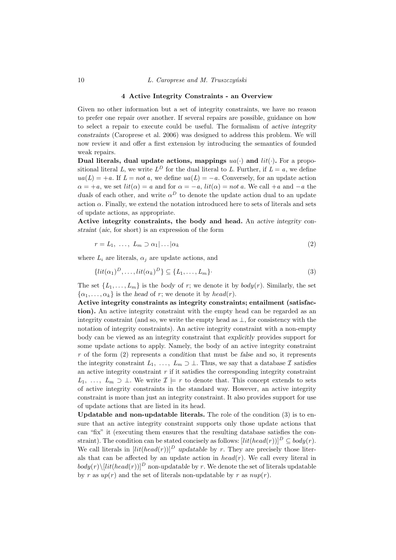#### 4 Active Integrity Constraints - an Overview

Given no other information but a set of integrity constraints, we have no reason to prefer one repair over another. If several repairs are possible, guidance on how to select a repair to execute could be useful. The formalism of active integrity constraints (Caroprese et al. 2006) was designed to address this problem. We will now review it and offer a first extension by introducing the semantics of founded weak repairs.

Dual literals, dual update actions, mappings  $ua(\cdot)$  and  $lit(\cdot)$ . For a propositional literal L, we write  $L^D$  for the dual literal to L. Further, if  $L = a$ , we define  $ua(L) = +a$ . If  $L = not a$ , we define  $ua(L) = -a$ . Conversely, for an update action  $\alpha = +a$ , we set  $lit(\alpha) = a$  and for  $\alpha = -a$ ,  $lit(\alpha) = not$  a. We call  $+a$  and  $-a$  the duals of each other, and write  $\alpha^D$  to denote the update action dual to an update action  $\alpha$ . Finally, we extend the notation introduced here to sets of literals and sets of update actions, as appropriate.

Active integrity constraints, the body and head. An active integrity constraint (aic, for short) is an expression of the form

$$
r = L_1, \ldots, L_m \supset \alpha_1 | \ldots | \alpha_k \tag{2}
$$

where  $L_i$  are literals,  $\alpha_j$  are update actions, and

$$
\{lit(\alpha_1)^D, \dots, lit(\alpha_k)^D\} \subseteq \{L_1, \dots, L_m\}.
$$
\n
$$
(3)
$$

The set  $\{L_1, \ldots, L_m\}$  is the body of r; we denote it by  $body(r)$ . Similarly, the set  $\{\alpha_1, \ldots, \alpha_k\}$  is the head of r; we denote it by head(r).

Active integrity constraints as integrity constraints; entailment (satisfaction). An active integrity constraint with the empty head can be regarded as an integrity constraint (and so, we write the empty head as  $\perp$ , for consistency with the notation of integrity constraints). An active integrity constraint with a non-empty body can be viewed as an integrity constraint that explicitly provides support for some update actions to apply. Namely, the body of an active integrity constraint  $r$  of the form  $(2)$  represents a condition that must be false and so, it represents the integrity constraint  $L_1, \ldots, L_m \supset \perp$ . Thus, we say that a database *I* satisfies an active integrity constraint  $r$  if it satisfies the corresponding integrity constraint  $L_1, \ldots, L_m \supset \bot$ . We write  $\mathcal{I} \models r$  to denote that. This concept extends to sets of active integrity constraints in the standard way. However, an active integrity constraint is more than just an integrity constraint. It also provides support for use of update actions that are listed in its head.

Updatable and non-updatable literals. The role of the condition  $(3)$  is to ensure that an active integrity constraint supports only those update actions that can "fix" it (executing them ensures that the resulting database satisfies the constraint). The condition can be stated concisely as follows:  $[lit(head(r))]^D \subseteq body(r)$ . We call literals in  $[lit(head(r))]^{D}$  updatable by r. They are precisely those literals that can be affected by an update action in  $head(r)$ . We call every literal in  $body(r) \setminus [lit(head(r))]^D$  non-updatable by r. We denote the set of literals updatable by r as  $up(r)$  and the set of literals non-updatable by r as  $nup(r)$ .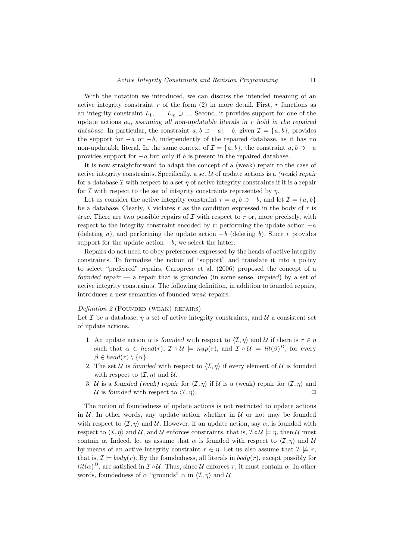With the notation we introduced, we can discuss the intended meaning of an active integrity constraint  $r$  of the form  $(2)$  in more detail. First,  $r$  functions as an integrity constraint  $L_1, \ldots, L_m \supset \bot$ . Second, it provides support for one of the update actions  $\alpha_i$ , assuming all non-updatable literals in r hold in the repaired database. In particular, the constraint  $a, b \supset -a |- b$ , given  $\mathcal{I} = \{a, b\}$ , provides the support for  $-a$  or  $-b$ , independently of the repaired database, as it has no non-updatable literal. In the same context of  $\mathcal{I} = \{a, b\}$ , the constraint  $a, b \supset -a$ provides support for  $-a$  but only if b is present in the repaired database.

It is now straightforward to adapt the concept of a (weak) repair to the case of active integrity constraints. Specifically, a set  $\mathcal U$  of update actions is a (weak) repair for a database  $\mathcal I$  with respect to a set  $\eta$  of active integrity constraints if it is a repair for  $\mathcal I$  with respect to the set of integrity constraints represented by  $\eta$ .

Let us consider the active integrity constraint  $r = a, b \supset -b$ , and let  $\mathcal{I} = \{a, b\}$ be a database. Clearly,  $\mathcal I$  violates r as the condition expressed in the body of r is true. There are two possible repairs of  $\mathcal I$  with respect to r or, more precisely, with respect to the integrity constraint encoded by r: performing the update action  $-a$ (deleting a), and performing the update action  $-b$  (deleting b). Since r provides support for the update action  $-b$ , we select the latter.

Repairs do not need to obey preferences expressed by the heads of active integrity constraints. To formalize the notion of "support" and translate it into a policy to select "preferred" repairs, Caroprese et al. (2006) proposed the concept of a founded repair — a repair that is grounded (in some sense, implied) by a set of active integrity constraints. The following definition, in addition to founded repairs, introduces a new semantics of founded weak repairs.

# Definition 2 (FOUNDED (WEAK) REPAIRS)

Let T be a database,  $\eta$  a set of active integrity constraints, and U a consistent set of update actions.

- 1. An update action  $\alpha$  is founded with respect to  $\langle \mathcal{I}, \eta \rangle$  and U if there is  $r \in \eta$ such that  $\alpha \in head(r)$ ,  $\mathcal{I} \circ \mathcal{U} \models nup(r)$ , and  $\mathcal{I} \circ \mathcal{U} \models lit(\beta)^D$ , for every  $\beta \in head(r) \setminus {\{\alpha\}}.$
- 2. The set U is founded with respect to  $\langle \mathcal{I}, \eta \rangle$  if every element of U is founded with respect to  $\langle \mathcal{I}, \eta \rangle$  and U.
- 3. U is a founded (weak) repair for  $\langle \mathcal{I}, \eta \rangle$  if U is a (weak) repair for  $\langle \mathcal{I}, \eta \rangle$  and U is founded with respect to  $\langle \mathcal{I}, \eta \rangle$ .

The notion of foundedness of update actions is not restricted to update actions in  $U$ . In other words, any update action whether in  $U$  or not may be founded with respect to  $\langle \mathcal{I}, \eta \rangle$  and U. However, if an update action, say  $\alpha$ , is founded with respect to  $\langle \mathcal{I}, \eta \rangle$  and U, and U enforces constraints, that is,  $\mathcal{I} \circ \mathcal{U} \models \eta$ , then U must contain  $\alpha$ . Indeed, let us assume that  $\alpha$  is founded with respect to  $\langle \mathcal{I}, \eta \rangle$  and  $\mathcal{U}$ by means of an active integrity constraint  $r \in \eta$ . Let us also assume that  $\mathcal{I} \not\models r$ , that is,  $\mathcal{I} \models body(r)$ . By the foundedness, all literals in  $body(r)$ , except possibly for  $lit(\alpha)^D$ , are satisfied in  $\mathcal{I} \circ \mathcal{U}$ . Thus, since  $\mathcal{U}$  enforces r, it must contain  $\alpha$ . In other words, foundedness of  $\alpha$  "grounds"  $\alpha$  in  $\langle \mathcal{I}, \eta \rangle$  and U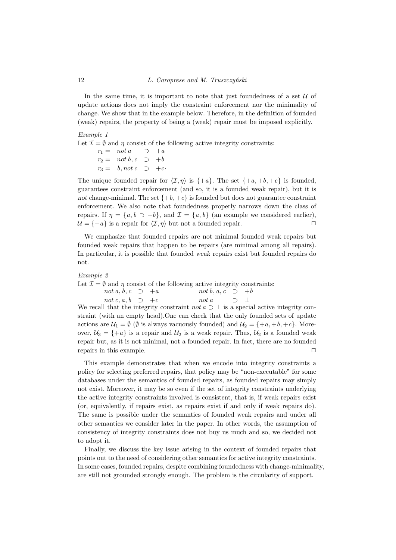In the same time, it is important to note that just foundedness of a set  $U$  of update actions does not imply the constraint enforcement nor the minimality of change. We show that in the example below. Therefore, in the definition of founded (weak) repairs, the property of being a (weak) repair must be imposed explicitly.

# Example 1

Let  $\mathcal{I} = \emptyset$  and  $\eta$  consist of the following active integrity constraints:

 $r_1 = not a \Rightarrow +a$  $r_2 = not b, c \supset +b$  $r_3 = b, not c \supset +c \cdot$ 

The unique founded repair for  $\langle \mathcal{I}, \eta \rangle$  is  $\{+a\}$ . The set  $\{+a, +b, +c\}$  is founded, guarantees constraint enforcement (and so, it is a founded weak repair), but it is not change-minimal. The set  $\{+b, +c\}$  is founded but does not guarantee constraint enforcement. We also note that foundedness properly narrows down the class of repairs. If  $\eta = \{a, b \supset -b\}$ , and  $\mathcal{I} = \{a, b\}$  (an example we considered earlier),  $U = \{-a\}$  is a repair for  $\langle \mathcal{I}, \eta \rangle$  but not a founded repair.  $\Box$ 

We emphasize that founded repairs are not minimal founded weak repairs but founded weak repairs that happen to be repairs (are minimal among all repairs). In particular, it is possible that founded weak repairs exist but founded repairs do not.

#### Example 2

Let  $\mathcal{I} = \emptyset$  and  $\eta$  consist of the following active integrity constraints:  $not a, b, c \supset +a$  not b, a, c  $\supset +b$  $not c, a, b \supset +c$   $not a \supset \perp$ 

We recall that the integrity constraint not  $a \supset \bot$  is a special active integrity constraint (with an empty head).One can check that the only founded sets of update actions are  $\mathcal{U}_1 = \emptyset$  ( $\emptyset$  is always vacuously founded) and  $\mathcal{U}_2 = \{+a, +b, +c\}$ . Moreover,  $U_3 = \{+a\}$  is a repair and  $U_2$  is a weak repair. Thus,  $U_2$  is a founded weak repair but, as it is not minimal, not a founded repair. In fact, there are no founded repairs in this example.  $\Box$ 

This example demonstrates that when we encode into integrity constraints a policy for selecting preferred repairs, that policy may be "non-executable" for some databases under the semantics of founded repairs, as founded repairs may simply not exist. Moreover, it may be so even if the set of integrity constraints underlying the active integrity constraints involved is consistent, that is, if weak repairs exist (or, equivalently, if repairs exist, as repairs exist if and only if weak repairs do). The same is possible under the semantics of founded weak repairs and under all other semantics we consider later in the paper. In other words, the assumption of consistency of integrity constraints does not buy us much and so, we decided not to adopt it.

Finally, we discuss the key issue arising in the context of founded repairs that points out to the need of considering other semantics for active integrity constraints. In some cases, founded repairs, despite combining foundedness with change-minimality, are still not grounded strongly enough. The problem is the circularity of support.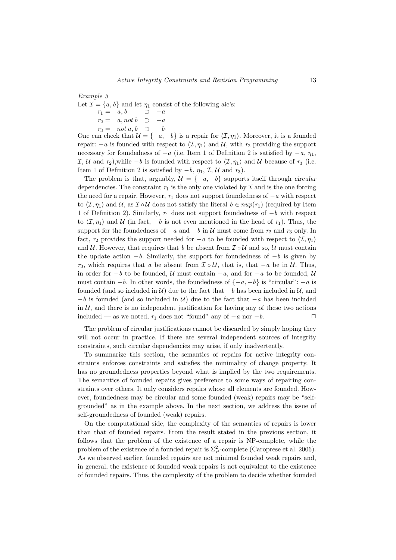Example 3

Let  $\mathcal{I} = \{a, b\}$  and let  $\eta_1$  consist of the following aic's:

 $r_1 = a, b \qquad \supset -a$ 

 $r_2 = a, not b \supset -a$ 

 $r_3 = not a, b \supset -b$ 

One can check that  $\mathcal{U} = \{-a, -b\}$  is a repair for  $\langle \mathcal{I}, \eta_1 \rangle$ . Moreover, it is a founded repair:  $-a$  is founded with respect to  $\langle \mathcal{I}, \eta_1 \rangle$  and U, with  $r_2$  providing the support necessary for foundedness of  $-a$  (i.e. Item 1 of Definition 2 is satisfied by  $-a$ ,  $\eta_1$ , I, U and r<sub>2</sub>),while  $-b$  is founded with respect to  $\langle I, \eta_1 \rangle$  and U because of r<sub>3</sub> (i.e. Item 1 of Definition 2 is satisfied by  $-b$ ,  $\eta_1$ ,  $\mathcal{I}$ ,  $\mathcal{U}$  and  $r_3$ ).

The problem is that, arguably,  $\mathcal{U} = \{-a, -b\}$  supports itself through circular dependencies. The constraint  $r_1$  is the only one violated by  $\mathcal I$  and is the one forcing the need for a repair. However,  $r_1$  does not support foundedness of  $-a$  with respect to  $\langle \mathcal{I}, \eta_1 \rangle$  and U, as  $\mathcal{I} \circ \mathcal{U}$  does not satisfy the literal  $b \in nup(r_1)$  (required by Item 1 of Definition 2). Similarly,  $r_1$  does not support foundedness of  $-b$  with respect to  $\langle \mathcal{I}, \eta_1 \rangle$  and U (in fact,  $-b$  is not even mentioned in the head of  $r_1$ ). Thus, the support for the foundedness of  $-a$  and  $-b$  in U must come from  $r_2$  and  $r_3$  only. In fact,  $r_2$  provides the support needed for  $-a$  to be founded with respect to  $\langle \mathcal{I}, \eta_1 \rangle$ and U. However, that requires that b be absent from  $\mathcal{I} \circ \mathcal{U}$  and so, U must contain the update action  $-b$ . Similarly, the support for foundedness of  $-b$  is given by r<sub>3</sub>, which requires that a be absent from  $\mathcal{I} \circ \mathcal{U}$ , that is, that  $-a$  be in  $\mathcal{U}$ . Thus, in order for  $-b$  to be founded, U must contain  $-a$ , and for  $-a$  to be founded, U must contain  $-b$ . In other words, the foundedness of  $\{-a, -b\}$  is "circular":  $-a$  is founded (and so included in  $\mathcal{U}$ ) due to the fact that  $-b$  has been included in  $\mathcal{U}$ , and  $-b$  is founded (and so included in  $\mathcal{U}$ ) due to the fact that  $-a$  has been included in  $U$ , and there is no independent justification for having any of these two actions included — as we noted,  $r_1$  does not "found" any of  $-a$  nor  $-b$ .  $\Box$ 

The problem of circular justifications cannot be discarded by simply hoping they will not occur in practice. If there are several independent sources of integrity constraints, such circular dependencies may arise, if only inadvertently.

To summarize this section, the semantics of repairs for active integrity constraints enforces constraints and satisfies the minimality of change property. It has no groundedness properties beyond what is implied by the two requirements. The semantics of founded repairs gives preference to some ways of repairing constraints over others. It only considers repairs whose all elements are founded. However, foundedness may be circular and some founded (weak) repairs may be "selfgrounded" as in the example above. In the next section, we address the issue of self-groundedness of founded (weak) repairs.

On the computational side, the complexity of the semantics of repairs is lower than that of founded repairs. From the result stated in the previous section, it follows that the problem of the existence of a repair is NP-complete, while the problem of the existence of a founded repair is  $\Sigma_P^2$ -complete (Caroprese et al. 2006). As we observed earlier, founded repairs are not minimal founded weak repairs and, in general, the existence of founded weak repairs is not equivalent to the existence of founded repairs. Thus, the complexity of the problem to decide whether founded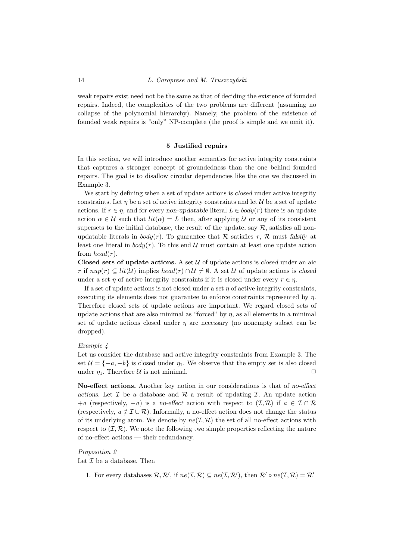weak repairs exist need not be the same as that of deciding the existence of founded repairs. Indeed, the complexities of the two problems are different (assuming no collapse of the polynomial hierarchy). Namely, the problem of the existence of founded weak repairs is "only" NP-complete (the proof is simple and we omit it).

## 5 Justified repairs

In this section, we will introduce another semantics for active integrity constraints that captures a stronger concept of groundedness than the one behind founded repairs. The goal is to disallow circular dependencies like the one we discussed in Example 3.

We start by defining when a set of update actions is *closed* under active integrity constraints. Let  $\eta$  be a set of active integrity constraints and let  $\mathcal U$  be a set of update actions. If  $r \in \eta$ , and for every non-updatable literal  $L \in body(r)$  there is an update action  $\alpha \in \mathcal{U}$  such that  $lit(\alpha) = L$  then, after applying U or any of its consistent supersets to the initial database, the result of the update, say  $\mathcal{R}$ , satisfies all nonupdatable literals in  $body(r)$ . To guarantee that R satisfies r, R must falsify at least one literal in  $body(r)$ . To this end U must contain at least one update action from  $head(r)$ .

Closed sets of update actions. A set  $U$  of update actions is closed under an aic r if  $nup(r) \subseteq lit(\mathcal{U})$  implies  $head(r) \cap \mathcal{U} \neq \emptyset$ . A set  $\mathcal{U}$  of update actions is closed under a set  $\eta$  of active integrity constraints if it is closed under every  $r \in \eta$ .

If a set of update actions is not closed under a set  $\eta$  of active integrity constraints, executing its elements does not guarantee to enforce constraints represented by  $\eta$ . Therefore closed sets of update actions are important. We regard closed sets of update actions that are also minimal as "forced" by  $\eta$ , as all elements in a minimal set of update actions closed under  $\eta$  are necessary (no nonempty subset can be dropped).

# Example 4

Let us consider the database and active integrity constraints from Example 3. The set  $\mathcal{U} = \{-a, -b\}$  is closed under  $\eta_1$ . We observe that the empty set is also closed under  $\eta_1$ . Therefore U is not minimal.  $\Box$ 

No-effect actions. Another key notion in our considerations is that of no-effect actions. Let  $\mathcal I$  be a database and  $\mathcal R$  a result of updating  $\mathcal I$ . An update action +a (respectively,  $-a$ ) is a no-effect action with respect to  $(\mathcal{I}, \mathcal{R})$  if  $a \in \mathcal{I} \cap \mathcal{R}$ (respectively,  $a \notin \mathcal{I} \cup \mathcal{R}$ ). Informally, a no-effect action does not change the status of its underlying atom. We denote by  $ne(\mathcal{I}, \mathcal{R})$  the set of all no-effect actions with respect to  $(\mathcal{I}, \mathcal{R})$ . We note the following two simple properties reflecting the nature of no-effect actions — their redundancy.

# Proposition 2

Let  $\mathcal I$  be a database. Then

1. For every databases  $\mathcal{R}, \mathcal{R}'$ , if  $ne(\mathcal{I}, \mathcal{R}) \subseteq ne(\mathcal{I}, \mathcal{R}')$ , then  $\mathcal{R}' \circ ne(\mathcal{I}, \mathcal{R}) = \mathcal{R}'$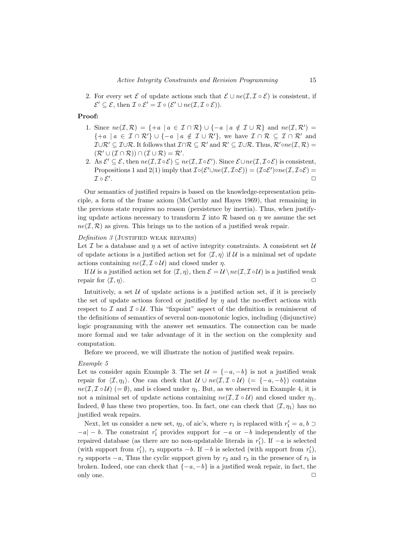2. For every set  $\mathcal E$  of update actions such that  $\mathcal E \cup ne(\mathcal I,\mathcal I \circ \mathcal E)$  is consistent, if  $\mathcal{E}' \subseteq \mathcal{E}$ , then  $\mathcal{I} \circ \mathcal{E}' = \mathcal{I} \circ (\mathcal{E}' \cup ne(\mathcal{I}, \mathcal{I} \circ \mathcal{E})).$ 

# Proof:

- 1. Since  $ne(\mathcal{I}, \mathcal{R}) = \{+a \mid a \in \mathcal{I} \cap \mathcal{R}\} \cup \{-a \mid a \notin \mathcal{I} \cup \mathcal{R}\}\$ and  $ne(\mathcal{I}, \mathcal{R}') =$  $\{+a \mid a \in \mathcal{I} \cap \mathcal{R}'\} \cup \{-a \mid a \notin \mathcal{I} \cup \mathcal{R}'\}$ , we have  $\mathcal{I} \cap \mathcal{R} \subseteq \mathcal{I} \cap \mathcal{R}'$  and  $I\cup\mathcal{R}'\subseteq I\cup\mathcal{R}$ . It follows that  $I\cap\mathcal{R}\subseteq\mathcal{R}'$  and  $\mathcal{R}'\subseteq I\cup\mathcal{R}$ . Thus,  $\mathcal{R}'\circ ne(\mathcal{I},\mathcal{R})=$  $(\mathcal{R}' \cup (\mathcal{I} \cap \mathcal{R})) \cap (\mathcal{I} \cup \mathcal{R}) = \mathcal{R}'.$
- 2. As  $\mathcal{E}' \subseteq \mathcal{E}$ , then  $ne(\mathcal{I},\mathcal{I} \circ \mathcal{E}) \subseteq ne(\mathcal{I},\mathcal{I} \circ \mathcal{E}')$ . Since  $\mathcal{E} \cup ne(\mathcal{I},\mathcal{I} \circ \mathcal{E})$  is consistent, Propositions 1 and 2(1) imply that  $\mathcal{I} \circ (\mathcal{E}' \cup ne(\mathcal{I}, \mathcal{I} \circ \mathcal{E})) = (\mathcal{I} \circ \mathcal{E}') \circ ne(\mathcal{I}, \mathcal{I} \circ \mathcal{E}) =$  $I \circ \mathcal{E}'$ . . The contract of the contract of the contract of the contract of the contract of  $\Box$

Our semantics of justified repairs is based on the knowledge-representation principle, a form of the frame axiom (McCarthy and Hayes 1969), that remaining in the previous state requires no reason (persistence by inertia). Thus, when justifying update actions necessary to transform  $\mathcal I$  into  $\mathcal R$  based on  $\eta$  we assume the set  $ne(\mathcal{I}, \mathcal{R})$  as given. This brings us to the notion of a justified weak repair.

# $Definition 3 (JUSTIFIED WEAK REPRESENTS)$

Let T be a database and  $\eta$  a set of active integrity constraints. A consistent set U of update actions is a justified action set for  $\langle I, \eta \rangle$  if U is a minimal set of update actions containing  $ne(\mathcal{I}, \mathcal{I} \circ \mathcal{U})$  and closed under  $\eta$ .

If U is a justified action set for  $\langle \mathcal{I}, \eta \rangle$ , then  $\mathcal{E} = \mathcal{U} \setminus ne(\mathcal{I}, \mathcal{I} \circ \mathcal{U})$  is a justified weak repair for  $\langle \mathcal{I}, \eta \rangle$ .

Intuitively, a set  $U$  of update actions is a justified action set, if it is precisely the set of update actions forced or justified by  $\eta$  and the no-effect actions with respect to  $\mathcal I$  and  $\mathcal I \circ \mathcal U$ . This "fixpoint" aspect of the definition is reminiscent of the definitions of semantics of several non-monotonic logics, including (disjunctive) logic programming with the answer set semantics. The connection can be made more formal and we take advantage of it in the section on the complexity and computation.

Before we proceed, we will illustrate the notion of justified weak repairs.

# Example 5

Let us consider again Example 3. The set  $\mathcal{U} = \{-a, -b\}$  is not a justified weak repair for  $\langle \mathcal{I}, \eta_1 \rangle$ . One can check that  $\mathcal{U} \cup ne(\mathcal{I}, \mathcal{I} \circ \mathcal{U})$  (= {-a, -b}) contains  $ne(\mathcal{I}, \mathcal{I} \circ \mathcal{U})$  (=  $\emptyset$ ), and is closed under  $\eta_1$ . But, as we observed in Example 4, it is not a minimal set of update actions containing  $ne(\mathcal{I}, \mathcal{I} \circ \mathcal{U})$  and closed under  $\eta_1$ . Indeed,  $\emptyset$  has these two properties, too. In fact, one can check that  $\langle \mathcal{I}, \eta_1 \rangle$  has no justified weak repairs.

Next, let us consider a new set,  $\eta_2$ , of aic's, where  $r_1$  is replaced with  $r'_1 = a, b \supset$  $-a$ | − b. The constraint  $r'_1$  provides support for  $-a$  or  $-b$  independently of the repaired database (as there are no non-updatable literals in  $r'_1$ ). If  $-a$  is selected (with support from  $r'_1$ ),  $r_3$  supports  $-b$ . If  $-b$  is selected (with support from  $r'_1$ ),  $r_2$  supports  $-a$ , Thus the cyclic support given by  $r_2$  and  $r_3$  in the presence of  $r_1$  is broken. Indeed, one can check that  $\{-a, -b\}$  is a justified weak repair, in fact, the only one.  $\Box$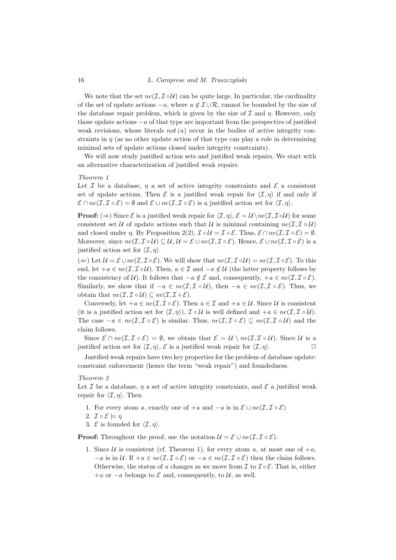We note that the set  $ne(\mathcal{I}, \mathcal{I} \circ \mathcal{U})$  can be quite large. In particular, the cardinality of the set of update actions  $-a$ , where  $a \notin \mathcal{I} \cup \mathcal{R}$ , cannot be bounded by the size of the database repair problem, which is given by the size of  $\mathcal I$  and  $\eta$ . However, only those update actions  $-a$  of that type are important from the perspective of justified weak revisions, whose literals not (a) occur in the bodies of active integrity constraints in  $\eta$  (as no other update action of that type can play a role in determining minimal sets of update actions closed under integrity constraints).

We will now study justified action sets and justified weak repairs. We start with an alternative characterization of justified weak repairs.

# Theorem 1

Let  $\mathcal I$  be a database,  $\eta$  a set of active integrity constraints and  $\mathcal E$  a consistent set of update actions. Then  $\mathcal E$  is a justified weak repair for  $\langle \mathcal I, \eta \rangle$  if and only if  $\mathcal{E} \cap ne(\mathcal{I}, \mathcal{I} \circ \mathcal{E}) = \emptyset$  and  $\mathcal{E} \cup ne(\mathcal{I}, \mathcal{I} \circ \mathcal{E})$  is a justified action set for  $\langle \mathcal{I}, \eta \rangle$ .

**Proof:** ( $\Rightarrow$ ) Since  $\mathcal{E}$  is a justified weak repair for  $\langle \mathcal{I}, \eta \rangle$ ,  $\mathcal{E} = \mathcal{U} \setminus ne(\mathcal{I}, \mathcal{I} \circ \mathcal{U})$  for some consistent set U of update actions such that U is minimal containing  $ne(\mathcal{I}, \mathcal{I} \circ \mathcal{U})$ and closed under  $\eta$ . By Proposition 2(2),  $\mathcal{I} \circ \mathcal{U} = \mathcal{I} \circ \mathcal{E}$ . Thus,  $\mathcal{E} \cap ne(\mathcal{I}, \mathcal{I} \circ \mathcal{E}) = \emptyset$ . Moreover, since  $ne(\mathcal{I},\mathcal{I}\circ\mathcal{U})\subseteq\mathcal{U},\mathcal{U}=\mathcal{E}\cup ne(\mathcal{I},\mathcal{I}\circ\mathcal{E})$ . Hence,  $\mathcal{E}\cup ne(\mathcal{I},\mathcal{I}\circ\mathcal{E})$  is a justified action set for  $\langle \mathcal{I}, \eta \rangle$ .

 $(\Leftarrow)$  Let  $\mathcal{U} = \mathcal{E} \cup ne(\mathcal{I}, \mathcal{I} \circ \mathcal{E})$ . We will show that  $ne(\mathcal{I}, \mathcal{I} \circ \mathcal{U}) = ne(\mathcal{I}, \mathcal{I} \circ \mathcal{E})$ . To this end, let  $+a \in ne(\mathcal{I}, \mathcal{I} \circ \mathcal{U})$ . Then,  $a \in \mathcal{I}$  and  $-a \notin \mathcal{U}$  (the latter property follows by the consistency of U). It follows that  $-a \notin \mathcal{E}$  and, consequently,  $+a \in ne(\mathcal{I}, \mathcal{I} \circ \mathcal{E}).$ Similarly, we show that if  $-a \in ne(\mathcal{I}, \mathcal{I} \circ \mathcal{U})$ , then  $-a \in ne(\mathcal{I}, \mathcal{I} \circ \mathcal{E})$ . Thus, we obtain that  $ne(\mathcal{I}, \mathcal{I} \circ \mathcal{U}) \subseteq ne(\mathcal{I}, \mathcal{I} \circ \mathcal{E}).$ 

Conversely, let  $+a \in ne(\mathcal{I}, \mathcal{I} \circ \mathcal{E})$ . Then  $a \in \mathcal{I}$  and  $+a \in \mathcal{U}$ . Since  $\mathcal{U}$  is consistent (it is a justified action set for  $\langle \mathcal{I}, \eta \rangle$ ),  $\mathcal{I} \circ \mathcal{U}$  is well defined and  $+a \in ne(\mathcal{I}, \mathcal{I} \circ \mathcal{U})$ . The case  $-a \in ne(\mathcal{I}, \mathcal{I} \circ \mathcal{E})$  is similar. Thus,  $ne(\mathcal{I}, \mathcal{I} \circ \mathcal{E}) \subseteq ne(\mathcal{I}, \mathcal{I} \circ \mathcal{U})$  and the claim follows.

Since  $\mathcal{E} \cap ne(\mathcal{I}, \mathcal{I} \circ \mathcal{E}) = \emptyset$ , we obtain that  $\mathcal{E} = \mathcal{U} \setminus ne(\mathcal{I}, \mathcal{I} \circ \mathcal{U})$ . Since  $\mathcal{U}$  is a justified action set for  $\langle \mathcal{I}, \eta \rangle$ , E is a justified weak repair for  $\langle \mathcal{I}, \eta \rangle$ .

Justified weak repairs have two key properties for the problem of database update: constraint enforcement (hence the term "weak repair") and foundedness.

## Theorem 2

Let T be a database,  $\eta$  a set of active integrity constraints, and E a justified weak repair for  $\langle \mathcal{I}, \eta \rangle$ . Then

- 1. For every atom a, exactly one of  $+a$  and  $-a$  is in  $\mathcal{E} \cup ne(\mathcal{I}, \mathcal{I} \circ \mathcal{E})$
- 2.  $\mathcal{I} \circ \mathcal{E} \models \eta$
- 3.  $\mathcal E$  is founded for  $\langle \mathcal I, \eta \rangle$ .

**Proof:** Throughout the proof, use the notation  $\mathcal{U} = \mathcal{E} \cup ne(\mathcal{I}, \mathcal{I} \circ \mathcal{E}).$ 

1. Since U is consistent (cf. Theorem 1), for every atom a, at most one of  $+a$ ,  $-a$  is in U. If  $+a \in ne(\mathcal{I}, \mathcal{I} \circ \mathcal{E})$  or  $-a \in ne(\mathcal{I}, \mathcal{I} \circ \mathcal{E})$  then the claim follows. Otherwise, the status of a changes as we move from  $\mathcal I$  to  $\mathcal I \circ \mathcal E$ . That is, either +a or  $-a$  belongs to  $\mathcal E$  and, consequently, to  $\mathcal U$ , as well.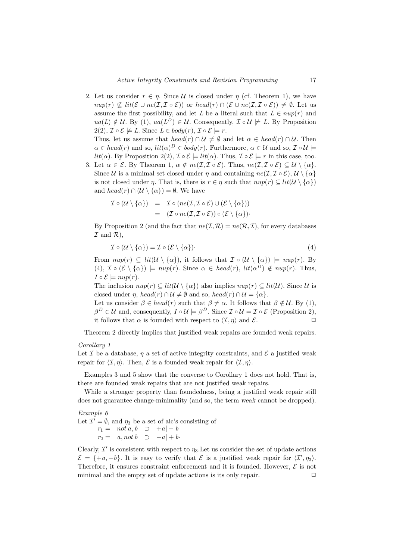2. Let us consider  $r \in \eta$ . Since U is closed under  $\eta$  (cf. Theorem 1), we have  $nup(r) \nsubseteq lit(\mathcal{E} \cup ne(\mathcal{I}, \mathcal{I} \circ \mathcal{E}))$  or  $head(r) \cap (\mathcal{E} \cup ne(\mathcal{I}, \mathcal{I} \circ \mathcal{E})) \neq \emptyset$ . Let us assume the first possibility, and let L be a literal such that  $L \in nup(r)$  and  $ua(L) \notin \mathcal{U}$ . By (1),  $ua(L^D) \in \mathcal{U}$ . Consequently,  $\mathcal{I} \circ \mathcal{U} \not\models L$ . By Proposition  $2(2), \mathcal{I} \circ \mathcal{E} \not\models L$ . Since  $L \in body(r), \mathcal{I} \circ \mathcal{E} \models r$ . Thus, let us assume that  $head(r) \cap U \neq \emptyset$  and let  $\alpha \in head(r) \cap U$ . Then

 $\alpha \in head(r)$  and so,  $lit(\alpha)^D \in body(r)$ . Furthermore,  $\alpha \in \mathcal{U}$  and so,  $\mathcal{I} \circ \mathcal{U} \models$ lit( $\alpha$ ). By Proposition 2(2),  $\mathcal{I} \circ \mathcal{E} \models lit(\alpha)$ . Thus,  $\mathcal{I} \circ \mathcal{E} \models r$  in this case, too.

3. Let  $\alpha \in \mathcal{E}$ . By Theorem 1,  $\alpha \notin ne(\mathcal{I}, \mathcal{I} \circ \mathcal{E})$ . Thus,  $ne(\mathcal{I}, \mathcal{I} \circ \mathcal{E}) \subseteq \mathcal{U} \setminus \{\alpha\}.$ Since U is a minimal set closed under  $\eta$  and containing  $ne(\mathcal{I}, \mathcal{I} \circ \mathcal{E}), \mathcal{U} \setminus {\alpha}$ is not closed under  $\eta$ . That is, there is  $r \in \eta$  such that  $nup(r) \subseteq lit(\mathcal{U} \setminus {\alpha})$ and  $head(r) \cap (\mathcal{U} \setminus {\alpha}) = \emptyset$ . We have

$$
\mathcal{I} \circ (\mathcal{U} \setminus \{ \alpha \}) = \mathcal{I} \circ (ne(\mathcal{I}, \mathcal{I} \circ \mathcal{E}) \cup (\mathcal{E} \setminus \{ \alpha \}))
$$
  
= 
$$
(\mathcal{I} \circ ne(\mathcal{I}, \mathcal{I} \circ \mathcal{E})) \circ (\mathcal{E} \setminus \{ \alpha \})
$$

By Proposition 2 (and the fact that  $ne(\mathcal{I}, \mathcal{R}) = ne(\mathcal{R}, \mathcal{I})$ , for every databases  $\mathcal I$  and  $\mathcal R$ ),

$$
\mathcal{I} \circ (\mathcal{U} \setminus \{\alpha\}) = \mathcal{I} \circ (\mathcal{E} \setminus \{\alpha\}) \tag{4}
$$

From  $nup(r) \subseteq lit(U \setminus {\alpha})$ , it follows that  $\mathcal{I} \circ (\mathcal{U} \setminus {\alpha}) = nup(r)$ . By  $(4), \mathcal{I} \circ (\mathcal{E} \setminus \{\alpha\}) \models nup(r).$  Since  $\alpha \in head(r), \text{lit}(\alpha^D) \notin nup(r).$  Thus,  $I \circ \mathcal{E} \models nup(r)$ .

The inclusion  $nup(r) \subseteq lit(U \setminus {\alpha})$  also implies  $nup(r) \subseteq lit(U)$ . Since U is closed under  $\eta$ , head(r)  $\cap \mathcal{U} \neq \emptyset$  and so, head(r)  $\cap \mathcal{U} = {\alpha}.$ 

Let us consider  $\beta \in head(r)$  such that  $\beta \neq \alpha$ . It follows that  $\beta \notin \mathcal{U}$ . By (1),  $\beta^D \in \mathcal{U}$  and, consequently,  $I \circ \mathcal{U} \models \beta^D$ . Since  $\mathcal{I} \circ \mathcal{U} = \mathcal{I} \circ \mathcal{E}$  (Proposition 2), it follows that  $\alpha$  is founded with respect to  $\langle \mathcal{I}, \eta \rangle$  and  $\mathcal{E}$ .

Theorem 2 directly implies that justified weak repairs are founded weak repairs.

# Corollary 1

Let T be a database,  $\eta$  a set of active integrity constraints, and E a justified weak repair for  $\langle \mathcal{I}, \eta \rangle$ . Then,  $\mathcal{E}$  is a founded weak repair for  $\langle \mathcal{I}, \eta \rangle$ .

Examples 3 and 5 show that the converse to Corollary 1 does not hold. That is, there are founded weak repairs that are not justified weak repairs.

While a stronger property than foundedness, being a justified weak repair still does not guarantee change-minimality (and so, the term weak cannot be dropped).

Example 6

Let  $\mathcal{I}' = \emptyset$ , and  $\eta_3$  be a set of aic's consisting of  $r_1 = not a, b \supset +a |- b$  $r_2 = a, not b \supset -a| + b$ 

Clearly,  $\mathcal{I}'$  is consistent with respect to  $\eta_3$ . Let us consider the set of update actions  $\mathcal{E} = \{+a, +b\}.$  It is easy to verify that  $\mathcal{E}$  is a justified weak repair for  $\langle \mathcal{I}', \eta_3 \rangle$ . Therefore, it ensures constraint enforcement and it is founded. However,  $\mathcal E$  is not minimal and the empty set of update actions is its only repair.  $\Box$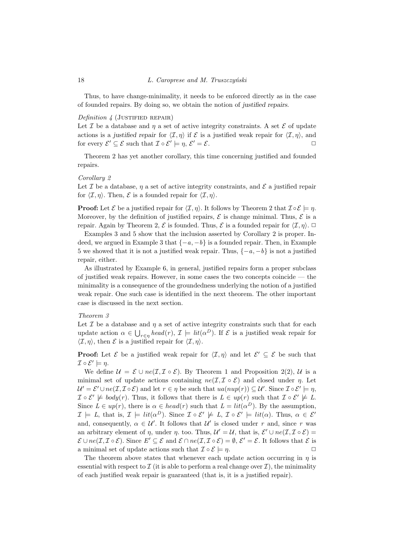Thus, to have change-minimality, it needs to be enforced directly as in the case of founded repairs. By doing so, we obtain the notion of justified repairs.

# Definition  $\lambda$  (JUSTIFIED REPAIR)

Let  $\mathcal I$  be a database and  $\eta$  a set of active integrity constraints. A set  $\mathcal E$  of update actions is a justified repair for  $\langle \mathcal{I}, \eta \rangle$  if  $\mathcal{E}$  is a justified weak repair for  $\langle \mathcal{I}, \eta \rangle$ , and for every  $\mathcal{E}' \subseteq \mathcal{E}$  such that  $\mathcal{I} \circ \mathcal{E}' \models \eta, \, \mathcal{E}' = \mathcal{E}.$ 

Theorem 2 has yet another corollary, this time concerning justified and founded repairs.

# Corollary 2

Let T be a database,  $\eta$  a set of active integrity constraints, and  $\mathcal E$  a justified repair for  $\langle \mathcal{I}, \eta \rangle$ . Then,  $\mathcal{E}$  is a founded repair for  $\langle \mathcal{I}, \eta \rangle$ .

**Proof:** Let  $\mathcal{E}$  be a justified repair for  $\langle \mathcal{I}, \eta \rangle$ . It follows by Theorem 2 that  $\mathcal{I} \circ \mathcal{E} \models \eta$ . Moreover, by the definition of justified repairs,  $\mathcal E$  is change minimal. Thus,  $\mathcal E$  is a repair. Again by Theorem 2,  $\mathcal E$  is founded. Thus,  $\mathcal E$  is a founded repair for  $\langle \mathcal I, \eta \rangle$ .

Examples 3 and 5 show that the inclusion asserted by Corollary 2 is proper. Indeed, we argued in Example 3 that  $\{-a, -b\}$  is a founded repair. Then, in Example 5 we showed that it is not a justified weak repair. Thus,  $\{-a, -b\}$  is not a justified repair, either.

As illustrated by Example 6, in general, justified repairs form a proper subclass of justified weak repairs. However, in some cases the two concepts coincide — the minimality is a consequence of the groundedness underlying the notion of a justified weak repair. One such case is identified in the next theorem. The other important case is discussed in the next section.

# Theorem 3

Let  $\mathcal I$  be a database and  $\eta$  a set of active integrity constraints such that for each update action  $\alpha \in \bigcup_{r \in \eta} \text{head}(r)$ ,  $\mathcal{I} \models \text{lit}(\alpha^D)$ . If  $\mathcal{E}$  is a justified weak repair for  $\langle \mathcal{I}, \eta \rangle$ , then  $\mathcal{E}$  is a justified repair for  $\langle \mathcal{I}, \eta \rangle$ .

**Proof:** Let  $\mathcal{E}$  be a justified weak repair for  $\langle I,\eta\rangle$  and let  $\mathcal{E}' \subseteq \mathcal{E}$  be such that  $\mathcal{I} \circ \mathcal{E}' \models \eta.$ 

We define  $\mathcal{U} = \mathcal{E} \cup ne(\mathcal{I}, \mathcal{I} \circ \mathcal{E})$ . By Theorem 1 and Proposition 2(2),  $\mathcal{U}$  is a minimal set of update actions containing  $ne(\mathcal{I}, \mathcal{I} \circ \mathcal{E})$  and closed under  $\eta$ . Let  $\mathcal{U}' = \mathcal{E}' \cup ne(\mathcal{I}, \mathcal{I} \circ \mathcal{E})$  and let  $r \in \eta$  be such that  $ua(nup(r)) \subseteq \mathcal{U}'$ . Since  $\mathcal{I} \circ \mathcal{E}' \models \eta$ ,  $\mathcal{I} \circ \mathcal{E}' \not\models \mathit{body}(r)$ . Thus, it follows that there is  $L \in up(r)$  such that  $\mathcal{I} \circ \mathcal{E}' \not\models L$ . Since  $L \in up(r)$ , there is  $\alpha \in head(r)$  such that  $L = lit(\alpha^D)$ . By the assumption,  $\mathcal{I} \models L$ , that is,  $\mathcal{I} \models lit(\alpha^D)$ . Since  $\mathcal{I} \circ \mathcal{E}' \not\models L$ ,  $\mathcal{I} \circ \mathcal{E}' \models lit(\alpha)$ . Thus,  $\alpha \in \mathcal{E}'$ and, consequently,  $\alpha \in \mathcal{U}'$ . It follows that  $\mathcal{U}'$  is closed under r and, since r was an arbitrary element of  $\eta$ , under  $\eta$ . too. Thus,  $\mathcal{U}' = \mathcal{U}$ , that is,  $\mathcal{E}' \cup ne(\mathcal{I}, \mathcal{I} \circ \mathcal{E}) =$  $\mathcal{E} \cup ne(\mathcal{I}, \mathcal{I} \circ \mathcal{E})$ . Since  $E' \subseteq \mathcal{E}$  and  $\mathcal{E} \cap ne(\mathcal{I}, \mathcal{I} \circ \mathcal{E}) = \emptyset$ ,  $\mathcal{E}' = \mathcal{E}$ . It follows that  $\mathcal{E}$  is a minimal set of update actions such that  $\mathcal{I} \circ \mathcal{E} \models \eta$ .

The theorem above states that whenever each update action occurring in  $\eta$  is essential with respect to  $\mathcal I$  (it is able to perform a real change over  $\mathcal I$ ), the minimality of each justified weak repair is guaranteed (that is, it is a justified repair).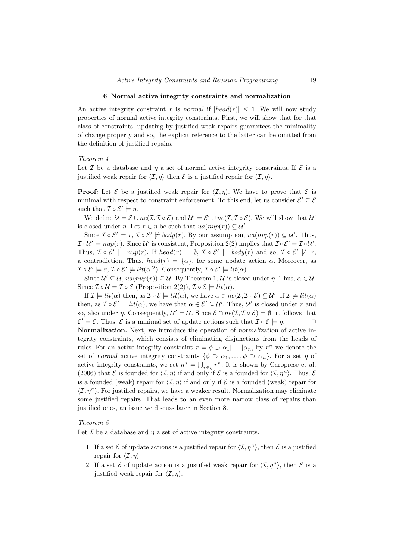# 6 Normal active integrity constraints and normalization

An active integrity constraint r is normal if  $|head(r)| \leq 1$ . We will now study properties of normal active integrity constraints. First, we will show that for that class of constraints, updating by justified weak repairs guarantees the minimality of change property and so, the explicit reference to the latter can be omitted from the definition of justified repairs.

# Theorem 4

Let T be a database and  $\eta$  a set of normal active integrity constraints. If  $\mathcal E$  is a justified weak repair for  $\langle \mathcal{I}, \eta \rangle$  then E is a justified repair for  $\langle \mathcal{I}, \eta \rangle$ .

**Proof:** Let  $\mathcal{E}$  be a justified weak repair for  $\langle \mathcal{I}, \eta \rangle$ . We have to prove that  $\mathcal{E}$  is minimal with respect to constraint enforcement. To this end, let us consider  $\mathcal{E}' \subseteq \mathcal{E}$ such that  $\mathcal{I} \circ \mathcal{E}' \models \eta$ .

We define  $\mathcal{U} = \mathcal{E} \cup ne(\mathcal{I}, \mathcal{I} \circ \mathcal{E})$  and  $\mathcal{U}' = \mathcal{E}' \cup ne(\mathcal{I}, \mathcal{I} \circ \mathcal{E})$ . We will show that  $\mathcal{U}'$ is closed under  $\eta$ . Let  $r \in \eta$  be such that  $ua(nup(r)) \subseteq \mathcal{U}'$ .

Since  $\mathcal{I} \circ \mathcal{E}' \models r, \mathcal{I} \circ \mathcal{E}' \not\models body(r)$ . By our assumption,  $ua(nup(r)) \subseteq \mathcal{U}'$ . Thus,  $\mathcal{I} \circ \mathcal{U}' \models nup(r)$ . Since  $\mathcal{U}'$  is consistent, Proposition 2(2) implies that  $\mathcal{I} \circ \mathcal{E}' = \mathcal{I} \circ \mathcal{U}'$ . Thus,  $\mathcal{I} \circ \mathcal{E}' \models nup(r)$ . If  $head(r) = \emptyset$ ,  $\mathcal{I} \circ \mathcal{E}' \models body(r)$  and so,  $\mathcal{I} \circ \mathcal{E}' \not\models r$ , a contradiction. Thus,  $head(r) = {\alpha}$ , for some update action  $\alpha$ . Moreover, as  $\mathcal{I} \circ \mathcal{E}' \models r, \mathcal{I} \circ \mathcal{E}' \not\models lit(\alpha^D)$ . Consequently,  $\mathcal{I} \circ \mathcal{E}' \models lit(\alpha)$ .

Since  $\mathcal{U}' \subseteq \mathcal{U}$ ,  $ua(nup(r)) \subseteq \mathcal{U}$ . By Theorem 1,  $\mathcal{U}$  is closed under  $\eta$ . Thus,  $\alpha \in \mathcal{U}$ . Since  $\mathcal{I} \circ \mathcal{U} = \mathcal{I} \circ \mathcal{E}$  (Proposition 2(2)),  $\mathcal{I} \circ \mathcal{E} \models lit(\alpha)$ .

If  $\mathcal{I} \models lit(\alpha)$  then, as  $\mathcal{I} \circ \mathcal{E} \models lit(\alpha)$ , we have  $\alpha \in ne(\mathcal{I}, \mathcal{I} \circ \mathcal{E}) \subseteq \mathcal{U}'$ . If  $\mathcal{I} \not\models lit(\alpha)$ then, as  $\mathcal{I} \circ \mathcal{E}' \models lit(\alpha)$ , we have that  $\alpha \in \mathcal{E}' \subseteq \mathcal{U}'$ . Thus,  $\mathcal{U}'$  is closed under r and so, also under  $\eta$ . Consequently,  $\mathcal{U}' = \mathcal{U}$ . Since  $\mathcal{E} \cap ne(\mathcal{I}, \mathcal{I} \circ \mathcal{E}) = \emptyset$ , it follows that  $\mathcal{E}' = \mathcal{E}$ . Thus,  $\mathcal{E}$  is a minimal set of update actions such that  $\mathcal{I} \circ \mathcal{E} \models \eta$ . Normalization. Next, we introduce the operation of normalization of active integrity constraints, which consists of eliminating disjunctions from the heads of rules. For an active integrity constraint  $r = \phi \supset \alpha_1 | \dots | \alpha_n$ , by  $r^n$  we denote the set of normal active integrity constraints  $\{\phi \supset \alpha_1, \ldots, \phi \supset \alpha_n\}$ . For a set  $\eta$  of active integrity constraints, we set  $\eta^n = \bigcup_{r \in \eta} r^n$ . It is shown by Caroprese et al. (2006) that  $\mathcal E$  is founded for  $\langle \mathcal I, \eta \rangle$  if and only if  $\mathcal E$  is a founded for  $\langle \mathcal I, \eta^n \rangle$ . Thus,  $\mathcal E$ is a founded (weak) repair for  $\langle \mathcal{I}, \eta \rangle$  if and only if  $\mathcal{E}$  is a founded (weak) repair for  $\langle \mathcal{I}, \eta^n \rangle$ . For justified repairs, we have a weaker result. Normalization may eliminate some justified repairs. That leads to an even more narrow class of repairs than justified ones, an issue we discuss later in Section 8.

## Theorem 5

Let  $\mathcal I$  be a database and  $\eta$  a set of active integrity constraints.

- 1. If a set  $\mathcal E$  of update actions is a justified repair for  $\langle \mathcal I, \eta^n \rangle$ , then  $\mathcal E$  is a justified repair for  $\langle \mathcal{I}, \eta \rangle$
- 2. If a set  $\mathcal E$  of update action is a justified weak repair for  $\langle \mathcal I, \eta^n \rangle$ , then  $\mathcal E$  is a justified weak repair for  $\langle \mathcal{I}, \eta \rangle$ .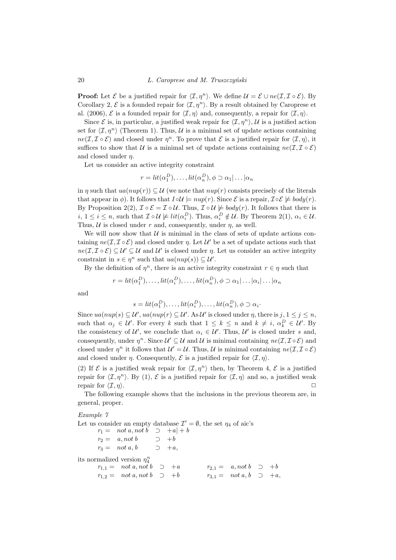**Proof:** Let  $\mathcal{E}$  be a justified repair for  $\langle I, \eta^n \rangle$ . We define  $\mathcal{U} = \mathcal{E} \cup ne(I, \mathcal{I} \circ \mathcal{E})$ . By Corollary 2,  $\mathcal E$  is a founded repair for  $\langle \mathcal I, \eta^n \rangle$ . By a result obtained by Caroprese et al. (2006),  $\mathcal E$  is a founded repair for  $\langle \mathcal I, \eta \rangle$  and, consequently, a repair for  $\langle \mathcal I, \eta \rangle$ .

Since  $\mathcal E$  is, in particular, a justified weak repair for  $\langle \mathcal I, \eta^n \rangle$ , U is a justified action set for  $\langle I, \eta^n \rangle$  (Theorem 1). Thus, U is a minimal set of update actions containing  $ne(\mathcal{I},\mathcal{I}\circ\mathcal{E})$  and closed under  $\eta^n$ . To prove that  $\mathcal{E}$  is a justified repair for  $\langle \mathcal{I},\eta\rangle$ , it suffices to show that U is a minimal set of update actions containing  $ne(\mathcal{I}, \mathcal{I} \circ \mathcal{E})$ and closed under  $\eta$ .

Let us consider an active integrity constraint

$$
r = lit(\alpha_1^D), \dots, lit(\alpha_n^D), \phi \supset \alpha_1 | \dots | \alpha_n
$$

in  $\eta$  such that  $ua(nup(r)) \subseteq U$  (we note that  $nup(r)$  consists precisely of the literals that appear in  $\phi$ ). It follows that  $I \circ \mathcal{U} \models nup(r)$ . Since  $\mathcal{E}$  is a repair,  $\mathcal{I} \circ \mathcal{E} \not\models body(r)$ . By Proposition 2(2),  $\mathcal{I} \circ \mathcal{E} = \mathcal{I} \circ \mathcal{U}$ . Thus,  $\mathcal{I} \circ \mathcal{U} \not\models \text{body}(r)$ . It follows that there is  $i, 1 \leq i \leq n$ , such that  $\mathcal{I} \circ \mathcal{U} \not\models \text{lit}(\alpha_i^D)$ . Thus,  $\alpha_i^D \notin \mathcal{U}$ . By Theorem 2(1),  $\alpha_i \in \mathcal{U}$ . Thus,  $U$  is closed under r and, consequently, under  $\eta$ , as well.

We will now show that  $U$  is minimal in the class of sets of update actions containing  $ne(\mathcal{I}, \mathcal{I} \circ \mathcal{E})$  and closed under  $\eta$ . Let  $\mathcal{U}'$  be a set of update actions such that  $ne(\mathcal{I}, \mathcal{I} \circ \mathcal{E}) \subseteq \mathcal{U}' \subseteq \mathcal{U}$  and  $\mathcal{U}'$  is closed under  $\eta$ . Let us consider an active integrity constraint in  $s \in \eta^n$  such that  $ua(nup(s)) \subseteq \mathcal{U}'$ .

By the definition of  $\eta^n$ , there is an active integrity constraint  $r \in \eta$  such that

$$
r = lit(\alpha_1^D), \dots, lit(\alpha_i^D), \dots, lit(\alpha_n^D), \phi \supset \alpha_1 | \dots | \alpha_i | \dots | \alpha_n
$$

and

$$
s = lit(\alpha_1^D), \dots, lit(\alpha_i^D), \dots, lit(\alpha_n^D), \phi \supset \alpha_i.
$$

Since  $ua(nup(s) \subseteq \mathcal{U}', ua(nup(r) \subseteq \mathcal{U}'.$  As  $\mathcal{U}'$  is closed under  $\eta$ , there is  $j, 1 \leq j \leq n$ , such that  $\alpha_j \in \mathcal{U}'$ . For every k such that  $1 \leq k \leq n$  and  $k \neq i$ ,  $\alpha_k^D \in \mathcal{U}'$ . By the consistency of  $\mathcal{U}'$ , we conclude that  $\alpha_i \in \mathcal{U}'$ . Thus,  $\mathcal{U}'$  is closed under s and, consequently, under  $\eta^n$ . Since  $\mathcal{U}' \subseteq \mathcal{U}$  and  $\mathcal{U}$  is minimal containing  $ne(\mathcal{I},\mathcal{I}\circ\mathcal{E})$  and closed under  $\eta^n$  it follows that  $\mathcal{U}' = \mathcal{U}$ . Thus,  $\mathcal{U}$  is minimal containing  $ne(\mathcal{I}, \mathcal{I} \circ \mathcal{E})$ and closed under *η*. Consequently,  $\mathcal E$  is a justified repair for  $\langle \mathcal I, \eta \rangle$ .

(2) If  $\mathcal E$  is a justified weak repair for  $\langle \mathcal I, \eta^n \rangle$  then, by Theorem 4,  $\mathcal E$  is a justified repair for  $\langle \mathcal{I}, \eta^n \rangle$ . By (1),  $\mathcal{E}$  is a justified repair for  $\langle \mathcal{I}, \eta \rangle$  and so, a justified weak repair for  $\langle \mathcal{I}, \eta \rangle$ .

The following example shows that the inclusions in the previous theorem are, in general, proper.

#### Example 7

Let us consider an empty database  $\mathcal{I}' = \emptyset$ , the set  $\eta_4$  of aic's  $r_1 = not a, not b \Rightarrow +a| + b$  $r_2 = a, not b \qquad \supset \quad +b$  $r_3 = not a, b \qquad \supset +a,$ its normalized version  $\eta_4^n$  $r_{1,1} = not a, not b \Rightarrow +a \qquad r_{2,1} = a, not b \Rightarrow +b$  $r_{1,2} = not a, not b \supset +b$   $r_{3,1} = not a, b \supset +a$ .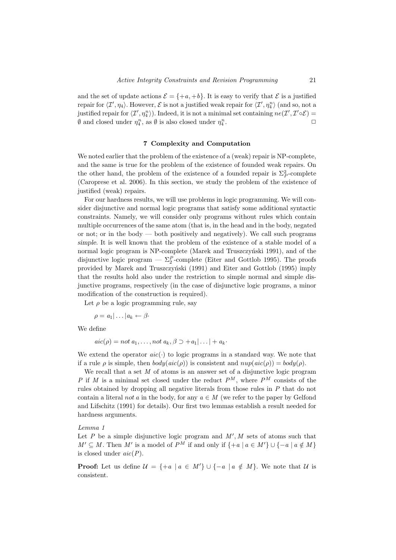and the set of update actions  $\mathcal{E} = \{+a, +b\}$ . It is easy to verify that  $\mathcal{E}$  is a justified repair for  $\langle \mathcal{I}', \eta_4 \rangle$ . However,  $\mathcal E$  is not a justified weak repair for  $\langle \mathcal{I}', \eta_4^n \rangle$  (and so, not a justified repair for  $\langle \mathcal{I}', \eta_4^n \rangle$ . Indeed, it is not a minimal set containing  $ne(\mathcal{I}', \mathcal{I}' \circ \mathcal{E})$  $\emptyset$  and closed under  $\eta_4^n$  , as  $\emptyset$  is also closed under  $\eta_4^n$ .  $\Box$ 

# 7 Complexity and Computation

We noted earlier that the problem of the existence of a (weak) repair is NP-complete, and the same is true for the problem of the existence of founded weak repairs. On the other hand, the problem of the existence of a founded repair is  $\Sigma_P^2$ -complete (Caroprese et al. 2006). In this section, we study the problem of the existence of justified (weak) repairs.

For our hardness results, we will use problems in logic programming. We will consider disjunctive and normal logic programs that satisfy some additional syntactic constraints. Namely, we will consider only programs without rules which contain multiple occurrences of the same atom (that is, in the head and in the body, negated or not; or in the body — both positively and negatively). We call such programs simple. It is well known that the problem of the existence of a stable model of a normal logic program is NP-complete (Marek and Truszczyniski 1991), and of the disjunctive logic program  $-\Sigma_2^P$ -complete (Eiter and Gottlob 1995). The proofs provided by Marek and Truszczyński (1991) and Eiter and Gottlob (1995) imply that the results hold also under the restriction to simple normal and simple disjunctive programs, respectively (in the case of disjunctive logic programs, a minor modification of the construction is required).

Let  $\rho$  be a logic programming rule, say

$$
\rho = a_1 | \dots | a_k \leftarrow \beta \cdot
$$

We define

$$
aic(\rho) = not a_1, \ldots, not a_k, \beta \supset +a_1 | \ldots | + a_k.
$$

We extend the operator  $aic(\cdot)$  to logic programs in a standard way. We note that if a rule  $\rho$  is simple, then  $body(aic(\rho))$  is consistent and  $nup(aic(\rho)) = body(\rho)$ .

We recall that a set  $M$  of atoms is an answer set of a disjunctive logic program P if M is a minimal set closed under the reduct  $P^M$ , where  $P^M$  consists of the rules obtained by dropping all negative literals from those rules in P that do not contain a literal not a in the body, for any  $a \in M$  (we refer to the paper by Gelfond and Lifschitz (1991) for details). Our first two lemmas establish a result needed for hardness arguments.

# Lemma 1

Let  $P$  be a simple disjunctive logic program and  $M', M$  sets of atoms such that  $M' \subseteq M$ . Then M' is a model of  $P^M$  if and only if  $\{+a \mid a \in M'\} \cup \{-a \mid a \notin M\}$ is closed under  $aic(P)$ .

**Proof:** Let us define  $\mathcal{U} = \{+a \mid a \in M'\} \cup \{-a \mid a \notin M\}$ . We note that  $\mathcal{U}$  is consistent.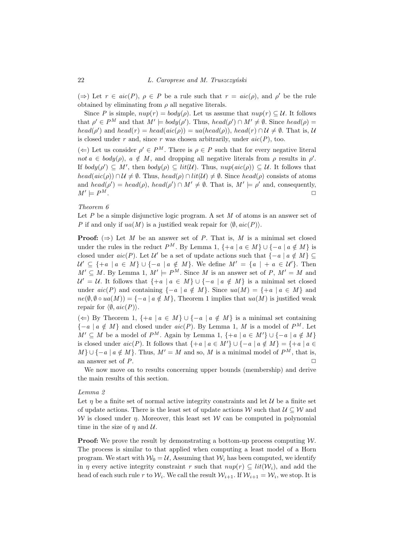$(\Rightarrow)$  Let  $r \in \text{aic}(P)$ ,  $\rho \in P$  be a rule such that  $r = \text{aic}(\rho)$ , and  $\rho'$  be the rule obtained by eliminating from  $\rho$  all negative literals.

Since P is simple,  $nup(r) = body(\rho)$ . Let us assume that  $nup(r) \subset U$ . It follows that  $\rho' \in P^M$  and that  $M' \models body(\rho')$ . Thus,  $head(\rho') \cap M' \neq \emptyset$ . Since  $head(\rho) =$  $head(\rho')$  and  $head(r) = head(aic(\rho)) = ua(head(\rho)), head(r) \cap U \neq \emptyset$ . That is, U is closed under r and, since r was chosen arbitrarily, under  $aic(P)$ , too.

 $(\Leftarrow)$  Let us consider  $\rho' \in P^M$ . There is  $\rho \in P$  such that for every negative literal not  $a \in body(\rho)$ ,  $a \notin M$ , and dropping all negative literals from  $\rho$  results in  $\rho'$ . If  $body(\rho') \subseteq M'$ , then  $body(\rho) \subseteq lit(\mathcal{U})$ . Thus,  $nup(aic(\rho)) \subseteq \mathcal{U}$ . It follows that  $head(aic(\rho)) \cap \mathcal{U} \neq \emptyset$ . Thus,  $head(\rho) \cap lit(\mathcal{U}) \neq \emptyset$ . Since  $head(\rho)$  consists of atoms and  $head(\rho') = head(\rho), head(\rho') \cap M' \neq \emptyset$ . That is,  $M' \models \rho'$  and, consequently,  $M' \models P^M$ .  $\models P^M.$ 

#### Theorem 6

Let  $P$  be a simple disjunctive logic program. A set  $M$  of atoms is an answer set of P if and only if  $ua(M)$  is a justified weak repair for  $\langle \emptyset, aic(P) \rangle$ .

**Proof:**  $(\Rightarrow)$  Let M be an answer set of P. That is, M is a minimal set closed under the rules in the reduct  $P^M$ . By Lemma 1, {+a | a ∈ M}  $\cup$  {-a | a ∉ M} is closed under  $aic(P)$ . Let U' be a set of update actions such that  $\{-a \mid a \notin M\} \subseteq$  $U' \subseteq \{+a \mid a \in M\} \cup \{-a \mid a \notin M\}.$  We define  $M' = \{a \mid +a \in U'\}.$  Then  $M' \subseteq M$ . By Lemma 1,  $M' \models P^M$ . Since M is an answer set of P,  $M' = M$  and  $\mathcal{U}' = \mathcal{U}$ . It follows that  $\{+a \mid a \in M\} \cup \{-a \mid a \notin M\}$  is a minimal set closed under  $aic(P)$  and containing  $\{-a \mid a \notin M\}$ . Since  $ua(M) = \{+a \mid a \in M\}$  and  $ne(\emptyset, \emptyset \circ ua(M)) = \{-a \mid a \notin M\}$ , Theorem 1 implies that  $ua(M)$  is justified weak repair for  $\langle \emptyset, aic(P) \rangle$ .

(∈) By Theorem 1,  $\{+a \mid a \in M\} \cup \{-a \mid a \notin M\}$  is a minimal set containing  ${-a \mid a \notin M}$  and closed under  $aic(P)$ . By Lemma 1, M is a model of  $P^M$ . Let  $M' \subseteq M$  be a model of  $P^M$ . Again by Lemma 1,  $\{+a \mid a \in M'\} \cup \{-a \mid a \notin M\}$ is closed under  $aic(P)$ . It follows that  $\{+a \mid a \in M'\} \cup \{-a \mid a \notin M\} = \{+a \mid a \in$  $M \} \cup \{-a \mid a \notin M\}$ . Thus,  $M' = M$  and so, M is a minimal model of  $P^M$ , that is, an answer set of P.  $\Box$ 

We now move on to results concerning upper bounds (membership) and derive the main results of this section.

#### Lemma 2

Let  $\eta$  be a finite set of normal active integrity constraints and let  $\mathcal U$  be a finite set of update actions. There is the least set of update actions W such that  $\mathcal{U} \subseteq \mathcal{W}$  and W is closed under  $\eta$ . Moreover, this least set W can be computed in polynomial time in the size of  $\eta$  and  $\mathcal{U}$ .

**Proof:** We prove the result by demonstrating a bottom-up process computing  $W$ . The process is similar to that applied when computing a least model of a Horn program. We start with  $W_0 = U$ , Assuming that  $W_i$  has been computed, we identify in  $\eta$  every active integrity constraint r such that  $nup(r) \subseteq lit(\mathcal{W}_i)$ , and add the head of each such rule r to  $\mathcal{W}_i$ . We call the result  $\mathcal{W}_{i+1}$ . If  $\mathcal{W}_{i+1} = \mathcal{W}_i$ , we stop. It is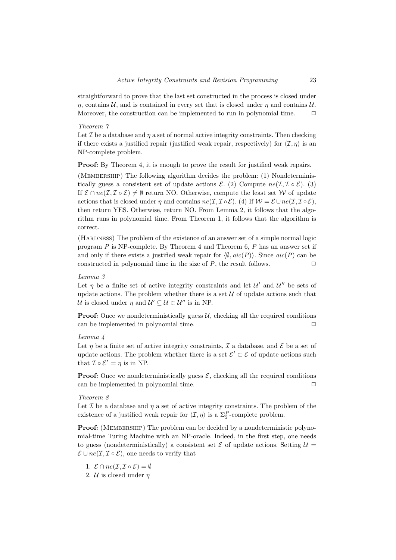straightforward to prove that the last set constructed in the process is closed under  $\eta$ , contains U, and is contained in every set that is closed under  $\eta$  and contains U. Moreover, the construction can be implemented to run in polynomial time.  $\Box$ 

#### Theorem 7

Let  $\mathcal I$  be a database and  $\eta$  a set of normal active integrity constraints. Then checking if there exists a justified repair (justified weak repair, respectively) for  $\langle \mathcal{I}, \eta \rangle$  is an NP-complete problem.

Proof: By Theorem 4, it is enough to prove the result for justified weak repairs.

(MEMBERSHIP) The following algorithm decides the problem: (1) Nondeterministically guess a consistent set of update actions  $\mathcal{E}$ . (2) Compute  $ne(\mathcal{I}, \mathcal{I} \circ \mathcal{E})$ . (3) If  $\mathcal{E} \cap ne(\mathcal{I}, \mathcal{I} \circ \mathcal{E}) \neq \emptyset$  return NO. Otherwise, compute the least set W of update actions that is closed under *n* and contains  $ne(\mathcal{I}, \mathcal{I} \circ \mathcal{E})$ . (4) If  $\mathcal{W} = \mathcal{E} \cup ne(\mathcal{I}, \mathcal{I} \circ \mathcal{E})$ . then return YES. Otherwise, return NO. From Lemma 2, it follows that the algorithm runs in polynomial time. From Theorem 1, it follows that the algorithm is correct.

(Hardness) The problem of the existence of an answer set of a simple normal logic program  $P$  is NP-complete. By Theorem 4 and Theorem 6,  $P$  has an answer set if and only if there exists a justified weak repair for  $\langle \emptyset, \text{aic}(P) \rangle$ . Since  $\text{aic}(P)$  can be constructed in polynomial time in the size of  $P$ , the result follows.  $\Box$ 

# Lemma 3

Let  $\eta$  be a finite set of active integrity constraints and let  $\mathcal{U}'$  and  $\mathcal{U}''$  be sets of update actions. The problem whether there is a set  $U$  of update actions such that U is closed under  $\eta$  and  $\mathcal{U}' \subseteq \mathcal{U} \subset \mathcal{U}''$  is in NP.

**Proof:** Once we nondeterministically guess  $U$ , checking all the required conditions can be implemented in polynomial time.  $\Box$ 

# Lemma 4

Let  $\eta$  be a finite set of active integrity constraints,  $\mathcal I$  a database, and  $\mathcal E$  be a set of update actions. The problem whether there is a set  $\mathcal{E}' \subset \mathcal{E}$  of update actions such that  $\mathcal{I} \circ \mathcal{E}' \models \eta$  is in NP.

**Proof:** Once we nondeterministically guess  $\mathcal{E}$ , checking all the required conditions can be implemented in polynomial time.  $\Box$ 

# Theorem 8

Let  $\mathcal I$  be a database and  $\eta$  a set of active integrity constraints. The problem of the existence of a justified weak repair for  $\langle \mathcal{I}, \eta \rangle$  is a  $\Sigma_2^P$ -complete problem.

**Proof:** (MEMBERSHIP) The problem can be decided by a nondeterministic polynomial-time Turing Machine with an NP-oracle. Indeed, in the first step, one needs to guess (nondeterministically) a consistent set  $\mathcal E$  of update actions. Setting  $\mathcal U$  =  $\mathcal{E} \cup ne(\mathcal{I}, \mathcal{I} \circ \mathcal{E})$ , one needs to verify that

- 1.  $\mathcal{E} \cap ne(\mathcal{I}, \mathcal{I} \circ \mathcal{E}) = \emptyset$
- 2. *U* is closed under  $\eta$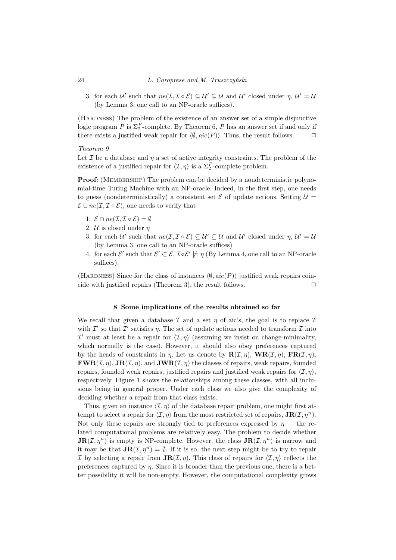3. for each U' such that  $ne(\mathcal{I}, \mathcal{I} \circ \mathcal{E}) \subseteq \mathcal{U}' \subseteq \mathcal{U}$  and U' closed under  $\eta, \mathcal{U}' = \mathcal{U}$ (by Lemma 3, one call to an NP-oracle suffices).

(HARDNESS) The problem of the existence of an answer set of a simple disjunctive logic program P is  $\Sigma_2^P$ -complete. By Theorem 6, P has an answer set if and only if there exists a justified weak repair for  $\langle \emptyset, \text{aic}(P) \rangle$ . Thus, the result follows.  $\Box$ 

#### Theorem 9

Let  $\mathcal I$  be a database and  $\eta$  a set of active integrity constraints. The problem of the existence of a justified repair for  $\langle \mathcal{I}, \eta \rangle$  is a  $\Sigma_2^P$ -complete problem.

Proof: (MEMBERSHIP) The problem can be decided by a nondeterministic polynomial-time Turing Machine with an NP-oracle. Indeed, in the first step, one needs to guess (nondeterministically) a consistent set  $\mathcal E$  of update actions. Setting  $\mathcal U$  =  $\mathcal{E} \cup ne(\mathcal{I}, \mathcal{I} \circ \mathcal{E})$ , one needs to verify that

- 1.  $\mathcal{E} \cap ne(\mathcal{I}, \mathcal{I} \circ \mathcal{E}) = \emptyset$
- 2. *U* is closed under  $\eta$
- 3. for each U' such that  $ne(\mathcal{I}, \mathcal{I} \circ \mathcal{E}) \subseteq \mathcal{U}' \subseteq \mathcal{U}$  and U' closed under  $\eta, \mathcal{U}' = \mathcal{U}$ (by Lemma 3, one call to an NP-oracle suffices)
- 4. for each  $\mathcal{E}'$  such that  $\mathcal{E}' \subset \mathcal{E}, \mathcal{I} \circ \mathcal{E}' \not\models \eta$  (By Lemma 4, one call to an NP-oracle suffices).

(HARDNESS) Since for the class of instances  $\langle \emptyset, \text{aic}(P) \rangle$  justified weak repairs coincide with justified repairs (Theorem 3), the result follows.  $\Box$ 

# 8 Some implications of the results obtained so far

We recall that given a database  $\mathcal I$  and a set  $\eta$  of aic's, the goal is to replace  $\mathcal I$ with  $\mathcal{I}'$  so that  $\mathcal{I}'$  satisfies  $\eta$ . The set of update actions needed to transform  $\mathcal{I}$  into  $\mathcal{I}'$  must at least be a repair for  $\langle \mathcal{I}, \eta \rangle$  (assuming we insist on change-minimality, which normally is the case). However, it should also obey preferences captured by the heads of constraints in *η*. Let us denote by  $\mathbf{R}(\mathcal{I}, \eta)$ ,  $\mathbf{WR}(\mathcal{I}, \eta)$ ,  $\mathbf{FR}(\mathcal{I}, \eta)$ ,  $\text{FWR}(\mathcal{I}, \eta)$ ,  $\text{JR}(\mathcal{I}, \eta)$ , and  $\text{JWR}(\mathcal{I}, \eta)$  the classes of repairs, weak repairs, founded repairs, founded weak repairs, justified repairs and justified weak repairs for  $\langle \mathcal{I}, \eta \rangle$ , respectively. Figure 1 shows the relationships among these classes, with all inclusions being in general proper. Under each class we also give the complexity of deciding whether a repair from that class exists.

Thus, given an instance  $\langle \mathcal{I}, \eta \rangle$  of the database repair problem, one might first attempt to select a repair for  $\langle \mathcal{I}, \eta \rangle$  from the most restricted set of repairs,  $\mathbf{JR}(\mathcal{I}, \eta^n)$ . Not only these repairs are strongly tied to preferences expressed by  $\eta$  — the related computational problems are relatively easy. The problem to decide whether  $\mathbf{J}\mathbf{R}(\mathcal{I},\eta^n)$  is empty is NP-complete. However, the class  $\mathbf{J}\mathbf{R}(\mathcal{I},\eta^n)$  is narrow and it may be that  $\mathbf{JR}(\mathcal{I}, \eta^n) = \emptyset$ . If it is so, the next step might be to try to repair I by selecting a repair from  $\text{JR}(\mathcal{I}, \eta)$ . This class of repairs for  $\langle \mathcal{I}, \eta \rangle$  reflects the preferences captured by  $\eta$ . Since it is broader than the previous one, there is a better possibility it will be non-empty. However, the computational complexity grows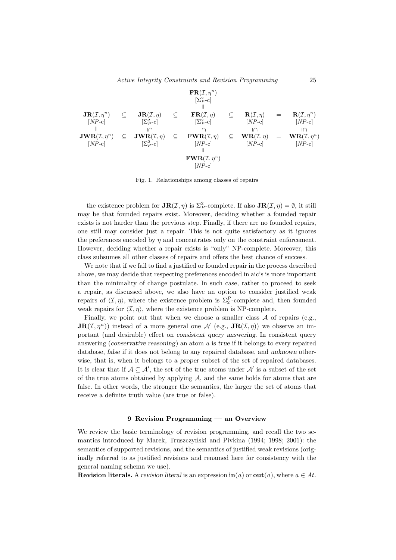FR(I, η<sup>n</sup> ) [Σ<sup>2</sup> <sup>P</sup> -c] =JR(I, η<sup>n</sup> ) ⊆ JR(I, η) ⊆ FR(I, η) ⊆ R(I, η) = R(I, η<sup>n</sup> ) [NP-c] [Σ<sup>2</sup> <sup>P</sup> -c] [Σ<sup>2</sup> <sup>P</sup> -c] [NP-c] [NP-c] ⊆ ⊆ ⊆ ⊆ JWR(I, η<sup>n</sup> ) ⊆ JWR(I, η) ⊆ FWR(I, η) ⊆ WR(I, η) = WR(I, η<sup>n</sup> ) [NP-c] [Σ<sup>2</sup> <sup>P</sup> -c] [NP-c] [NP-c] [NP-c] FWR(I, η<sup>n</sup> ) [NP-c]

Fig. 1. Relationships among classes of repairs

— the existence problem for  $\mathbf{JR}(\mathcal{I},\eta)$  is  $\Sigma_P^2$ -complete. If also  $\mathbf{JR}(\mathcal{I},\eta) = \emptyset$ , it still may be that founded repairs exist. Moreover, deciding whether a founded repair exists is not harder than the previous step. Finally, if there are no founded repairs, one still may consider just a repair. This is not quite satisfactory as it ignores the preferences encoded by  $\eta$  and concentrates only on the constraint enforcement. However, deciding whether a repair exists is "only" NP-complete. Moreover, this class subsumes all other classes of repairs and offers the best chance of success.

We note that if we fail to find a justified or founded repair in the process described above, we may decide that respecting preferences encoded in aic's is more important than the minimality of change postulate. In such case, rather to proceed to seek a repair, as discussed above, we also have an option to consider justified weak repairs of  $\langle \mathcal{I}, \eta \rangle$ , where the existence problem is  $\Sigma_2^P$ -complete and, then founded weak repairs for  $\langle \mathcal{I}, \eta \rangle$ , where the existence problem is NP-complete.

Finally, we point out that when we choose a smaller class  $\mathcal A$  of repairs (e.g.,  $J\mathbf{R}(\mathcal{I},\eta^n)$  instead of a more general one  $\mathcal{A}'$  (e.g.,  $J\mathbf{R}(\mathcal{I},\eta)$ ) we observe an important (and desirable) effect on consistent query answering. In consistent query answering (conservative reasoning) an atom a is true if it belongs to every repaired database, false if it does not belong to any repaired database, and unknown otherwise, that is, when it belongs to a proper subset of the set of repaired databases. It is clear that if  $A \subseteq \mathcal{A}'$ , the set of the true atoms under  $\mathcal{A}'$  is a subset of the set of the true atoms obtained by applying  $A$ , and the same holds for atoms that are false. In other words, the stronger the semantics, the larger the set of atoms that receive a definite truth value (are true or false).

#### 9 Revision Programming — an Overview

We review the basic terminology of revision programming, and recall the two semantics introduced by Marek, Truszczyński and Pivkina (1994; 1998; 2001): the semantics of supported revisions, and the semantics of justified weak revisions (originally referred to as justified revisions and renamed here for consistency with the general naming schema we use).

**Revision literals.** A revision literal is an expression  $\text{in}(a)$  or  $\text{out}(a)$ , where  $a \in At$ .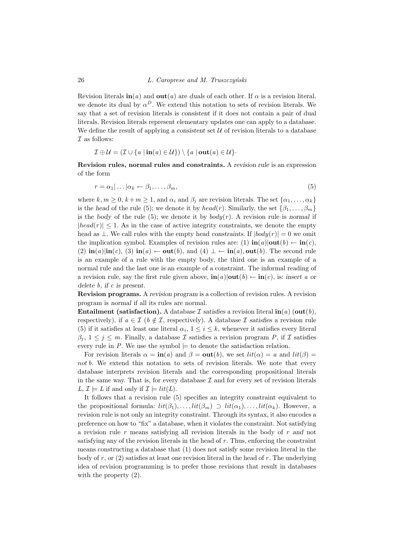Revision literals  $\mathbf{in}(a)$  and  $\mathbf{out}(a)$  are duals of each other. If  $\alpha$  is a revision literal, we denote its dual by  $\alpha^D$ . We extend this notation to sets of revision literals. We say that a set of revision literals is consistent if it does not contain a pair of dual literals. Revision literals represent elementary updates one can apply to a database. We define the result of applying a consistent set  $\mathcal U$  of revision literals to a database  $\mathcal I$  as follows:

$$
\mathcal{I} \oplus \mathcal{U} = (\mathcal{I} \cup \{a \mid \mathbf{in}(a) \in \mathcal{U}\}) \setminus \{a \mid \mathbf{out}(a) \in \mathcal{U}\}\
$$

Revision rules, normal rules and constraints. A revision rule is an expression of the form

$$
r = \alpha_1 | \dots | \alpha_k \leftarrow \beta_1, \dots, \beta_m,\tag{5}
$$

where k,  $m \geq 0$ ,  $k + m \geq 1$ , and  $\alpha_i$  and  $\beta_j$  are revision literals. The set  $\{\alpha_1, \dots, \alpha_k\}$ is the head of the rule (5); we denote it by  $head(r)$ . Similarly, the set  $\{\beta_1, \ldots, \beta_m\}$ is the body of the rule (5); we denote it by  $body(r)$ . A revision rule is normal if  $|head(r)| \leq 1$ . As in the case of active integrity constraints, we denote the empty head as ⊥. We call rules with the empty head constraints. If  $|body(r)| = 0$  we omit the implication symbol. Examples of revision rules are: (1)  $\text{in}(a)\text{out}(b) \leftarrow \text{in}(c)$ , (2)  $\text{in}(a)|\text{in}(c), (3) \text{in}(a) \leftarrow \text{out}(b), \text{and}(4) \perp \leftarrow \text{in}(a), \text{out}(b).$  The second rule is an example of a rule with the empty body, the third one is an example of a normal rule and the last one is an example of a constraint. The informal reading of a revision rule, say the first rule given above,  $\mathbf{in}(a)|\mathbf{out}(b) \leftarrow \mathbf{in}(c)$ , is: insert a or delete b, if c is present.

Revision programs. A revision program is a collection of revision rules. A revision program is normal if all its rules are normal.

**Entailment (satisfaction).** A database *I* satisfies a revision literal  $\text{in}(a)$  (out(b), respectively), if  $a \in \mathcal{I}$  ( $b \notin \mathcal{I}$ , respectively). A database  $\mathcal{I}$  satisfies a revision rule (5) if it satisfies at least one literal  $\alpha_i$ ,  $1 \leq i \leq k$ , whenever it satisfies every literal  $\beta_j$ ,  $1 \leq j \leq m$ . Finally, a database  $\mathcal I$  satisfies a revision program P, if  $\mathcal I$  satisfies every rule in P. We use the symbol  $\models$  to denote the satisfaction relation.

For revision literals  $\alpha = \text{in}(a)$  and  $\beta = \text{out}(b)$ , we set  $lit(\alpha) = a$  and  $lit(\beta) =$ not b. We extend this notation to sets of revision literals. We note that every database interprets revision literals and the corresponding propositional literals in the same way. That is, for every database  $\mathcal I$  and for every set of revision literals  $L, \mathcal{I} \models L$  if and only if  $\mathcal{I} \models lit(L)$ .

It follows that a revision rule (5) specifies an integrity constraint equivalent to the propositional formula:  $lit(\beta_1), \ldots, lit(\beta_m) \supset lit(\alpha_1), \ldots, lit(\alpha_k)$ . However, a revision rule is not only an integrity constraint. Through its syntax, it also encodes a preference on how to "fix" a database, when it violates the constraint. Not satisfying a revision rule  $r$  means satisfying all revision literals in the body of  $r$  and not satisfying any of the revision literals in the head of  $r$ . Thus, enforcing the constraint means constructing a database that (1) does not satisfy some revision literal in the body of  $r$ , or  $(2)$  satisfies at least one revision literal in the head of  $r$ . The underlying idea of revision programming is to prefer those revisions that result in databases with the property (2).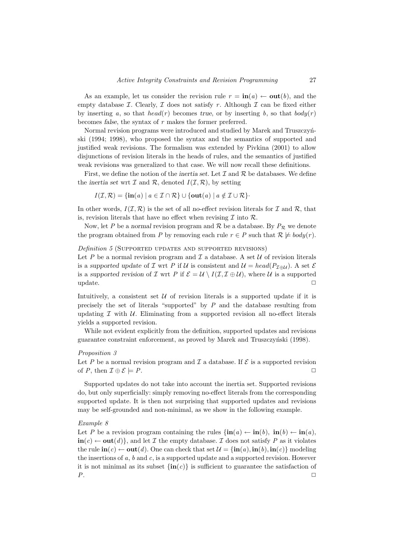As an example, let us consider the revision rule  $r = \text{in}(a) \leftarrow \text{out}(b)$ , and the empty database  $\mathcal I$ . Clearly,  $\mathcal I$  does not satisfy r. Although  $\mathcal I$  can be fixed either by inserting a, so that head(r) becomes true, or by inserting b, so that  $body(r)$ becomes false, the syntax of r makes the former preferred.

Normal revision programs were introduced and studied by Marek and Truszczynski (1994; 1998), who proposed the syntax and the semantics of supported and justified weak revisions. The formalism was extended by Pivkina (2001) to allow disjunctions of revision literals in the heads of rules, and the semantics of justified weak revisions was generalized to that case. We will now recall these definitions.

First, we define the notion of the inertia set. Let  $\mathcal I$  and  $\mathcal R$  be databases. We define the inertia set wrt  $\mathcal I$  and  $\mathcal R$ , denoted  $I(\mathcal I,\mathcal R)$ , by setting

$$
I(\mathcal{I},\mathcal{R}) = {\bf in}(a) | a \in \mathcal{I} \cap \mathcal{R} \} \cup {\bf out}(a) | a \notin \mathcal{I} \cup \mathcal{R} \}.
$$

In other words,  $I(\mathcal{I}, \mathcal{R})$  is the set of all no-effect revision literals for  $\mathcal{I}$  and  $\mathcal{R}$ , that is, revision literals that have no effect when revising  $\mathcal I$  into  $\mathcal R$ .

Now, let P be a normal revision program and R be a database. By  $P_R$  we denote the program obtained from P by removing each rule  $r \in P$  such that  $\mathcal{R} \not\models \text{body}(r)$ .

# Definition 5 (SUPPORTED UPDATES AND SUPPORTED REVISIONS)

Let P be a normal revision program and  $\mathcal I$  a database. A set  $\mathcal U$  of revision literals is a supported update of I wrt P if U is consistent and  $\mathcal{U} = head(P_{T \oplus \mathcal{U}})$ . A set E is a supported revision of I wrt P if  $\mathcal{E} = \mathcal{U} \setminus I(\mathcal{I}, \mathcal{I} \oplus \mathcal{U})$ , where U is a supported  $\Box$ 

Intuitively, a consistent set  $\mathcal U$  of revision literals is a supported update if it is precisely the set of literals "supported" by  $P$  and the database resulting from updating  $\mathcal I$  with  $\mathcal U$ . Eliminating from a supported revision all no-effect literals yields a supported revision.

While not evident explicitly from the definition, supported updates and revisions guarantee constraint enforcement, as proved by Marek and Truszczyński (1998).

## Proposition 3

Let P be a normal revision program and T a database. If  $\mathcal E$  is a supported revision of P, then  $\mathcal{I} \oplus \mathcal{E} \models P$ .

Supported updates do not take into account the inertia set. Supported revisions do, but only superficially: simply removing no-effect literals from the corresponding supported update. It is then not surprising that supported updates and revisions may be self-grounded and non-minimal, as we show in the following example.

#### Example 8

Let P be a revision program containing the rules  $\{in(a) \leftarrow in(b), in(b) \leftarrow in(a),\}$  $\textbf{in}(c) \leftarrow \textbf{out}(d)$ , and let T the empty database. T does not satisfy P as it violates the rule  $\textbf{in}(c) \leftarrow \textbf{out}(d)$ . One can check that set  $\mathcal{U} = {\textbf{in}(a), \textbf{in}(b), \textbf{in}(c)}$  modeling the insertions of  $a, b$  and  $c$ , is a supported update and a supported revision. However it is not minimal as its subset  $\{\mathbf{in}(c)\}\$ is sufficient to guarantee the satisfaction of  $P$ .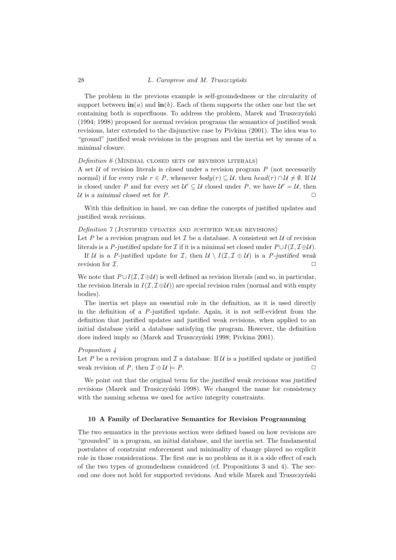The problem in the previous example is self-groundedness or the circularity of support between  $\text{in}(a)$  and  $\text{in}(b)$ . Each of them supports the other one but the set containing both is superfluous. To address the problem, Marek and Truszczynski (1994; 1998) proposed for normal revision programs the semantics of justified weak revisions, later extended to the disjunctive case by Pivkina (2001). The idea was to "ground" justified weak revisions in the program and the inertia set by means of a minimal closure.

## $Definition 6$  (MINIMAL CLOSED SETS OF REVISION LITERALS)

A set  $U$  of revision literals is closed under a revision program P (not necessarily normal) if for every rule  $r \in P$ , whenever  $body(r) \subseteq U$ , then  $head(r) \cap U \neq \emptyset$ . If U is closed under P and for every set  $\mathcal{U}' \subseteq \mathcal{U}$  closed under P, we have  $\mathcal{U}' = \mathcal{U}$ , then  $U$  is a minimal closed set for P.

With this definition in hand, we can define the concepts of justified updates and justified weak revisions.

# $Definition 7 (JUSTIFIED UPDATES AND JUSTIFIED WEAK REVISIONS)$

Let P be a revision program and let T be a database. A consistent set  $\mathcal U$  of revision literals is a P-justified update for  $\mathcal I$  if it is a minimal set closed under  $P\cup I(\mathcal I,\mathcal I\oplus\mathcal U)$ .

If U is a P-justified update for I, then  $U \setminus I(\mathcal{I}, \mathcal{I} \oplus U)$  is a P-justified weak revision for  $\mathcal{I}.$ 

We note that  $P \cup I(\mathcal{I}, \mathcal{I} \oplus \mathcal{U})$  is well defined as revision literals (and so, in particular, the revision literals in  $I(\mathcal{I}, \mathcal{I} \oplus \mathcal{U})$  are special revision rules (normal and with empty bodies).

The inertia set plays an essential role in the definition, as it is used directly in the definition of a  $P$ -justified update. Again, it is not self-evident from the definition that justified updates and justified weak revisions, when applied to an initial database yield a database satisfying the program. However, the definition does indeed imply so (Marek and Truszczyński 1998; Pivkina 2001).

#### Proposition 4

Let P be a revision program and  $\mathcal I$  a database. If  $\mathcal U$  is a justified update or justified weak revision of P, then  $\mathcal{I} \oplus \mathcal{U} \models P$ .

We point out that the original term for the justified weak revisions was justified revisions (Marek and Truszczyński 1998). We changed the name for consistency with the naming schema we used for active integrity constraints.

# 10 A Family of Declarative Semantics for Revision Programming

The two semantics in the previous section were defined based on how revisions are "grounded" in a program, an initial database, and the inertia set. The fundamental postulates of constraint enforcement and minimality of change played no explicit role in those considerations. The first one is no problem as it is a side effect of each of the two types of groundedness considered (cf. Propositions 3 and 4). The second one does not hold for supported revisions. And while Marek and Truszczyński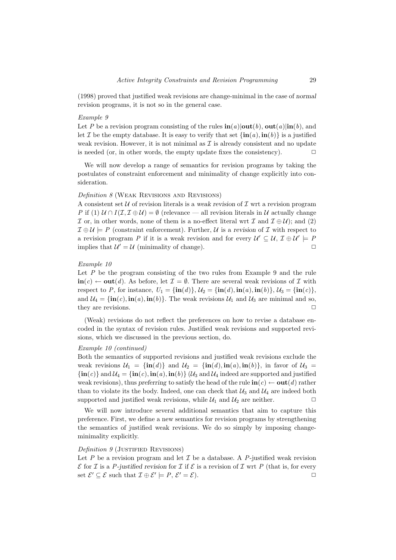(1998) proved that justified weak revisions are change-minimal in the case of normal revision programs, it is not so in the general case.

#### Example 9

Let P be a revision program consisting of the rules  $\text{in}(a)|\text{out}(b), \text{out}(a)|\text{in}(b)$ , and let I be the empty database. It is easy to verify that set  $\{in(a), in(b)\}$  is a justified weak revision. However, it is not minimal as  $\mathcal I$  is already consistent and no update is needed (or, in other words, the empty update fixes the consistency).  $\Box$ 

We will now develop a range of semantics for revision programs by taking the postulates of constraint enforcement and minimality of change explicitly into consideration.

#### Definition 8 (Weak Revisions and Revisions)

A consistent set  $U$  of revision literals is a weak revision of  $\mathcal I$  wrt a revision program P if (1)  $\mathcal{U} \cap I(\mathcal{I}, \mathcal{I} \oplus \mathcal{U}) = \emptyset$  (relevance — all revision literals in  $\mathcal{U}$  actually change I or, in other words, none of them is a no-effect literal wrt I and  $\mathcal{I} \oplus \mathcal{U}$ ; and (2)  $\mathcal{I} \oplus \mathcal{U} \models P$  (constraint enforcement). Further, U is a revision of T with respect to a revision program P if it is a weak revision and for every  $\mathcal{U}' \subseteq \mathcal{U}, \mathcal{I} \oplus \mathcal{U}' \models P$ implies that  $\mathcal{U}' = \mathcal{U}$  (minimality of change).

#### Example 10

Let  $P$  be the program consisting of the two rules from Example 9 and the rule  $\textbf{in}(c) \leftarrow \textbf{out}(d)$ . As before, let  $\mathcal{I} = \emptyset$ . There are several weak revisions of  $\mathcal{I}$  with respect to P, for instance,  $U_1 = {\text{in}(d)}$ ,  $U_2 = {\text{in}(d), \text{in}(a), \text{in}(b)}$ ,  $U_3 = {\text{in}(c)}$ , and  $\mathcal{U}_4 = {\bf{in}}(c), {\bf{in}}(a), {\bf{in}}(b)$ . The weak revisions  $\mathcal{U}_1$  and  $\mathcal{U}_3$  are minimal and so, they are revisions.

(Weak) revisions do not reflect the preferences on how to revise a database encoded in the syntax of revision rules. Justified weak revisions and supported revisions, which we discussed in the previous section, do.

# Example 10 (continued)

Both the semantics of supported revisions and justified weak revisions exclude the weak revisions  $\mathcal{U}_1 = {\text{in}(d)}$  and  $\mathcal{U}_2 = {\text{in}(d), \text{in}(a), \text{in}(b)}$ , in favor of  $\mathcal{U}_3 =$  ${\rm \{in\}}$  and  ${\mathcal U}_4 = {\rm \{in\}}(c),{\rm in\ }(a),{\rm in\ }(b)\}$  ( ${\mathcal U}_3$  and  ${\mathcal U}_4$  indeed are supported and justified weak revisions), thus preferring to satisfy the head of the rule  $\text{in}(c) \leftarrow \text{out}(d)$  rather than to violate its the body. Indeed, one can check that  $\mathcal{U}_3$  and  $\mathcal{U}_4$  are indeed both supported and justified weak revisions, while  $\mathcal{U}_1$  and  $\mathcal{U}_2$  are neither.

We will now introduce several additional semantics that aim to capture this preference. First, we define a new semantics for revision programs by strengthening the semantics of justified weak revisions. We do so simply by imposing changeminimality explicitly.

# $Definition 9 (JUSTIFIED REVISIONS)$

Let  $P$  be a revision program and let  $\mathcal I$  be a database. A  $P$ -justified weak revision  $\mathcal E$  for  $\mathcal I$  is a P-justified revision for  $\mathcal I$  if  $\mathcal E$  is a revision of  $\mathcal I$  wrt P (that is, for every set  $\mathcal{E}' \subseteq \mathcal{E}$  such that  $\mathcal{I} \oplus \mathcal{E}' \models P, \mathcal{E}' = \mathcal{E}$ .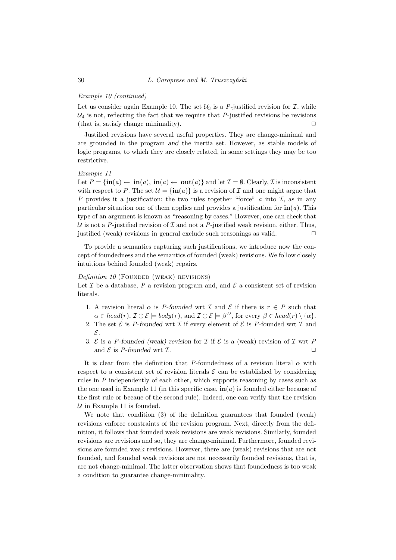#### Example 10 (continued)

Let us consider again Example 10. The set  $\mathcal{U}_3$  is a P-justified revision for  $\mathcal{I}$ , while  $\mathcal{U}_4$  is not, reflecting the fact that we require that P-justified revisions be revisions (that is, satisfy change minimality).  $\Box$ 

Justified revisions have several useful properties. They are change-minimal and are grounded in the program and the inertia set. However, as stable models of logic programs, to which they are closely related, in some settings they may be too restrictive.

# Example 11

Let  $P = {\rm \{inj}(a) \leftarrow \, {\rm \bf in}(a), \, {\rm \bf in}(a) \leftarrow \, {\rm \bf out}(a) \}$  and let  $\mathcal{I} = \emptyset$ . Clearly,  $\mathcal{I}$  is inconsistent with respect to P. The set  $\mathcal{U} = {\bf{in}}(a)$  is a revision of  $\mathcal I$  and one might argue that P provides it a justification: the two rules together "force" a into  $\mathcal{I}$ , as in any particular situation one of them applies and provides a justification for  $\mathbf{in}(a)$ . This type of an argument is known as "reasoning by cases." However, one can check that U is not a P-justified revision of  $\mathcal I$  and not a P-justified weak revision, either. Thus, justified (weak) revisions in general exclude such reasonings as valid.  $\Box$ 

To provide a semantics capturing such justifications, we introduce now the concept of foundedness and the semantics of founded (weak) revisions. We follow closely intuitions behind founded (weak) repairs.

# Definition 10 (FOUNDED (WEAK) REVISIONS)

Let  $\mathcal I$  be a database, P a revision program and, and  $\mathcal E$  a consistent set of revision literals.

- 1. A revision literal  $\alpha$  is P-founded wrt  $\mathcal I$  and  $\mathcal E$  if there is  $r \in P$  such that  $\alpha \in head(r), \mathcal{I} \oplus \mathcal{E} \models body(r), \text{ and } \mathcal{I} \oplus \mathcal{E} \models \beta^D, \text{ for every } \beta \in head(r) \setminus \{\alpha\}.$
- 2. The set  $\mathcal E$  is P-founded wrt  $\mathcal I$  if every element of  $\mathcal E$  is P-founded wrt  $\mathcal I$  and E.
- 3. E is a P-founded (weak) revision for  $\mathcal I$  if  $\mathcal E$  is a (weak) revision of  $\mathcal I$  wrt P and  $\mathcal E$  is P-founded wrt  $\mathcal I$ .

It is clear from the definition that P-foundedness of a revision literal  $\alpha$  with respect to a consistent set of revision literals  $\mathcal E$  can be established by considering rules in P independently of each other, which supports reasoning by cases such as the one used in Example 11 (in this specific case,  $\text{in}(a)$  is founded either because of the first rule or becaue of the second rule). Indeed, one can verify that the revision  $U$  in Example 11 is founded.

We note that condition (3) of the definition guarantees that founded (weak) revisions enforce constraints of the revision program. Next, directly from the definition, it follows that founded weak revisions are weak revisions. Similarly, founded revisions are revisions and so, they are change-minimal. Furthermore, founded revisions are founded weak revisions. However, there are (weak) revisions that are not founded, and founded weak revisions are not necessarily founded revisions, that is, are not change-minimal. The latter observation shows that foundedness is too weak a condition to guarantee change-minimality.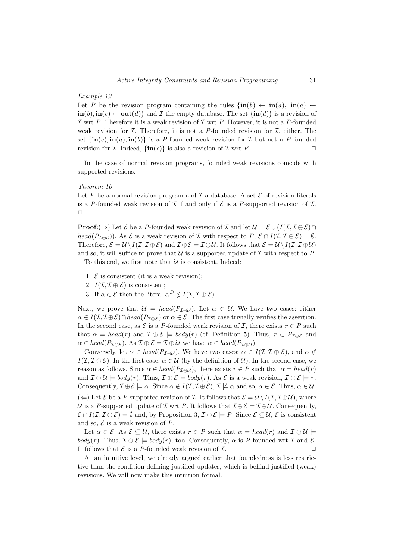## Example 12

Let P be the revision program containing the rules  $\{in(b) \leftarrow in(a), in(a) \leftarrow \}$  $\textbf{in}(b), \textbf{in}(c) \leftarrow \textbf{out}(d)$  and I the empty database. The set  $\{\textbf{in}(d)\}\$ is a revision of I wrt P. Therefore it is a weak revision of I wrt P. However, it is not a P-founded weak revision for  $\mathcal I$ . Therefore, it is not a P-founded revision for  $\mathcal I$ , either. The set  $\{\mathbf{in}(c), \mathbf{in}(a), \mathbf{in}(b)\}\$ is a P-founded weak revision for  $\mathcal I$  but not a P-founded revision for *I*. Indeed,  $\{in(c)\}$  is also a revision of *I* wrt *P*.

In the case of normal revision programs, founded weak revisions coincide with supported revisions.

#### Theorem 10

Let P be a normal revision program and  $\mathcal I$  a database. A set  $\mathcal E$  of revision literals is a P-founded weak revision of  $\mathcal I$  if and only if  $\mathcal E$  is a P-supported revision of  $\mathcal I$ .  $\Box$ 

**Proof:**( $\Rightarrow$ ) Let E be a P-founded weak revision of I and let  $\mathcal{U} = \mathcal{E} \cup (I(\mathcal{I}, \mathcal{I} \oplus \mathcal{E}) \cap$ head( $P_{\mathcal{I}\oplus\mathcal{E}}$ )). As  $\mathcal{E}$  is a weak revision of  $\mathcal I$  with respect to  $P, \mathcal{E} \cap I(\mathcal{I}, \mathcal{I}\oplus\mathcal{E}) = \emptyset$ . Therefore,  $\mathcal{E} = \mathcal{U} \setminus I(\mathcal{I}, \mathcal{I} \oplus \mathcal{E})$  and  $\mathcal{I} \oplus \mathcal{E} = \mathcal{I} \oplus \mathcal{U}$ . It follows that  $\mathcal{E} = \mathcal{U} \setminus I(\mathcal{I}, \mathcal{I} \oplus \mathcal{U})$ and so, it will suffice to prove that  $\mathcal U$  is a supported update of  $\mathcal I$  with respect to P. To this end, we first note that  $U$  is consistent. Indeed:

- 1.  $\mathcal E$  is consistent (it is a weak revision):
- 2.  $I(\mathcal{I}, \mathcal{I} \oplus \mathcal{E})$  is consistent;

and so,  $\mathcal E$  is a weak revision of  $P$ .

3. If  $\alpha \in \mathcal{E}$  then the literal  $\alpha^D \notin I(\mathcal{I}, \mathcal{I} \oplus \mathcal{E})$ .

Next, we prove that  $\mathcal{U} = head(P_{\mathcal{I} \oplus \mathcal{U}})$ . Let  $\alpha \in \mathcal{U}$ . We have two cases: either  $\alpha \in I(\mathcal{I}, \mathcal{I} \oplus \mathcal{E}) \cap head(P_{\mathcal{I} \oplus \mathcal{E}})$  or  $\alpha \in \mathcal{E}$ . The first case trivially verifies the assertion. In the second case, as  $\mathcal E$  is a P-founded weak revision of  $\mathcal I$ , there exists  $r \in P$  such that  $\alpha = head(r)$  and  $\mathcal{I} \oplus \mathcal{E} \models body(r)$  (cf. Definition 5). Thus,  $r \in P_{\mathcal{I} \oplus \mathcal{E}}$  and  $\alpha \in head(P_{\mathcal{I} \oplus \mathcal{E}})$ . As  $\mathcal{I} \oplus \mathcal{E} = \mathcal{I} \oplus \mathcal{U}$  we have  $\alpha \in head(P_{\mathcal{I} \oplus \mathcal{U}})$ .

Conversely, let  $\alpha \in head(P_{\mathcal{I} \oplus \mathcal{U}})$ . We have two cases:  $\alpha \in I(\mathcal{I}, \mathcal{I} \oplus \mathcal{E})$ , and  $\alpha \notin$  $I(\mathcal{I}, \mathcal{I} \oplus \mathcal{E})$ . In the first case,  $\alpha \in \mathcal{U}$  (by the definition of  $\mathcal{U}$ ). In the second case, we reason as follows. Since  $\alpha \in head(P_{\tau \oplus \mathcal{U}})$ , there exists  $r \in P$  such that  $\alpha = head(r)$ and  $\mathcal{I} \oplus \mathcal{U} \models body(r)$ . Thus,  $\mathcal{I} \oplus \mathcal{E} \models body(r)$ . As  $\mathcal{E}$  is a weak revision,  $\mathcal{I} \oplus \mathcal{E} \models r$ . Consequently,  $\mathcal{I} \oplus \mathcal{E} \models \alpha$ . Since  $\alpha \notin I(\mathcal{I}, \mathcal{I} \oplus \mathcal{E}), \mathcal{I} \not\models \alpha$  and so,  $\alpha \in \mathcal{E}$ . Thus,  $\alpha \in \mathcal{U}$ . (←) Let  $\mathcal E$  be a P-supported revision of  $\mathcal I$ . It follows that  $\mathcal E = \mathcal U \setminus I(\mathcal I, \mathcal I \oplus \mathcal U)$ , where U is a P-supported update of I wrt P. It follows that  $\mathcal{I} \oplus \mathcal{E} = \mathcal{I} \oplus \mathcal{U}$ . Consequently,  $\mathcal{E} \cap I(\mathcal{I}, \mathcal{I} \oplus \mathcal{E}) = \emptyset$  and, by Proposition 3,  $\mathcal{I} \oplus \mathcal{E} \models P$ . Since  $\mathcal{E} \subseteq \mathcal{U}, \mathcal{E}$  is consistent

Let  $\alpha \in \mathcal{E}$ . As  $\mathcal{E} \subseteq \mathcal{U}$ , there exists  $r \in P$  such that  $\alpha = head(r)$  and  $\mathcal{I} \oplus \mathcal{U} \models$  $body(r)$ . Thus,  $\mathcal{I} \oplus \mathcal{E} \models body(r)$ , too. Consequently,  $\alpha$  is P-founded wrt  $\mathcal{I}$  and  $\mathcal{E}$ . It follows that  $\mathcal E$  is a P-founded weak revision of  $\mathcal I$ .

At an intuitive level, we already argued earlier that foundedness is less restrictive than the condition defining justified updates, which is behind justified (weak) revisions. We will now make this intuition formal.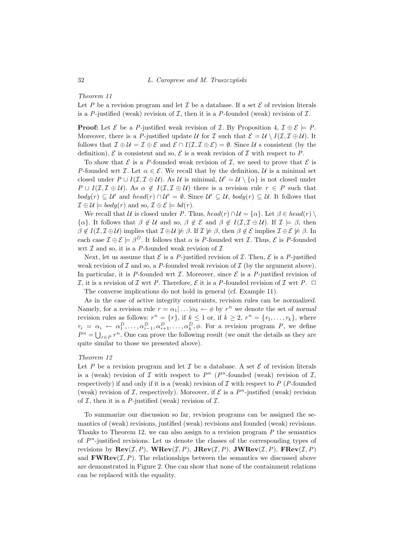Theorem 11

Let P be a revision program and let T be a database. If a set  $\mathcal E$  of revision literals is a P-justified (weak) revision of  $\mathcal I$ , then it is a P-founded (weak) revision of  $\mathcal I$ .

**Proof:** Let  $\mathcal{E}$  be a P-justified weak revision of  $\mathcal{I}$ . By Proposition 4,  $\mathcal{I} \oplus \mathcal{E} \models P$ . Moreover, there is a P-justified update U for I such that  $\mathcal{E} = \mathcal{U} \setminus I(\mathcal{I}, \mathcal{I} \oplus \mathcal{U})$ . It follows that  $\mathcal{I} \oplus \mathcal{U} = \mathcal{I} \oplus \mathcal{E}$  and  $\mathcal{E} \cap I(\mathcal{I}, \mathcal{I} \oplus \mathcal{E}) = \emptyset$ . Since U s consistent (by the definition),  $\mathcal E$  is consistent and so,  $\mathcal E$  is a weak revision of  $\mathcal I$  with respect to P.

To show that  $\mathcal E$  is a P-founded weak revision of  $\mathcal I$ , we need to prove that  $\mathcal E$  is P-founded wrt I. Let  $\alpha \in \mathcal{E}$ . We recall that by the definition, U is a minimal set closed under  $P \cup I(\mathcal{I}, \mathcal{I} \oplus \mathcal{U})$ . As U is minimal,  $\mathcal{U}' = \mathcal{U} \setminus {\alpha}$  is not closed under  $P \cup I(\mathcal{I}, \mathcal{I} \oplus \mathcal{U})$ . As  $\alpha \notin I(\mathcal{I}, \mathcal{I} \oplus \mathcal{U})$  there is a revision rule  $r \in P$  such that  $body(r) \subseteq \mathcal{U}'$  and  $head(r) \cap \mathcal{U}' = \emptyset$ . Since  $\mathcal{U}' \subseteq \mathcal{U}$ ,  $body(r) \subseteq \mathcal{U}$ . It follows that  $\mathcal{I} \oplus \mathcal{U} \models body(r)$  and so,  $\mathcal{I} \oplus \mathcal{E} \models bd(r)$ .

We recall that U is closed under P. Thus,  $head(r) \cap U = {\alpha}$ . Let  $\beta \in head(r) \setminus$  $\{\alpha\}$ . It follows that  $\beta \notin \mathcal{U}$  and so,  $\beta \notin \mathcal{E}$  and  $\beta \notin I(\mathcal{I},\mathcal{I}\oplus\mathcal{U})$ . If  $\mathcal{I} \models \beta$ , then  $\beta \notin I(\mathcal{I}, \mathcal{I} \oplus \mathcal{U})$  implies that  $\mathcal{I} \oplus \mathcal{U} \not\models \beta$ . If  $\mathcal{I} \not\models \beta$ , then  $\beta \notin \mathcal{E}$  implies  $\mathcal{I} \oplus \mathcal{E} \not\models \beta$ . In each case  $\mathcal{I} \oplus \mathcal{E} \models \beta^D$ . It follows that  $\alpha$  is P-founded wrt  $\mathcal{I}$ . Thus,  $\mathcal{E}$  is P-founded wrt  $\mathcal I$  and so, it is a P-founded weak revision of  $\mathcal I$ 

Next, let us assume that  $\mathcal E$  is a P-justified revision of  $\mathcal I$ . Then,  $\mathcal E$  is a P-justified weak revision of  $\mathcal I$  and so, a P-founded weak revision of  $\mathcal I$  (by the argument above). In particular, it is P-founded wrt  $\mathcal I$ . Moreover, since  $\mathcal E$  is a P-justified revision of I, it is a revision of I wrt P. Therefore,  $\mathcal E$  it is a P-founded revision of I wrt P.  $\Box$ The converse implications do not hold in general (cf. Example 11).

As in the case of active integrity constraints, revision rules can be normalized. Namely, for a revision rule  $r = \alpha_1 | \dots | \alpha_k \leftarrow \phi$  by  $r^n$  we denote the set of normal revision rules as follows:  $r^n = \{r\}$ , if  $k \leq 1$  or, if  $k \geq 2$ ,  $r^n = \{r_1, \ldots, r_k\}$ , where  $r_i = \alpha_i \leftarrow \alpha_1^D, \ldots, \alpha_{i-1}^D, \alpha_{i+1}^D, \ldots, \alpha_k^D, \phi$ . For a revision program P, we define  $P^n = \bigcup_{r \in P} r^n$ . One can prove the following result (we omit the details as they are quite similar to those we presented above).

#### Theorem 12

Let P be a revision program and let T be a database. A set  $\mathcal E$  of revision literals is a (weak) revision of  $\mathcal I$  with respect to  $P^n$  ( $P^n$ -founded (weak) revision of  $\mathcal I$ , respectively) if and only if it is a (weak) revision of  $\mathcal I$  with respect to  $P$  (P-founded (weak) revision of  $\mathcal{I}$ , respectively). Moreover, if  $\mathcal{E}$  is a  $P<sup>n</sup>$ -justified (weak) revision of  $I$ , then it is a P-justified (weak) revision of  $I$ .

To summarize our discussion so far, revision programs can be assigned the semantics of (weak) revisions, justified (weak) revisions and founded (weak) revisions. Thanks to Theorem 12, we can also assign to a revision program  $P$  the semantics of  $P<sup>n</sup>$ -justified revisions. Let us denote the classes of the corresponding types of revisions by  $\text{Rev}(\mathcal{I}, P)$ ,  $\text{WRev}(\mathcal{I}, P)$ ,  $\text{JRev}(\mathcal{I}, P)$ ,  $\text{JWRev}(\mathcal{I}, P)$ ,  $\text{FRev}(\mathcal{I}, P)$ and  $\mathbf{FWRev}(\mathcal{I}, P)$ . The relationships between the semantics we discussed above are demonstrated in Figure 2. One can show that none of the containment relations can be replaced with the equality.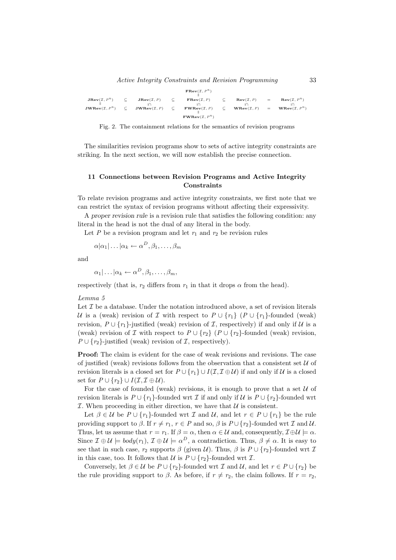$\mathbf{FRev}(\mathcal{I}, P^n)$  $\mathbf{FRev}(\mathcal{I}, P)$  $\mathbf{JRev}(\mathcal{I}, P^n)$  $\subseteq$  JRev $(\mathcal{I}, P)$   $\subseteq$  FRev $(\mathcal{I}, P)$   $\subseteq$  Rev $(\mathcal{I}, P)$  $\textbf{Rev}(\mathcal{I}, P^n)$  $\frac{\parallel}{{\bf JWRev}(\mathcal{I}, P)}$  $JWRev(T, P)$ n  $\cap$   $\cap$  n  $\cap$  n  $\cap$  n  $\cap$  n  $\cap$  n  $\cap$  n  $\cap$  n  $\cap$  n  $\cap$  n  $\cap$  n  $\cap$  n wRev(I, P)  $\subseteq$  WRev(I, P) = WRev(I, P)  $W$ **Rev** $(\mathcal{I}, P)$ l∩<br> $\mathcal{L}(\mathcal{I}, P^n)$  $\mathbb{F}$ WRev $(\mathcal{I}, P^n)$ 

Fig. 2. The containment relations for the semantics of revision programs

The similarities revision programs show to sets of active integrity constraints are striking. In the next section, we will now establish the precise connection.

# 11 Connections between Revision Programs and Active Integrity **Constraints**

To relate revision programs and active integrity constraints, we first note that we can restrict the syntax of revision programs without affecting their expressivity.

A proper revision rule is a revision rule that satisfies the following condition: any literal in the head is not the dual of any literal in the body.

Let P be a revision program and let  $r_1$  and  $r_2$  be revision rules

$$
\alpha|\alpha_1|\dots|\alpha_k \leftarrow \alpha^D, \beta_1, \dots, \beta_m
$$

and

$$
\alpha_1 | \dots | \alpha_k \leftarrow \alpha^D, \beta_1, \dots, \beta_m,
$$

respectively (that is,  $r_2$  differs from  $r_1$  in that it drops  $\alpha$  from the head).

#### Lemma 5

Let  $\mathcal I$  be a database. Under the notation introduced above, a set of revision literals U is a (weak) revision of I with respect to  $P \cup \{r_1\}$  ( $P \cup \{r_1\}$ -founded (weak) revision,  $P \cup \{r_1\}$ -justified (weak) revision of  $\mathcal I$ , respectively) if and only if  $\mathcal U$  is a (weak) revision of I with respect to  $P \cup \{r_2\}$  ( $P \cup \{r_2\}$ -founded (weak) revision,  $P \cup \{r_2\}$ -justified (weak) revision of  $\mathcal{I}$ , respectively).

Proof: The claim is evident for the case of weak revisions and revisions. The case of justified (weak) revisions follows from the observation that a consistent set  $U$  of revision literals is a closed set for  $P \cup \{r_1\} \cup I(\mathcal{I}, \mathcal{I} \oplus \mathcal{U})$  if and only if  $\mathcal U$  is a closed set for  $P \cup \{r_2\} \cup I(\mathcal{I}, \mathcal{I} \oplus \mathcal{U}).$ 

For the case of founded (weak) revisions, it is enough to prove that a set  $U$  of revision literals is  $P \cup \{r_1\}$ -founded wrt I if and only if U is  $P \cup \{r_2\}$ -founded wrt  $I$ . When proceeding in either direction, we have that  $U$  is consistent.

Let  $\beta \in \mathcal{U}$  be  $P \cup \{r_1\}$ -founded wrt  $\mathcal{I}$  and  $\mathcal{U}$ , and let  $r \in P \cup \{r_1\}$  be the rule providing support to  $\beta$ . If  $r \neq r_1$ ,  $r \in P$  and so,  $\beta$  is  $P \cup \{r_2\}$ -founded wrt  $\mathcal I$  and  $\mathcal U$ . Thus, let us assume that  $r = r_1$ . If  $\beta = \alpha$ , then  $\alpha \in \mathcal{U}$  and, consequently,  $\mathcal{I} \oplus \mathcal{U} \models \alpha$ . Since  $\mathcal{I} \oplus \mathcal{U} \models body(r_1), \mathcal{I} \oplus \mathcal{U} \models \alpha^D$ , a contradiction. Thus,  $\beta \neq \alpha$ . It is easy to see that in such case,  $r_2$  supports  $\beta$  (given U). Thus,  $\beta$  is  $P \cup \{r_2\}$ -founded wrt  $\mathcal I$ in this case, too. It follows that  $U$  is  $P \cup \{r_2\}$ -founded wrt  $\mathcal{I}$ .

Conversely, let  $\beta \in \mathcal{U}$  be  $P \cup \{r_2\}$ -founded wrt  $\mathcal{I}$  and  $\mathcal{U}$ , and let  $r \in P \cup \{r_2\}$  be the rule providing support to  $\beta$ . As before, if  $r \neq r_2$ , the claim follows. If  $r = r_2$ ,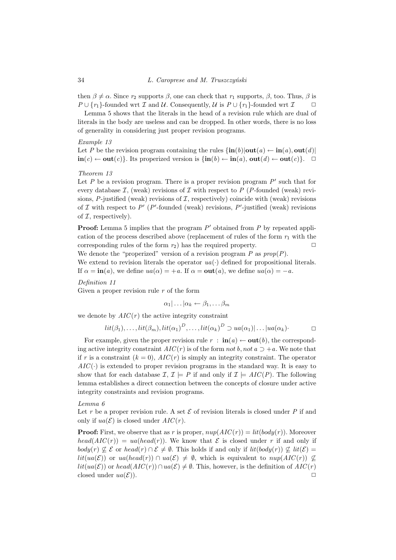then  $\beta \neq \alpha$ . Since  $r_2$  supports  $\beta$ , one can check that  $r_1$  supports,  $\beta$ , too. Thus,  $\beta$  is  $P \cup \{r_1\}$ -founded wrt  $\mathcal I$  and  $\mathcal U$ . Consequently,  $\mathcal U$  is  $P \cup \{r_1\}$ -founded wrt  $\mathcal I$   $\Box$ 

Lemma 5 shows that the literals in the head of a revision rule which are dual of literals in the body are useless and can be dropped. In other words, there is no loss of generality in considering just proper revision programs.

# Example 13

Let P be the revision program containing the rules  $\{\text{in}(b)|\text{out}(a) \leftarrow \text{in}(a), \text{out}(d)\}\$  $\textbf{in}(c) \leftarrow \textbf{out}(c)$ . Its properized version is  $\{\textbf{in}(b) \leftarrow \textbf{in}(a), \textbf{out}(d) \leftarrow \textbf{out}(c)\}\$ .  $\Box$ 

#### Theorem 13

Let  $P$  be a revision program. There is a proper revision program  $P'$  such that for every database  $\mathcal{I}$ , (weak) revisions of  $\mathcal{I}$  with respect to P (P-founded (weak) revisions,  $P$ -justified (weak) revisions of  $I$ , respectively) coincide with (weak) revisions of  $I$  with respect to  $P'$  ( $P'$ -founded (weak) revisions,  $P'$ -justified (weak) revisions of  $\mathcal I$ , respectively).

**Proof:** Lemma 5 implies that the program  $P'$  obtained from  $P$  by repeated application of the process described above (replacement of rules of the form  $r_1$  with the corresponding rules of the form  $r_2$ ) has the required property.  $\Box$ 

We denote the "properized" version of a revision program  $P$  as  $prop(P)$ .

We extend to revision literals the operator  $ua(\cdot)$  defined for propositional literals. If  $\alpha = \text{in}(a)$ , we define  $ua(\alpha) = +a$ . If  $\alpha = \text{out}(a)$ , we define  $ua(\alpha) = -a$ .

Definition 11

Given a proper revision rule  $r$  of the form

$$
\alpha_1 | \ldots | \alpha_k \leftarrow \beta_1, \ldots \beta_m
$$

we denote by  $AIC(r)$  the active integrity constraint

$$
lit(\beta_1),...,lit(\beta_m), lit(\alpha_1)^D,...,lit(\alpha_k)^D \supset ua(\alpha_1)|...|ua(\alpha_k)
$$

For example, given the proper revision rule  $r : \text{in}(a) \leftarrow \text{out}(b)$ , the corresponding active integrity constraint  $AIC(r)$  is of the form not b, not a  $\supset +a$ . We note that if r is a constraint  $(k = 0)$ ,  $AIC(r)$  is simply an integrity constraint. The operator  $AIC(\cdot)$  is extended to proper revision programs in the standard way. It is easy to show that for each database  $\mathcal{I}, \mathcal{I} \models P$  if and only if  $\mathcal{I} \models AIC(P)$ . The following lemma establishes a direct connection between the concepts of closure under active integrity constraints and revision programs.

#### Lemma 6

Let r be a proper revision rule. A set  $\mathcal E$  of revision literals is closed under P if and only if  $ua(\mathcal{E})$  is closed under  $AIC(r)$ .

**Proof:** First, we observe that as r is proper,  $nup(AIC(r)) = lit(body(r))$ . Moreover head( $AIC(r)$ ) = ua(head(r)). We know that  $\mathcal E$  is closed under r if and only if  $body(r) \not\subseteq \mathcal{E}$  or  $head(r) \cap \mathcal{E} \neq \emptyset$ . This holds if and only if  $lit(body(r)) \not\subseteq lit(\mathcal{E}) =$  $lit(ua(\mathcal{E}))$  or  $ua(head(r)) \cap ua(\mathcal{E}) \neq \emptyset$ , which is equivalent to  $nup(AIC(r)) \nsubseteq$  $lit(ua(\mathcal{E}))$  or  $head(AIC(r)) \cap ua(\mathcal{E}) \neq \emptyset$ . This, however, is the definition of  $AIC(r)$ closed under  $ua(\mathcal{E})$ .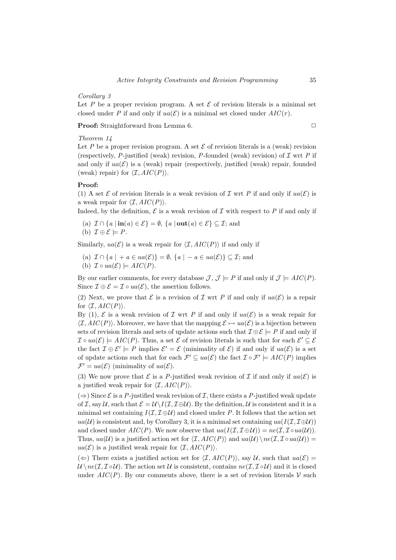## Corollary 3

Let P be a proper revision program. A set  $\mathcal E$  of revision literals is a minimal set closed under P if and only if  $ua(\mathcal{E})$  is a minimal set closed under  $AIC(r)$ .

**Proof:** Straightforward from Lemma 6. ◯

# Theorem 14

Let P be a proper revision program. A set  $\mathcal E$  of revision literals is a (weak) revision (respectively, P-justified (weak) revision, P-founded (weak) revision) of  $\mathcal I$  wrt P if and only if  $ua(\mathcal{E})$  is a (weak) repair (respectively, justified (weak) repair, founded (weak) repair) for  $\langle \mathcal{I}, AIC(P) \rangle$ .

# Proof:

(1) A set  $\mathcal E$  of revision literals is a weak revision of  $\mathcal I$  wrt P if and only if  $ua(\mathcal E)$  is a weak repair for  $\langle \mathcal{I}, AIC(P) \rangle$ .

Indeed, by the definition,  $\mathcal E$  is a weak revision of  $\mathcal I$  with respect to P if and only if

(a)  $\mathcal{I} \cap \{a \mid \text{in}(a) \in \mathcal{E}\} = \emptyset$ ,  $\{a \mid \text{out}(a) \in \mathcal{E}\} \subseteq \mathcal{I}$ ; and (b)  $\mathcal{I} \oplus \mathcal{E} \models P$ .

Similarly,  $ua(\mathcal{E})$  is a weak repair for  $\langle \mathcal{I}, AIC (P) \rangle$  if and only if

- (a)  $\mathcal{I} \cap \{a \mid +a \in ua(\mathcal{E})\} = \emptyset$ ,  $\{a \mid -a \in ua(\mathcal{E})\} \subseteq \mathcal{I}$ ; and
- (b)  $\mathcal{I} \circ ua(\mathcal{E}) \models AIC(P).$

By our earlier comments, for every database  $\mathcal{J}, \mathcal{J} \models P$  if and only if  $\mathcal{J} \models AIC(P)$ . Since  $\mathcal{I} \oplus \mathcal{E} = \mathcal{I} \circ ua(\mathcal{E})$ , the assertion follows.

(2) Next, we prove that  $\mathcal E$  is a revision of  $\mathcal I$  wrt  $P$  if and only if  $ua(\mathcal E)$  is a repair for  $\langle \mathcal{I}, AIC(P) \rangle$ .

By (1),  $\mathcal E$  is a weak revision of  $\mathcal I$  wrt P if and only if  $ua(\mathcal E)$  is a weak repair for  $\langle I, AIC(P) \rangle$ . Moreover, we have that the mapping  $\mathcal{E} \mapsto ua(\mathcal{E})$  is a bijection between sets of revision literals and sets of update actions such that  $\mathcal{I} \oplus \mathcal{E} \models P$  if and only if  $\mathcal{I} \circ ua(\mathcal{E}) \models AIC(P)$ . Thus, a set  $\mathcal{E}$  of revision literals is such that for each  $\mathcal{E}' \subseteq \mathcal{E}$ the fact  $\mathcal{I} \oplus \mathcal{E}' \models P$  implies  $\mathcal{E}' = \mathcal{E}$  (minimality of  $\mathcal{E}$ ) if and only if  $ua(\mathcal{E})$  is a set of update actions such that for each  $\mathcal{F}' \subseteq ua(\mathcal{E})$  the fact  $\mathcal{I} \circ \mathcal{F}' \models AIC(P)$  implies  $\mathcal{F}' = ua(\mathcal{E})$  (minimality of  $ua(\mathcal{E})$ .

(3) We now prove that  $\mathcal E$  is a P-justified weak revision of  $\mathcal I$  if and only if  $ua(\mathcal E)$  is a justified weak repair for  $\langle \mathcal{I}, AIC (P) \rangle$ .

 $(\Rightarrow)$  Since  $\mathcal E$  is a P-justified weak revision of  $\mathcal I$ , there exists a P-justified weak update of I, say U, such that  $\mathcal{E} = U \setminus I(\mathcal{I}, \mathcal{I} \oplus U)$ . By the definition, U is consistent and it is a minimal set containing  $I(\mathcal{I}, \mathcal{I} \oplus \mathcal{U})$  and closed under P. It follows that the action set  $ua(\mathcal{U})$  is consistent and, by Corollary 3, it is a minimal set containing  $ua(I(\mathcal{I}, \mathcal{I} \oplus \mathcal{U}))$ and closed under  $AIC(P)$ . We now observe that  $ua(I(\mathcal{I}, \mathcal{I} \oplus \mathcal{U})) = ne(\mathcal{I}, \mathcal{I} \circ ua(\mathcal{U}))$ . Thus,  $ua(\mathcal{U})$  is a justified action set for  $\langle \mathcal{I}, AIC(P) \rangle$  and  $ua(\mathcal{U}) \setminus ne(\mathcal{I}, \mathcal{I} \circ ua(\mathcal{U}))$  =  $ua(\mathcal{E})$  is a justified weak repair for  $\langle \mathcal{I}, AIC(P) \rangle$ .

 $(\Leftarrow)$  There exists a justified action set for  $\langle I, AIC (P) \rangle$ , say U, such that  $ua(\mathcal{E}) =$  $U \setminus ne(\mathcal{I}, \mathcal{I} \circ \mathcal{U})$ . The action set U is consistent, contains  $ne(\mathcal{I}, \mathcal{I} \circ \mathcal{U})$  and it is closed under  $AIC(P)$ . By our comments above, there is a set of revision literals V such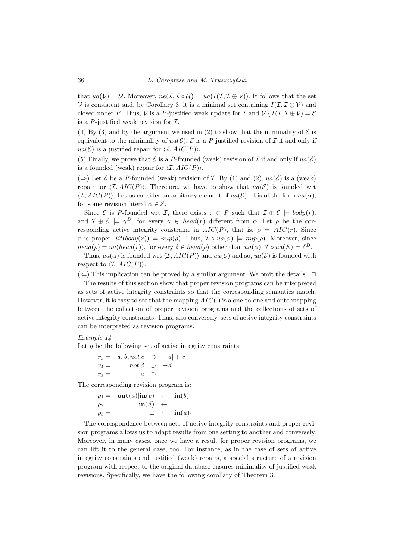that  $ua(\mathcal{V}) = \mathcal{U}$ . Moreover,  $ne(\mathcal{I}, \mathcal{I} \circ \mathcal{U}) = ua(I(\mathcal{I}, \mathcal{I} \oplus \mathcal{V}))$ . It follows that the set V is consistent and, by Corollary 3, it is a minimal set containing  $I(\mathcal{I}, \mathcal{I} \oplus \mathcal{V})$  and closed under P. Thus, V is a P-justified weak update for I and  $V \setminus I(\mathcal{I}, \mathcal{I} \oplus V) = \mathcal{E}$ is a P-justified weak revision for  $\mathcal{I}$ .

(4) By (3) and by the argument we used in (2) to show that the minimality of  $\mathcal E$  is equivalent to the minimality of  $ua(\mathcal{E}), \mathcal{E}$  is a P-justified revision of  $\mathcal I$  if and only if  $ua(\mathcal{E})$  is a justified repair for  $\langle \mathcal{I}, AIC (P) \rangle$ .

(5) Finally, we prove that  $\mathcal E$  is a P-founded (weak) revision of  $\mathcal I$  if and only if  $ua(\mathcal E)$ is a founded (weak) repair for  $\langle \mathcal{I}, AIC(P) \rangle$ .

 $(\Rightarrow)$  Let E be a P-founded (weak) revision of I. By (1) and (2),  $ua(\mathcal{E})$  is a (weak) repair for  $\langle I, AIC(P) \rangle$ . Therefore, we have to show that  $ua(\mathcal{E})$  is founded wrt  $\langle \mathcal{I}, AIC(P) \rangle$ . Let us consider an arbitrary element of  $ua(\mathcal{E})$ . It is of the form  $ua(\alpha)$ , for some revision literal  $\alpha \in \mathcal{E}$ .

Since  $\mathcal E$  is P-founded wrt  $\mathcal I$ , there exists  $r \in P$  such that  $\mathcal I \oplus \mathcal E \models body(r)$ , and  $\mathcal{I} \oplus \mathcal{E} \models \gamma^D$ , for every  $\gamma \in \mathit{head}(r)$  different from  $\alpha$ . Let  $\rho$  be the corresponding active integrity constraint in  $AIC(P)$ , that is,  $\rho = AIC(r)$ . Since r is proper,  $lit(body(r)) = nup(\rho)$ . Thus,  $\mathcal{I} \circ ua(\mathcal{E}) \models nup(\rho)$ . Moreover, since  $head(\rho) = ua(head(r)),$  for every  $\delta \in head(\rho)$  other than  $ua(\alpha), \mathcal{I} \circ ua(E) \models \delta^D$ .

Thus,  $ua(\alpha)$  is founded wrt  $\langle I, AIC(P) \rangle$  and  $ua(\mathcal{E})$  and so,  $ua(\mathcal{E})$  is founded with respect to  $\langle \mathcal{I}, AIC(P) \rangle$ .

 $(\Leftarrow)$  This implication can be proved by a similar argument. We omit the details.  $\Box$ The results of this section show that proper revision programs can be interpreted as sets of active integrity constraints so that the corresponding semantics match. However, it is easy to see that the mapping  $AIC(\cdot)$  is a one-to-one and onto mapping between the collection of proper revision programs and the collections of sets of active integrity constraints. Thus, also conversely, sets of active integrity constraints can be interpreted as revision programs.

#### Example 14

Let  $\eta$  be the following set of active integrity constraints:

 $r_1 = a, b, not c \supset -a | + c$  $r_2 =$  not  $d \supset +d$  $r_3 = a \supset \perp$ 

The corresponding revision program is:

 $\rho_1 = \textbf{out}(a)|\textbf{in}(c) \leftarrow \textbf{in}(b)$  $\rho_2 = \mathbf{in}(d)$  $\rho_3 = \qquad \qquad \perp \quad \leftarrow \quad \textbf{in}(a)$ 

The correspondence between sets of active integrity constraints and proper revision programs allows us to adapt results from one setting to another and conversely. Moreover, in many cases, once we have a result for proper revision programs, we can lift it to the general case, too. For instance, as in the case of sets of active integrity constraints and justified (weak) repairs, a special structure of a revision program with respect to the original database ensures minimality of justified weak revisions. Specifically, we have the following corollary of Theorem 3.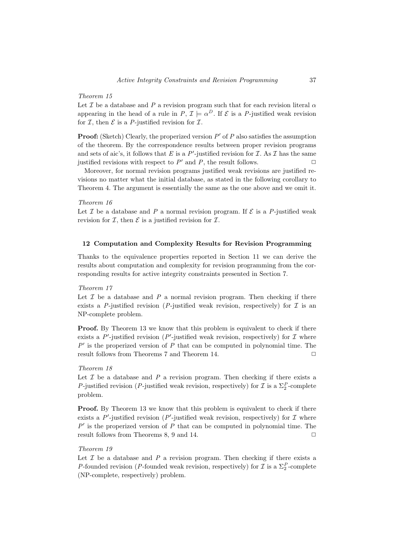# Theorem 15

Let T be a database and P a revision program such that for each revision literal  $\alpha$ appearing in the head of a rule in  $P, \mathcal{I} \models \alpha^D$ . If  $\mathcal{E}$  is a P-justified weak revision for  $I$ , then  $\mathcal E$  is a P-justified revision for  $I$ .

**Proof:** (Sketch) Clearly, the properized version  $P'$  of  $P$  also satisfies the assumption of the theorem. By the correspondence results between proper revision programs and sets of aic's, it follows that E is a P'-justified revision for  $\mathcal I$ . As  $\mathcal I$  has the same justified revisions with respect to  $P'$  and  $P$ , the result follows.  $\Box$ 

Moreover, for normal revision programs justified weak revisions are justified revisions no matter what the initial database, as stated in the following corollary to Theorem 4. The argument is essentially the same as the one above and we omit it.

# Theorem 16

Let  $\mathcal I$  be a database and  $P$  a normal revision program. If  $\mathcal E$  is a P-justified weak revision for  $I$ , then  $\mathcal E$  is a justified revision for  $I$ .

# 12 Computation and Complexity Results for Revision Programming

Thanks to the equivalence properties reported in Section 11 we can derive the results about computation and complexity for revision programming from the corresponding results for active integrity constraints presented in Section 7.

# Theorem 17

Let  $\mathcal I$  be a database and  $P$  a normal revision program. Then checking if there exists a P-justified revision (P-justified weak revision, respectively) for  $\mathcal I$  is an NP-complete problem.

**Proof.** By Theorem 13 we know that this problem is equivalent to check if there exists a P'-justified revision (P'-justified weak revision, respectively) for  $\mathcal I$  where  $P'$  is the properized version of  $P$  that can be computed in polynomial time. The result follows from Theorems 7 and Theorem 14.  $\Box$ 

# Theorem 18

Let  $\mathcal I$  be a database and  $P$  a revision program. Then checking if there exists a P-justified revision (P-justified weak revision, respectively) for  $\mathcal I$  is a  $\Sigma_2^P$ -complete problem.

**Proof.** By Theorem 13 we know that this problem is equivalent to check if there exists a P'-justified revision (P'-justified weak revision, respectively) for  $\mathcal I$  where  $P'$  is the properized version of  $P$  that can be computed in polynomial time. The result follows from Theorems 8, 9 and 14.  $\Box$ 

## Theorem 19

Let  $\mathcal I$  be a database and  $P$  a revision program. Then checking if there exists a P-founded revision (P-founded weak revision, respectively) for  $\mathcal I$  is a  $\Sigma_2^P$ -complete (NP-complete, respectively) problem.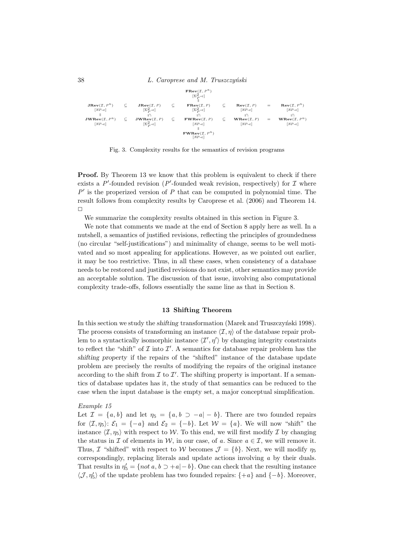

Fig. 3. Complexity results for the semantics of revision programs

**Proof.** By Theorem 13 we know that this problem is equivalent to check if there exists a P'-founded revision (P'-founded weak revision, respectively) for  $\mathcal I$  where  $P'$  is the properized version of  $P$  that can be computed in polynomial time. The result follows from complexity results by Caroprese et al. (2006) and Theorem 14.  $\Box$ 

We summarize the complexity results obtained in this section in Figure 3.

We note that comments we made at the end of Section 8 apply here as well. In a nutshell, a semantics of justified revisions, reflecting the principles of groundedness (no circular "self-justifications") and minimality of change, seems to be well motivated and so most appealing for applications. However, as we pointed out earlier, it may be too restrictive. Thus, in all these cases, when consistency of a database needs to be restored and justified revisions do not exist, other semantics may provide an acceptable solution. The discussion of that issue, involving also computational complexity trade-offs, follows essentially the same line as that in Section 8.

# 13 Shifting Theorem

In this section we study the *shifting* transformation (Marek and Truszczynski 1998). The process consists of transforming an instance  $\langle \mathcal{I}, \eta \rangle$  of the database repair problem to a syntactically isomorphic instance  $\langle \mathcal{I}', \eta' \rangle$  by changing integrity constraints to reflect the "shift" of  $\mathcal I$  into  $\mathcal I'$ . A semantics for database repair problem has the shifting property if the repairs of the "shifted" instance of the database update problem are precisely the results of modifying the repairs of the original instance according to the shift from  $\mathcal I$  to  $\mathcal I'$ . The shifting property is important. If a semantics of database updates has it, the study of that semantics can be reduced to the case when the input database is the empty set, a major conceptual simplification.

#### Example 15

Let  $\mathcal{I} = \{a, b\}$  and let  $\eta_5 = \{a, b \supset -a | -b\}$ . There are two founded repairs for  $\langle \mathcal{I}, \eta_5 \rangle$ :  $\mathcal{E}_1 = \{-a\}$  and  $\mathcal{E}_2 = \{-b\}$ . Let  $\mathcal{W} = \{a\}$ . We will now "shift" the instance  $\langle \mathcal{I}, \eta_5 \rangle$  with respect to W. To this end, we will first modify I by changing the status in  $\mathcal I$  of elements in  $\mathcal W$ , in our case, of a. Since  $a \in \mathcal I$ , we will remove it. Thus, I "shifted" with respect to W becomes  $\mathcal{J} = \{b\}$ . Next, we will modify  $\eta_5$ correspondingly, replacing literals and update actions involving a by their duals. That results in  $\eta'_5 = \{not \ a, b \supset a \mid -b\}$ . One can check that the resulting instance  $\langle \mathcal{J}, \eta_5' \rangle$  of the update problem has two founded repairs: {+a} and {−b}. Moreover,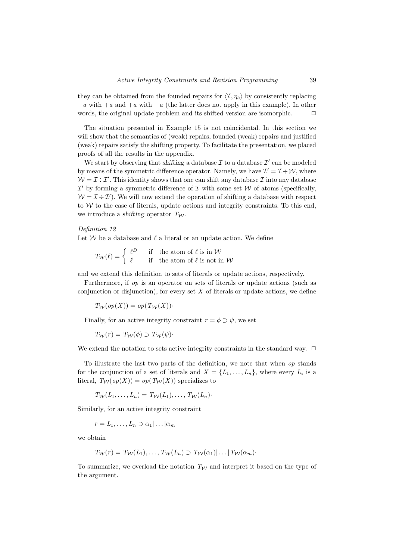they can be obtained from the founded repairs for  $\langle \mathcal{I}, \eta_5 \rangle$  by consistently replacing  $-a$  with  $+a$  and  $+a$  with  $-a$  (the latter does not apply in this example). In other words, the original update problem and its shifted version are isomorphic.  $\Box$ 

The situation presented in Example 15 is not coincidental. In this section we will show that the semantics of (weak) repairs, founded (weak) repairs and justified (weak) repairs satisfy the shifting property. To facilitate the presentation, we placed proofs of all the results in the appendix.

We start by observing that shifting a database  $\mathcal I$  to a database  $\mathcal I'$  can be modeled by means of the symmetric difference operator. Namely, we have  $\mathcal{I}' = \mathcal{I} \div \mathcal{W}$ , where  $W = \mathcal{I} \div \mathcal{I}'$ . This identity shows that one can shift any database  $\mathcal{I}$  into any database  $\mathcal{I}'$  by forming a symmetric difference of  $\mathcal I$  with some set W of atoms (specifically,  $W = \mathcal{I} \div \mathcal{I}'$ . We will now extend the operation of shifting a database with respect to  $W$  to the case of literals, update actions and integrity constraints. To this end, we introduce a shifting operator  $T_W$ .

#### Definition 12

Let W be a database and  $\ell$  a literal or an update action. We define

$$
T_{\mathcal{W}}(\ell) = \begin{cases} \ell^D & \text{if } \text{the atom of } \ell \text{ is in } \mathcal{W} \\ \ell & \text{if } \text{the atom of } \ell \text{ is not in } \mathcal{W} \end{cases}
$$

and we extend this definition to sets of literals or update actions, respectively.

Furthermore, if op is an operator on sets of literals or update actions (such as conjunction or disjunction), for every set  $X$  of literals or update actions, we define

 $T_{\mathcal{W}}(op(X)) = op(T_{\mathcal{W}}(X))$ 

Finally, for an active integrity constraint  $r = \phi \supset \psi$ , we set

$$
T_{\mathcal{W}}(r) = T_{\mathcal{W}}(\phi) \supset T_{\mathcal{W}}(\psi)
$$

We extend the notation to sets active integrity constraints in the standard way.  $\Box$ 

To illustrate the last two parts of the definition, we note that when op stands for the conjunction of a set of literals and  $X = \{L_1, \ldots, L_n\}$ , where every  $L_i$  is a literal,  $T_{\mathcal{W}}(op(X)) = op(T_{\mathcal{W}}(X))$  specializes to

 $T_{\mathcal{W}}(L_1,\ldots,L_n)=T_{\mathcal{W}}(L_1),\ldots,T_{\mathcal{W}}(L_n)$ 

Similarly, for an active integrity constraint

 $r = L_1, \ldots, L_n \supset \alpha_1 | \ldots | \alpha_m$ 

we obtain

$$
T_{\mathcal{W}}(r) = T_{\mathcal{W}}(L_1), \ldots, T_{\mathcal{W}}(L_n) \supset T_{\mathcal{W}}(\alpha_1) \ldots \mid T_{\mathcal{W}}(\alpha_m)
$$

To summarize, we overload the notation  $T_W$  and interpret it based on the type of the argument.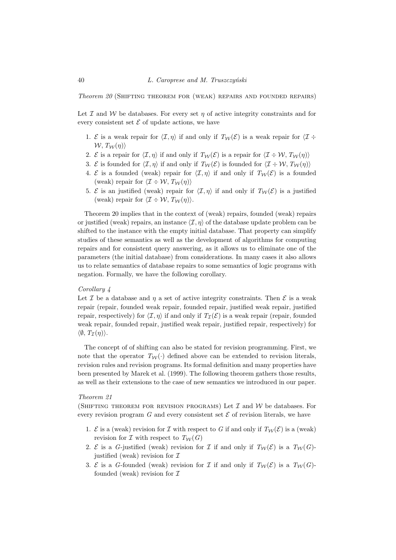Theorem  $20$  (SHIFTING THEOREM FOR (WEAK) REPAIRS AND FOUNDED REPAIRS)

Let  $\mathcal I$  and  $\mathcal W$  be databases. For every set  $\eta$  of active integrity constraints and for every consistent set  $\mathcal E$  of update actions, we have

- 1. E is a weak repair for  $\langle \mathcal{I}, \eta \rangle$  if and only if  $T_W(\mathcal{E})$  is a weak repair for  $\langle \mathcal{I} \div$  $W, T_W(\eta)$
- 2. E is a repair for  $\langle \mathcal{I}, \eta \rangle$  if and only if  $T_W(\mathcal{E})$  is a repair for  $\langle \mathcal{I} \div \mathcal{W}, T_W(\eta) \rangle$
- 3. E is founded for  $\langle \mathcal{I}, \eta \rangle$  if and only if  $T_W(\mathcal{E})$  is founded for  $\langle \mathcal{I} \div \mathcal{W}, T_W(\eta) \rangle$
- 4. E is a founded (weak) repair for  $\langle \mathcal{I}, \eta \rangle$  if and only if  $T_W(\mathcal{E})$  is a founded (weak) repair for  $\langle \mathcal{I} \div \mathcal{W}, T_{\mathcal{W}}(\eta) \rangle$
- 5. E is an justified (weak) repair for  $\langle \mathcal{I}, \eta \rangle$  if and only if  $T_{\mathcal{W}}(\mathcal{E})$  is a justified (weak) repair for  $\langle \mathcal{I} \div \mathcal{W}, T_{\mathcal{W}}(\eta) \rangle$ .

Theorem 20 implies that in the context of (weak) repairs, founded (weak) repairs or justified (weak) repairs, an instance  $\langle \mathcal{I}, \eta \rangle$  of the database update problem can be shifted to the instance with the empty initial database. That property can simplify studies of these semantics as well as the development of algorithms for computing repairs and for consistent query answering, as it allows us to eliminate one of the parameters (the initial database) from considerations. In many cases it also allows us to relate semantics of database repairs to some semantics of logic programs with negation. Formally, we have the following corollary.

# Corollary 4

Let T be a database and  $\eta$  a set of active integrity constraints. Then E is a weak repair (repair, founded weak repair, founded repair, justified weak repair, justified repair, respectively) for  $\langle \mathcal{I}, \eta \rangle$  if and only if  $T_{\mathcal{I}}(\mathcal{E})$  is a weak repair (repair, founded weak repair, founded repair, justified weak repair, justified repair, respectively) for  $\langle \emptyset, T_{\mathcal{I}}(\eta) \rangle.$ 

The concept of of shifting can also be stated for revision programming. First, we note that the operator  $T_w(\cdot)$  defined above can be extended to revision literals, revision rules and revision programs. Its formal definition and many properties have been presented by Marek et al. (1999). The following theorem gathers those results, as well as their extensions to the case of new semantics we introduced in our paper.

# Theorem 21

(SHIFTING THEOREM FOR REVISION PROGRAMS) Let  $\mathcal I$  and  $\mathcal W$  be databases. For every revision program G and every consistent set  $\mathcal E$  of revision literals, we have

- 1. E is a (weak) revision for T with respect to G if and only if  $T_w(\mathcal{E})$  is a (weak) revision for  $\mathcal I$  with respect to  $T_{\mathcal W}(G)$
- 2. E is a G-justified (weak) revision for T if and only if  $T_w(\mathcal{E})$  is a  $T_w(G)$ justified (weak) revision for  $\mathcal I$
- 3. E is a G-founded (weak) revision for I if and only if  $T_w(\mathcal{E})$  is a  $T_w(G)$ founded (weak) revision for  $\mathcal I$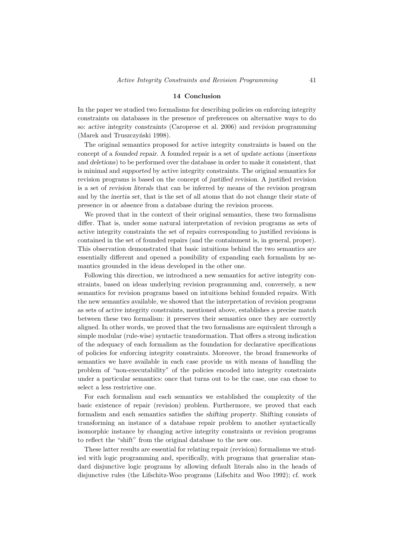#### 14 Conclusion

In the paper we studied two formalisms for describing policies on enforcing integrity constraints on databases in the presence of preferences on alternative ways to do so: active integrity constraints (Caroprese et al. 2006) and revision programming (Marek and Truszczyński 1998).

The original semantics proposed for active integrity constraints is based on the concept of a founded repair. A founded repair is a set of update actions (insertions and deletions) to be performed over the database in order to make it consistent, that is minimal and supported by active integrity constraints. The original semantics for revision programs is based on the concept of justified revision. A justified revision is a set of revision literals that can be inferred by means of the revision program and by the inertia set, that is the set of all atoms that do not change their state of presence in or absence from a database during the revision process.

We proved that in the context of their original semantics, these two formalisms differ. That is, under some natural interpretation of revision programs as sets of active integrity constraints the set of repairs corresponding to justified revisions is contained in the set of founded repairs (and the containment is, in general, proper). This observation demonstrated that basic intuitions behind the two semantics are essentially different and opened a possibility of expanding each formalism by semantics grounded in the ideas developed in the other one.

Following this direction, we introduced a new semantics for active integrity constraints, based on ideas underlying revision programming and, conversely, a new semantics for revision programs based on intuitions behind founded repairs. With the new semantics available, we showed that the interpretation of revision programs as sets of active integrity constraints, mentioned above, establishes a precise match between these two formalism: it preserves their semantics once they are correctly aligned. In other words, we proved that the two formalisms are equivalent through a simple modular (rule-wise) syntactic transformation. That offers a strong indication of the adequacy of each formalism as the foundation for declarative specifications of policies for enforcing integrity constraints. Moreover, the broad frameworks of semantics we have available in each case provide us with means of handling the problem of "non-executability" of the policies encoded into integrity constraints under a particular semantics: once that turns out to be the case, one can chose to select a less restrictive one.

For each formalism and each semantics we established the complexity of the basic existence of repair (revision) problem. Furthermore, we proved that each formalism and each semantics satisfies the shifting property. Shifting consists of transforming an instance of a database repair problem to another syntactically isomorphic instance by changing active integrity constraints or revision programs to reflect the "shift" from the original database to the new one.

These latter results are essential for relating repair (revision) formalisms we studied with logic programming and, specifically, with programs that generalize standard disjunctive logic programs by allowing default literals also in the heads of disjunctive rules (the Lifschitz-Woo programs (Lifschitz and Woo 1992); cf. work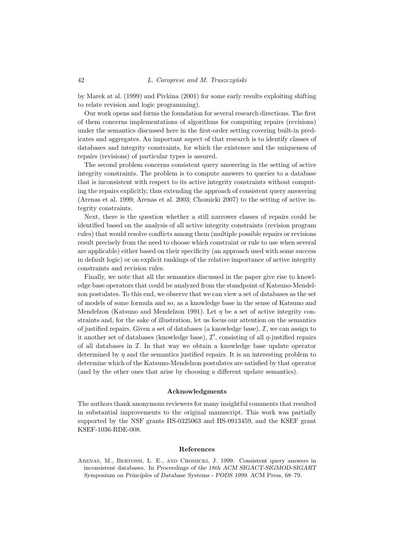by Marek at al. (1999) and Pivkina (2001) for some early results exploiting shifting to relate revision and logic programming).

Our work opens and forms the foundation for several research directions. The first of them concerns implementations of algorithms for computing repairs (revisions) under the semantics discussed here in the first-order setting covering built-in predicates and aggregates. An important aspect of that research is to identify classes of databases and integrity constraints, for which the existence and the uniqueness of repairs (revisions) of particular types is assured.

The second problem concerns consistent query answering in the setting of active integrity constraints. The problem is to compute answers to queries to a database that is inconsistent with respect to its active integrity constraints without computing the repairs explicitly, thus extending the approach of consistent query answering (Arenas et al. 1999; Arenas et al. 2003; Chomicki 2007) to the setting of active integrity constraints.

Next, there is the question whether a still narrower classes of repairs could be identified based on the analysis of all active integrity constraints (revision program rules) that would resolve conflicts among them (multiple possible repairs or revisions result precisely from the need to choose which constraint or rule to use when several are applicable) either based on their specificity (an approach used with some success in default logic) or on explicit rankings of the relative importance of active integrity constraints and revision rules.

Finally, we note that all the semantics discussed in the paper give rise to knowledge base operators that could be analyzed from the standpoint of Katsuno-Mendelzon postulates. To this end, we observe that we can view a set of databases as the set of models of some formula and so, as a knowledge base in the sense of Katsuno and Mendelzon (Katsuno and Mendelzon 1991). Let  $\eta$  be a set of active integrity constraints and, for the sake of illustration, let us focus our attention on the semantics of justified repairs. Given a set of databases (a knowledge base),  $\mathcal{I}$ , we can assign to it another set of databases (knowledge base),  $\mathcal{I}'$ , consisting of all  $\eta$ -justified repairs of all databases in I. In that way we obtain a knowledge base update operator determined by  $\eta$  and the semantics justified repairs. It is an interesting problem to determine which of the Katsuno-Mendelzon postulates are satisfied by that operator (and by the other ones that arise by choosing a different update semantics).

# Acknowledgments

The authors thank anonymous reviewers for many insightful comments that resulted in substantial improvements to the original manuscript. This work was partially supported by the NSF grants IIS-0325063 and IIS-0913459, and the KSEF grant KSEF-1036-RDE-008.

# References

ARENAS, M., BERTOSSI, L. E., AND CHOMICKI, J. 1999. Consistent query answers in inconsistent databases. In Proceedings of the 18th ACM SIGACT-SIGMOD-SIGART Symposium on Principles of Database Systems - PODS 1999. ACM Press, 68–79.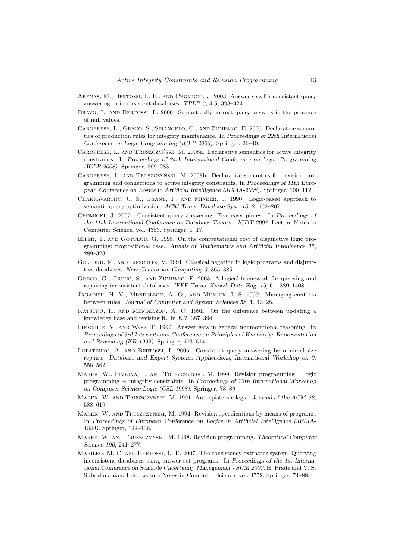- Arenas, M., Bertossi, L. E., and Chomicki, J. 2003. Answer sets for consistent query answering in inconsistent databases. TPLP 3, 4-5, 393–424.
- Bravo, L. and Bertossi, L. 2006. Semantically correct query answers in the presence of null values.
- Caroprese, L., Greco, S., Sirangelo, C., and Zumpano, E. 2006. Declarative semantics of production rules for integrity maintenance. In Proceedings of 22th International Conference on Logic Programming (ICLP-2006). Springer, 26–40.
- CAROPRESE, L. AND TRUSZCZYŃSKI, M. 2008a. Declarative semantics for active integrity constraints. In Proceedings of 24th International Conference on Logic Programming (ICLP-2008). Springer, 269–283.
- CAROPRESE, L. AND TRUSZCZYŃSKI, M. 2008b. Declarative semantics for revision programming and connections to active integrity constraints. In Proceedings of 11th European Conference on Logics in Artificial Intelligence (JELIA-2008). Springer, 100–112.
- Chakravarthy, U. S., Grant, J., and Minker, J. 1990. Logic-based approach to semantic query optimization. ACM Trans. Database Syst. 15, 2, 162–207.
- Chomicki, J. 2007. Consistent query answering: Five easy pieces. In Proceedings of the 11th International Conference on Database Theory - ICDT 2007. Lecture Notes in Computer Science, vol. 4353. Springer, 1–17.
- EITER, T. AND GOTTLOB, G. 1995. On the computational cost of disjunctive logic programming: propositional case. Annals of Mathematics and Artificial Intelligence 15, 289–323.
- GELFOND, M. AND LIFSCHITZ, V. 1991. Classical negation in logic programs and disjunctive databases. New Generation Computing 9, 365–385.
- GRECO, G., GRECO, S., AND ZUMPANO, E. 2003. A logical framework for querying and repairing inconsistent databases. IEEE Trans. Knowl. Data Eng. 15, 6, 1389–1408.
- Jagadish, H. V., Mendelzon, A. O., and Mumick, I. S. 1999. Managing conflicts between rules. Journal of Computer and System Sciences 58, 1, 13–28.
- KATSUNO, H. AND MENDELZON, A. O. 1991. On the difference between updating a knowledge base and revising it. In KR. 387–394.
- Lifschitz, V. and Woo, T. 1992. Answer sets in general nonmonotonic reasoning. In Proceedings of 3rd International Conference on Principles of Knowledge Representation and Reasoning (KR-1992). Springer, 603–614.
- Lopatenko, A. and Bertossi, L. 2006. Consistent query answering by minimal-size repairs. Database and Expert Systems Applications, International Workshop on 0, 558–562.
- MAREK, W., PIVKINA, I., AND TRUSZCZYŃSKI, M. 1999. Revision programming = logic programming + integrity constraints. In Proceedings of 12th International Workshop on Computer Science Logic (CSL-1998). Springer, 73–89.
- MAREK, W. AND TRUSZCZYŃSKI, M. 1991. Autoepistemic logic. Journal of the ACM 38, 588–619.
- MAREK, W. AND TRUSZCZYŃSKI, M. 1994. Revision specifications by means of programs. In Proceedings of European Conference on Logics in Artificial Intelligence (JELIA-1994). Springer, 122–136.
- MAREK, W. AND TRUSZCZYŃSKI, M. 1998. Revision programming. Theoretical Computer Science 190, 241–277.
- Marileo, M. C. and Bertossi, L. E. 2007. The consistency extractor system: Querying inconsistent databases using answer set programs. In Proceedings of the 1st International Conference on Scalable Uncertainty Management - SUM 2007, H. Prade and V. S. Subrahmanian, Eds. Lecture Notes in Computer Science, vol. 4772. Springer, 74–88.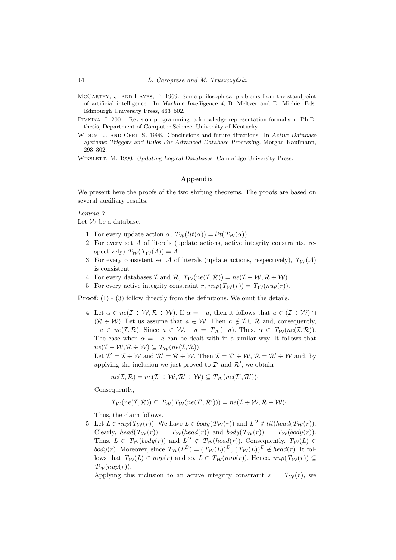- McCarthy, J. and Hayes, P. 1969. Some philosophical problems from the standpoint of artificial intelligence. In Machine Intelligence 4, B. Meltzer and D. Michie, Eds. Edinburgh University Press, 463–502.
- Pivkina, I. 2001. Revision programming: a knowledge representation formalism. Ph.D. thesis, Department of Computer Science, University of Kentucky.
- WIDOM, J. AND CERI, S. 1996. Conclusions and future directions. In Active Database Systems: Triggers and Rules For Advanced Database Processing. Morgan Kaufmann, 293–302.

WINSLETT, M. 1990. Updating Logical Databases. Cambridge University Press.

# Appendix

We present here the proofs of the two shifting theorems. The proofs are based on several auxiliary results.

# Lemma 7

Let  $W$  be a database.

- 1. For every update action  $\alpha$ ,  $T_{\mathcal{W}}(lit(\alpha)) = lit(T_{\mathcal{W}}(\alpha))$
- 2. For every set A of literals (update actions, active integrity constraints, respectively)  $T_{\mathcal{W}}(T_{\mathcal{W}}(A)) = A$
- 3. For every consistent set A of literals (update actions, respectively),  $T_w(\mathcal{A})$ is consistent
- 4. For every databases  $\mathcal I$  and  $\mathcal R$ ,  $T_{\mathcal W}(ne(\mathcal I,\mathcal R)) = ne(\mathcal I \div \mathcal W, \mathcal R \div \mathcal W)$
- 5. For every active integrity constraint r,  $nup(T_W(r)) = T_W(nup(r))$ .

**Proof:** (1) - (3) follow directly from the definitions. We omit the details.

4. Let  $\alpha \in ne(\mathcal{I} \div \mathcal{W}, \mathcal{R} \div \mathcal{W})$ . If  $\alpha = +a$ , then it follows that  $a \in (\mathcal{I} \div \mathcal{W})$  $(\mathcal{R} \div \mathcal{W})$ . Let us assume that  $a \in \mathcal{W}$ . Then  $a \notin \mathcal{I} \cup \mathcal{R}$  and, consequently,  $-a \in ne(\mathcal{I}, \mathcal{R})$ . Since  $a \in \mathcal{W}$ ,  $+a = T_{\mathcal{W}}(-a)$ . Thus,  $\alpha \in T_{\mathcal{W}}(ne(\mathcal{I}, \mathcal{R}))$ . The case when  $\alpha = -a$  can be dealt with in a similar way. It follows that  $ne(\mathcal{I} \div \mathcal{W}, \mathcal{R} \div \mathcal{W}) \subseteq T_{\mathcal{W}}(ne(\mathcal{I}, \mathcal{R})).$ 

Let  $\mathcal{I}' = \mathcal{I} \div \mathcal{W}$  and  $\mathcal{R}' = \mathcal{R} \div \mathcal{W}$ . Then  $\mathcal{I} = \mathcal{I}' \div \mathcal{W}$ ,  $\mathcal{R} = \mathcal{R}' \div \mathcal{W}$  and, by applying the inclusion we just proved to  $\mathcal{I}'$  and  $\mathcal{R}'$ , we obtain

$$
ne(\mathcal{I},\mathcal{R})=ne(\mathcal{I'}\div\mathcal{W},\mathcal{R'}\div\mathcal{W})\subseteq T_{\mathcal{W}}(ne(\mathcal{I'},\mathcal{R'}))\cdot
$$

Consequently,

$$
T_{\mathcal{W}}(ne(\mathcal{I},\mathcal{R})) \subseteq T_{\mathcal{W}}(T_{\mathcal{W}}(ne(\mathcal{I}',\mathcal{R}'))) = ne(\mathcal{I} \div \mathcal{W},\mathcal{R} \div \mathcal{W})\cdot
$$

Thus, the claim follows.

5. Let  $L \in nup(T_\mathcal{W}(r))$ . We have  $L \in body(T_\mathcal{W}(r))$  and  $L^D \notin lit(head(T_\mathcal{W}(r))$ . Clearly, head( $T_W(r)$ ) =  $T_W(head(r))$  and  $body(T_W(r)) = T_W(body(r))$ . Thus,  $L \in T_{\mathcal{W}}(body(r))$  and  $L^D \notin T_{\mathcal{W}}(head(r))$ . Consequently,  $T_{\mathcal{W}}(L) \in$  $body(r)$ . Moreover, since  $T_w(L^D) = (T_w(L))^D$ ,  $(T_w(L))^D \notin head(r)$ . It follows that  $T_{\mathcal{W}}(L) \in nup(r)$  and so,  $L \in T_{\mathcal{W}}(nup(r))$ . Hence,  $nup(T_{\mathcal{W}}(r)) \subseteq$  $T_{\mathcal{W}}(nup(r)).$ 

Applying this inclusion to an active integrity constraint  $s = T_W(r)$ , we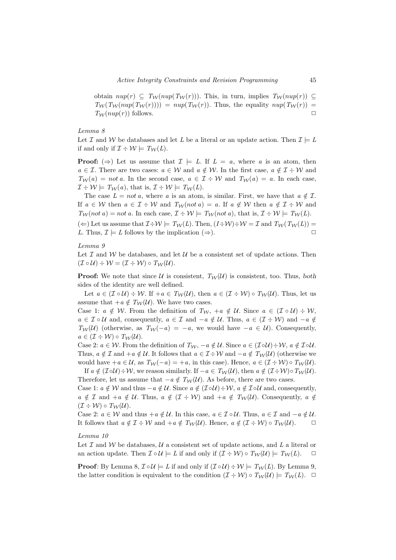obtain  $nup(r) \subseteq T_W(nup(T_W(r)))$ . This, in turn, implies  $T_W(nup(r)) \subseteq$  $T_{\mathcal{W}}(T_{\mathcal{W}}(nup(T_{\mathcal{W}}(r)))) = nup(T_{\mathcal{W}}(r))$ . Thus, the equality  $nup(T_{\mathcal{W}}(r)) =$  $T_{\mathcal{W}}(nup(r))$  follows.

Lemma 8

Let I and W be databases and let L be a literal or an update action. Then  $\mathcal{I} \models L$ if and only if  $\mathcal{I} \div \mathcal{W} \models T_{\mathcal{W}}(L)$ .

**Proof:**  $(\Rightarrow)$  Let us assume that  $\mathcal{I} \models L$ . If  $L = a$ , where a is an atom, then  $a \in \mathcal{I}$ . There are two cases:  $a \in \mathcal{W}$  and  $a \notin \mathcal{W}$ . In the first case,  $a \notin \mathcal{I} \div \mathcal{W}$  and  $T_{\mathcal{W}}(a) = not a$ . In the second case,  $a \in \mathcal{I} \div \mathcal{W}$  and  $T_{\mathcal{W}}(a) = a$ . In each case,  $\mathcal{I} \div \mathcal{W} \models T_{\mathcal{W}}(a)$ , that is,  $\mathcal{I} \div \mathcal{W} \models T_{\mathcal{W}}(L)$ .

The case  $L = not$  a, where a is an atom, is similar. First, we have that  $a \notin \mathcal{I}$ . If  $a \in W$  then  $a \in \mathcal{I} \div W$  and  $T_{\mathcal{W}}(not\ a) = a$ . If  $a \notin W$  then  $a \notin \mathcal{I} \div W$  and  $T_{\mathcal{W}}(not\ a) = not\ a$ . In each case,  $\mathcal{I} \div \mathcal{W} \models T_{\mathcal{W}}(not\ a)$ , that is,  $\mathcal{I} \div \mathcal{W} \models T_{\mathcal{W}}(L)$ .

 $(\Leftarrow)$  Let us assume that  $\mathcal{I} \div \mathcal{W} \models T_{\mathcal{W}}(L)$ . Then,  $(I \div \mathcal{W}) \div \mathcal{W} = \mathcal{I}$  and  $T_{\mathcal{W}}(T_{\mathcal{W}}(L)) =$ L. Thus,  $\mathcal{I} \models L$  follows by the implication  $(\Rightarrow)$ .

Lemma 9

Let  $\mathcal I$  and  $\mathcal W$  be databases, and let  $\mathcal U$  be a consistent set of update actions. Then  $(\mathcal{I} \circ \mathcal{U}) \div \mathcal{W} = (\mathcal{I} \div \mathcal{W}) \circ T_{\mathcal{W}}(\mathcal{U}).$ 

**Proof:** We note that since U is consistent,  $T_W(\mathcal{U})$  is consistent, too. Thus, both sides of the identity are well defined.

Let  $a \in (\mathcal{I} \circ \mathcal{U}) \div \mathcal{W}$ . If  $+a \in T_{\mathcal{W}}(\mathcal{U})$ , then  $a \in (\mathcal{I} \div \mathcal{W}) \circ T_{\mathcal{W}}(\mathcal{U})$ . Thus, let us assume that  $+a \notin T_{\mathcal{W}}(\mathcal{U})$ . We have two cases.

Case 1:  $a \notin \mathcal{W}$ . From the definition of  $T_{\mathcal{W}}$ ,  $+a \notin \mathcal{U}$ . Since  $a \in (\mathcal{I} \circ \mathcal{U}) \div \mathcal{W}$ ,  $a \in \mathcal{I} \circ \mathcal{U}$  and, consequently,  $a \in \mathcal{I}$  and  $-a \notin \mathcal{U}$ . Thus,  $a \in (\mathcal{I} \div \mathcal{W})$  and  $-a \notin$  $T_{\mathcal{W}}(\mathcal{U})$  (otherwise, as  $T_{\mathcal{W}}(-a) = -a$ , we would have  $-a \in \mathcal{U}$ ). Consequently,  $a \in (\mathcal{I} \div \mathcal{W}) \circ T_{\mathcal{W}}(\mathcal{U}).$ 

Case 2:  $a \in \mathcal{W}$ . From the definition of  $T_{\mathcal{W}}$ ,  $-a \notin \mathcal{U}$ . Since  $a \in (\mathcal{I} \circ \mathcal{U}) \div \mathcal{W}$ ,  $a \notin \mathcal{I} \circ \mathcal{U}$ . Thus,  $a \notin \mathcal{I}$  and  $+a \notin \mathcal{U}$ . It follows that  $a \in \mathcal{I} \div \mathcal{W}$  and  $-a \notin T_{\mathcal{W}}(\mathcal{U})$  (otherwise we would have  $+a \in \mathcal{U}$ , as  $T_{\mathcal{W}}(-a) = +a$ , in this case). Hence,  $a \in (\mathcal{I} \div \mathcal{W}) \circ T_{\mathcal{W}}(\mathcal{U})$ .

If  $a \notin (I \circ \mathcal{U}) \div \mathcal{W}$ , we reason similarly. If  $-a \in T_{\mathcal{W}}(\mathcal{U})$ , then  $a \notin (\mathcal{I} \div \mathcal{W}) \circ T_{\mathcal{W}}(\mathcal{U})$ . Therefore, let us assume that  $-a \notin T_{\mathcal{W}}(\mathcal{U})$ . As before, there are two cases.

Case 1:  $a \notin W$  and thus  $-a \notin U$ . Since  $a \notin (\mathcal{I} \circ \mathcal{U}) \div W$ ,  $a \notin \mathcal{I} \circ \mathcal{U}$  and, consequently,  $a \notin \mathcal{I}$  and  $+a \notin \mathcal{U}$ . Thus,  $a \notin (\mathcal{I} \div \mathcal{W})$  and  $+a \notin T_{\mathcal{W}}(\mathcal{U})$ . Consequently,  $a \notin \mathcal{U}$  $(\mathcal{I} \div \mathcal{W}) \circ T_{\mathcal{W}}(\mathcal{U}).$ 

Case 2:  $a \in \mathcal{W}$  and thus  $+a \notin \mathcal{U}$ . In this case,  $a \in \mathcal{I} \circ \mathcal{U}$ . Thus,  $a \in \mathcal{I}$  and  $-a \notin \mathcal{U}$ . It follows that  $a \notin \mathcal{I} \div \mathcal{W}$  and  $+a \notin T_{\mathcal{W}}(\mathcal{U})$ . Hence,  $a \notin (\mathcal{I} \div \mathcal{W}) \circ T_{\mathcal{W}}(\mathcal{U})$ .  $\Box$ 

Lemma 10

Let  $\mathcal I$  and  $\mathcal W$  be databases,  $\mathcal U$  a consistent set of update actions, and  $L$  a literal or an action update. Then  $\mathcal{I} \circ \mathcal{U} \models L$  if and only if  $(\mathcal{I} \div \mathcal{W}) \circ T_{\mathcal{W}}(\mathcal{U}) \models T_{\mathcal{W}}(L)$ .  $\Box$ 

**Proof:** By Lemma 8,  $\mathcal{I} \circ \mathcal{U} \models L$  if and only if  $(\mathcal{I} \circ \mathcal{U}) \div \mathcal{W} \models T_{\mathcal{W}}(L)$ . By Lemma 9, the latter condition is equivalent to the condition  $(\mathcal{I} \div \mathcal{W}) \circ T_{\mathcal{W}}(\mathcal{U}) \models T_{\mathcal{W}}(L)$ .  $\Box$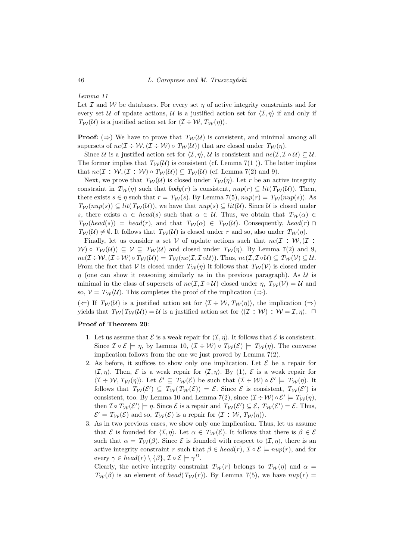Lemma 11

Let  $\mathcal I$  and  $\mathcal W$  be databases. For every set  $\eta$  of active integrity constraints and for every set U of update actions, U is a justified action set for  $\langle I, \eta \rangle$  if and only if  $T_{\mathcal{W}}(\mathcal{U})$  is a justified action set for  $\langle \mathcal{I} \div \mathcal{W}, T_{\mathcal{W}}(\eta) \rangle$ .

**Proof:** ( $\Rightarrow$ ) We have to prove that  $T_W(\mathcal{U})$  is consistent, and minimal among all supersets of  $ne(\mathcal{I} \div \mathcal{W}, (\mathcal{I} \div \mathcal{W}) \circ T_{\mathcal{W}}(\mathcal{U}))$  that are closed under  $T_{\mathcal{W}}(\eta)$ .

Since U is a justified action set for  $\langle \mathcal{I}, \eta \rangle$ , U is consistent and  $ne(\mathcal{I}, \mathcal{I} \circ \mathcal{U}) \subseteq \mathcal{U}$ . The former implies that  $T_W(\mathcal{U})$  is consistent (cf. Lemma 7(1)). The latter implies that  $ne(\mathcal{I} \div \mathcal{W}, (\mathcal{I} \div \mathcal{W}) \circ T_{\mathcal{W}}(\mathcal{U})) \subseteq T_{\mathcal{W}}(\mathcal{U})$  (cf. Lemma 7(2) and 9).

Next, we prove that  $T_{\mathcal{W}}(\mathcal{U})$  is closed under  $T_{\mathcal{W}}(\eta)$ . Let r be an active integrity constraint in  $T_W(\eta)$  such that  $body(r)$  is consistent,  $nup(r) \subseteq lit(T_W(\mathcal{U}))$ . Then, there exists  $s \in \eta$  such that  $r = T_W(s)$ . By Lemma 7(5),  $nup(r) = T_W(nup(s))$ . As  $T_{\mathcal{W}}(nup(s)) \subseteq lit(T_{\mathcal{W}}(\mathcal{U}))$ , we have that  $nup(s) \subseteq lit(\mathcal{U})$ . Since  $\mathcal{U}$  is closed under s, there exists  $\alpha \in head(s)$  such that  $\alpha \in \mathcal{U}$ . Thus, we obtain that  $T_{\mathcal{W}}(\alpha) \in$  $T_{\mathcal{W}}(head(s)) = head(r)$ , and that  $T_{\mathcal{W}}(\alpha) \in T_{\mathcal{W}}(\mathcal{U})$ . Consequently, head(r)  $\cap$  $T_{\mathcal{W}}(\mathcal{U}) \neq \emptyset$ . It follows that  $T_{\mathcal{W}}(\mathcal{U})$  is closed under r and so, also under  $T_{\mathcal{W}}(\eta)$ .

Finally, let us consider a set V of update actions such that  $ne(\mathcal{I} \div \mathcal{W}, (\mathcal{I} \div \mathcal{W}))$  $W$ )  $\circ$   $T_W(\mathcal{U})$   $\subseteq$   $V \subseteq T_W(\mathcal{U})$  and closed under  $T_W(\eta)$ . By Lemma 7(2) and 9,  $ne(\mathcal{I} \div \mathcal{W},(\mathcal{I} \div \mathcal{W}) \circ T_{\mathcal{W}}(\mathcal{U})) = T_{\mathcal{W}}(ne(\mathcal{I},\mathcal{I} \circ \mathcal{U}))$ . Thus,  $ne(\mathcal{I},\mathcal{I} \circ \mathcal{U}) \subseteq T_{\mathcal{W}}(\mathcal{V}) \subseteq \mathcal{U}$ . From the fact that V is closed under  $T_W(\eta)$  it follows that  $T_W(\mathcal{V})$  is closed under  $\eta$  (one can show it reasoning similarly as in the previous paragraph). As U is minimal in the class of supersets of  $ne(\mathcal{I}, \mathcal{I} \circ \mathcal{U})$  closed under  $\eta$ ,  $T_W(\mathcal{V}) = \mathcal{U}$  and so,  $V = T_W(\mathcal{U})$ . This completes the proof of the implication ( $\Rightarrow$ ).

(←) If  $T_W(\mathcal{U})$  is a justified action set for  $\langle \mathcal{I} \div \mathcal{W}, T_W(\eta) \rangle$ , the implication (⇒) yields that  $T_{\mathcal{W}}(T_{\mathcal{W}}(\mathcal{U})) = \mathcal{U}$  is a justified action set for  $\langle (\mathcal{I} \div \mathcal{W}) \div \mathcal{W} = \mathcal{I}, \eta \rangle$ .

### Proof of Theorem 20:

- 1. Let us assume that  $\mathcal E$  is a weak repair for  $\langle \mathcal I, \eta \rangle$ . It follows that  $\mathcal E$  is consistent. Since  $\mathcal{I} \circ \mathcal{E} \models \eta$ , by Lemma 10,  $(\mathcal{I} \div \mathcal{W}) \circ T_{\mathcal{W}}(\mathcal{E}) \models T_{\mathcal{W}}(\eta)$ . The converse implication follows from the one we just proved by Lemma 7(2).
- 2. As before, it suffices to show only one implication. Let  $\mathcal E$  be a repair for  $\langle \mathcal{I}, \eta \rangle$ . Then,  $\mathcal{E}$  is a weak repair for  $\langle \mathcal{I}, \eta \rangle$ . By (1),  $\mathcal{E}$  is a weak repair for  $\langle \mathcal{I} \div \mathcal{W}, T_{\mathcal{W}}(\eta) \rangle$ . Let  $\mathcal{E}' \subseteq T_{\mathcal{W}}(\mathcal{E})$  be such that  $(\mathcal{I} \div \mathcal{W}) \circ \mathcal{E}' \models T_{\mathcal{W}}(\eta)$ . It follows that  $T_{\mathcal{W}}(\mathcal{E}') \subseteq T_{\mathcal{W}}(T_{\mathcal{W}}(\mathcal{E})) = \mathcal{E}$ . Since  $\mathcal{E}$  is consistent,  $T_{\mathcal{W}}(\mathcal{E}')$  is consistent, too. By Lemma 10 and Lemma 7(2), since  $(\mathcal{I} \div \mathcal{W}) \circ \mathcal{E}' \models T_{\mathcal{W}}(\eta)$ , then  $\mathcal{I} \circ T_{\mathcal{W}}(\mathcal{E}') \models \eta$ . Since  $\mathcal{E}$  is a repair and  $T_{\mathcal{W}}(\mathcal{E}') \subseteq \mathcal{E}$ ,  $T_{\mathcal{W}}(\mathcal{E}') = \mathcal{E}$ . Thus,  $\mathcal{E}' = T_{\mathcal{W}}(\mathcal{E})$  and so,  $T_{\mathcal{W}}(\mathcal{E})$  is a repair for  $\langle \mathcal{I} \div \mathcal{W}, T_{\mathcal{W}}(\eta) \rangle$ .
- 3. As in two previous cases, we show only one implication. Thus, let us assume that  $\mathcal E$  is founded for  $\langle \mathcal I, \eta \rangle$ . Let  $\alpha \in T_{\mathcal W}(\mathcal E)$ . It follows that there is  $\beta \in \mathcal E$ such that  $\alpha = T_{\mathcal{W}}(\beta)$ . Since  $\mathcal{E}$  is founded with respect to  $\langle \mathcal{I}, \eta \rangle$ , there is an active integrity constraint r such that  $\beta \in head(r)$ ,  $\mathcal{I} \circ \mathcal{E} \models nup(r)$ , and for every  $\gamma \in head(r) \setminus {\{\beta\}}, \mathcal{I} \circ \mathcal{E} \models \gamma^D.$

Clearly, the active integrity constraint  $T_W(r)$  belongs to  $T_W(\eta)$  and  $\alpha =$  $T_{\mathcal{W}}(\beta)$  is an element of head( $T_{\mathcal{W}}(r)$ ). By Lemma 7(5), we have  $nup(r)$  =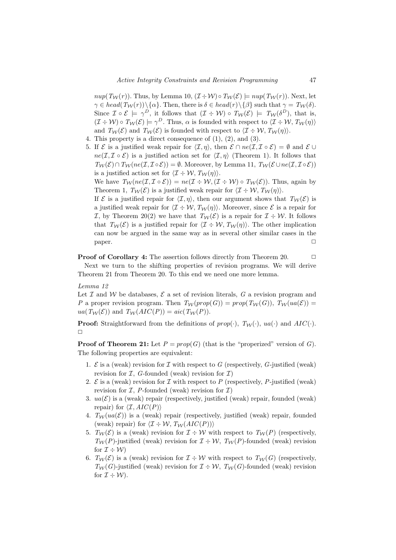$nup(T_W(r))$ . Thus, by Lemma 10,  $(\mathcal{I} \div \mathcal{W}) \circ T_W(\mathcal{E}) = nup(T_W(r))$ . Next, let  $\gamma \in head(T_\mathcal{W}(r)) \setminus {\alpha}.$  Then, there is  $\delta \in head(r) \setminus {\beta}$  such that  $\gamma = T_\mathcal{W}(\delta).$ Since  $\mathcal{I} \circ \mathcal{E} \models \gamma^D$ , it follows that  $(\mathcal{I} \div \mathcal{W}) \circ T_{\mathcal{W}}(\mathcal{E}) \models T_{\mathcal{W}}(\delta^D)$ , that is,  $(\mathcal{I} \div \mathcal{W}) \circ T_{\mathcal{W}}(\mathcal{E}) \models \gamma^D$ . Thus,  $\alpha$  is founded with respect to  $\langle \mathcal{I} \div \mathcal{W}, T_{\mathcal{W}}(\eta) \rangle$ and  $T_{\mathcal{W}}(\mathcal{E})$  and  $T_{\mathcal{W}}(\mathcal{E})$  is founded with respect to  $\langle \mathcal{I} \div \mathcal{W}, T_{\mathcal{W}}(\eta) \rangle$ .

- 4. This property is a direct consequence of (1), (2), and (3).
- 5. If  $\mathcal E$  is a justified weak repair for  $\langle \mathcal I, \eta \rangle$ , then  $\mathcal E \cap ne(\mathcal I, \mathcal I \circ \mathcal E) = \emptyset$  and  $\mathcal E \cup$  $ne(\mathcal{I}, \mathcal{I} \circ \mathcal{E})$  is a justified action set for  $\langle \mathcal{I}, \eta \rangle$  (Theorem 1). It follows that  $T_{\mathcal{W}}(\mathcal{E}) \cap T_{\mathcal{W}}(ne(\mathcal{I},\mathcal{I} \circ \mathcal{E})) = \emptyset$ . Moreover, by Lemma 11,  $T_{\mathcal{W}}(\mathcal{E} \cup ne(\mathcal{I},\mathcal{I} \circ \mathcal{E}))$ is a justified action set for  $\langle \mathcal{I} \div \mathcal{W}, T_{\mathcal{W}}(\eta) \rangle$ .

We have  $T_{\mathcal{W}}(ne(\mathcal{I},\mathcal{I}\circ\mathcal{E}))=ne(\mathcal{I}\div\mathcal{W},(\mathcal{I}\div\mathcal{W})\circ T_{\mathcal{W}}(\mathcal{E}))$ . Thus, again by Theorem 1,  $T_{\mathcal{W}}(\mathcal{E})$  is a justified weak repair for  $\langle \mathcal{I} \div \mathcal{W}, T_{\mathcal{W}}(\eta) \rangle$ .

If  $\mathcal E$  is a justified repair for  $\langle \mathcal I, \eta \rangle$ , then our argument shows that  $T_W(\mathcal E)$  is a justified weak repair for  $\langle \mathcal{I} \div \mathcal{W}, T_{\mathcal{W}}(\eta) \rangle$ . Moreover, since  $\mathcal{E}$  is a repair for I, by Theorem 20(2) we have that  $T_{\mathcal{W}}(\mathcal{E})$  is a repair for  $\mathcal{I} \div \mathcal{W}$ . It follows that  $T_W(\mathcal{E})$  is a justified repair for  $\langle \mathcal{I} \div \mathcal{W}, T_W(\eta) \rangle$ . The other implication can now be argued in the same way as in several other similar cases in the  $\Box$ 

# **Proof of Corollary 4:** The assertion follows directly from Theorem 20.  $\Box$ Next we turn to the shifting properties of revision programs. We will derive Theorem 21 from Theorem 20. To this end we need one more lemma.

# Lemma 12

Let  $I$  and  $W$  be databases,  $\mathcal E$  a set of revision literals,  $G$  a revision program and P a proper revision program. Then  $T_w(prop(G)) = prop(T_w(G)), T_w(ua(\mathcal{E})) =$  $ua(T_W(\mathcal{E}))$  and  $T_W(AIC(P)) = aic(T_W(P)).$ 

**Proof:** Straightforward from the definitions of  $prop(\cdot), T_W(\cdot), ua(\cdot)$  and  $AIC(\cdot)$ .  $\Box$ 

**Proof of Theorem 21:** Let  $P = prop(G)$  (that is the "properized" version of G). The following properties are equivalent:

- 1.  $\mathcal E$  is a (weak) revision for  $\mathcal I$  with respect to  $G$  (respectively,  $G$ -justified (weak) revision for  $I$ , G-founded (weak) revision for  $I$ )
- 2.  $\mathcal{E}$  is a (weak) revision for  $\mathcal I$  with respect to P (respectively, P-justified (weak) revision for  $I$ , P-founded (weak) revision for  $I$ )
- 3.  $ua(\mathcal{E})$  is a (weak) repair (respectively, justified (weak) repair, founded (weak) repair) for  $\langle \mathcal{I}, AIC(P) \rangle$
- 4.  $T_W(ua(\mathcal{E}))$  is a (weak) repair (respectively, justified (weak) repair, founded (weak) repair) for  $\langle \mathcal{I} \div \mathcal{W}, T_{\mathcal{W}}(AIC(P)) \rangle$
- 5.  $T_{\mathcal{W}}(\mathcal{E})$  is a (weak) revision for  $\mathcal{I} \div \mathcal{W}$  with respect to  $T_{\mathcal{W}}(P)$  (respectively,  $T_{\mathcal{W}}(P)$ -justified (weak) revision for  $\mathcal{I} \div \mathcal{W}$ ,  $T_{\mathcal{W}}(P)$ -founded (weak) revision for  $\mathcal{I} \div \mathcal{W}$
- 6.  $T_{\mathcal{W}}(\mathcal{E})$  is a (weak) revision for  $\mathcal{I} \div \mathcal{W}$  with respect to  $T_{\mathcal{W}}(G)$  (respectively,  $T_{\mathcal{W}}(G)$ -justified (weak) revision for  $\mathcal{I} \div \mathcal{W}$ ,  $T_{\mathcal{W}}(G)$ -founded (weak) revision for  $\mathcal{I} \div \mathcal{W}$ ).